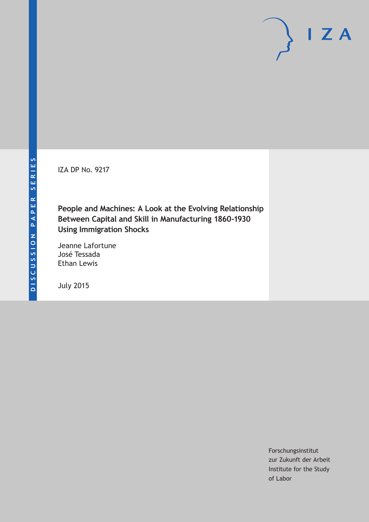IZA DP No. 9217

**People and Machines: A Look at the Evolving Relationship Between Capital and Skill in Manufacturing 1860-1930 Using Immigration Shocks**

Jeanne Lafortune José Tessada Ethan Lewis

July 2015

Forschungsinstitut zur Zukunft der Arbeit Institute for the Study of Labor

 $I Z A$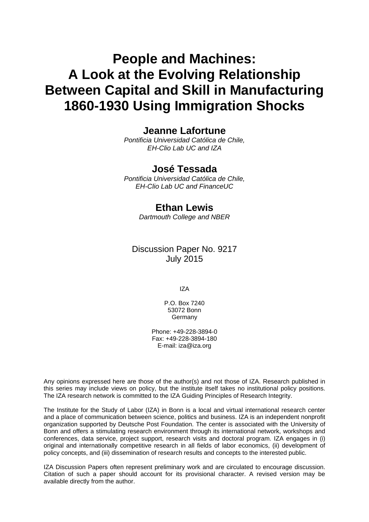# **People and Machines: A Look at the Evolving Relationship Between Capital and Skill in Manufacturing 1860-1930 Using Immigration Shocks**

## **Jeanne Lafortune**

*Pontificia Universidad Católica de Chile, EH-Clio Lab UC and IZA* 

## **José Tessada**

*Pontificia Universidad Católica de Chile, EH-Clio Lab UC and FinanceUC* 

## **Ethan Lewis**

*Dartmouth College and NBER*

## Discussion Paper No. 9217 July 2015

IZA

P.O. Box 7240 53072 Bonn **Germany** 

Phone: +49-228-3894-0 Fax: +49-228-3894-180 E-mail: iza@iza.org

Any opinions expressed here are those of the author(s) and not those of IZA. Research published in this series may include views on policy, but the institute itself takes no institutional policy positions. The IZA research network is committed to the IZA Guiding Principles of Research Integrity.

The Institute for the Study of Labor (IZA) in Bonn is a local and virtual international research center and a place of communication between science, politics and business. IZA is an independent nonprofit organization supported by Deutsche Post Foundation. The center is associated with the University of Bonn and offers a stimulating research environment through its international network, workshops and conferences, data service, project support, research visits and doctoral program. IZA engages in (i) original and internationally competitive research in all fields of labor economics, (ii) development of policy concepts, and (iii) dissemination of research results and concepts to the interested public.

IZA Discussion Papers often represent preliminary work and are circulated to encourage discussion. Citation of such a paper should account for its provisional character. A revised version may be available directly from the author.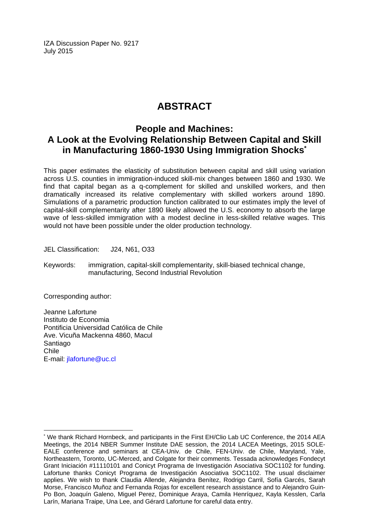IZA Discussion Paper No. 9217 July 2015

## **ABSTRACT**

## **People and Machines: A Look at the Evolving Relationship Between Capital and Skill in Manufacturing 1860-1930 Using Immigration Shocks\***

This paper estimates the elasticity of substitution between capital and skill using variation across U.S. counties in immigration-induced skill-mix changes between 1860 and 1930. We find that capital began as a q-complement for skilled and unskilled workers, and then dramatically increased its relative complementary with skilled workers around 1890. Simulations of a parametric production function calibrated to our estimates imply the level of capital-skill complementarity after 1890 likely allowed the U.S. economy to absorb the large wave of less-skilled immigration with a modest decline in less-skilled relative wages. This would not have been possible under the older production technology.

JEL Classification: J24, N61, O33

Keywords: immigration, capital-skill complementarity, skill-biased technical change, manufacturing, Second Industrial Revolution

Corresponding author:

 $\overline{a}$ 

Jeanne Lafortune Instituto de Economia Pontificia Universidad Católica de Chile Ave. Vicuña Mackenna 4860, Macul Santiago Chile E-mail: jlafortune@uc.cl

<sup>\*</sup> We thank Richard Hornbeck, and participants in the First EH/Clio Lab UC Conference, the 2014 AEA Meetings, the 2014 NBER Summer Institute DAE session, the 2014 LACEA Meetings, 2015 SOLE-EALE conference and seminars at CEA-Univ. de Chile, FEN-Univ. de Chile, Maryland, Yale, Northeastern, Toronto, UC-Merced, and Colgate for their comments. Tessada acknowledges Fondecyt Grant Iniciación #11110101 and Conicyt Programa de Investigación Asociativa SOC1102 for funding. Lafortune thanks Conicyt Programa de Investigación Asociativa SOC1102. The usual disclaimer applies. We wish to thank Claudia Allende, Alejandra Benítez, Rodrigo Carril, Sofía Garcés, Sarah Morse, Francisco Muñoz and Fernanda Rojas for excellent research assistance and to Alejandro Guin-Po Bon, Joaquín Galeno, Miguel Perez, Dominique Araya, Camila Henríquez, Kayla Kesslen, Carla Larín, Mariana Traipe, Una Lee, and Gérard Lafortune for careful data entry.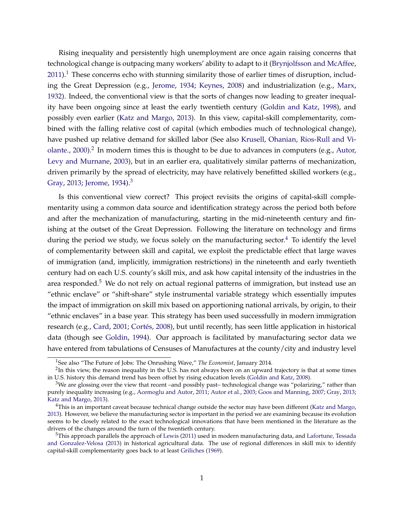Rising inequality and persistently high unemployment are once again raising concerns that technological change is outpacing many workers' ability to adapt to it [\(Brynjolfsson and McAffee,](#page-29-0) [2011\)](#page-29-0).<sup>[1](#page-3-0)</sup> These concerns echo with stunning similarity those of earlier times of disruption, including the Great Depression (e.g., [Jerome,](#page-31-0) [1934;](#page-31-0) [Keynes,](#page-31-1) [2008\)](#page-31-1) and industrialization (e.g., [Marx,](#page-31-2) [1932\)](#page-31-2). Indeed, the conventional view is that the sorts of changes now leading to greater inequality have been ongoing since at least the early twentieth century [\(Goldin and Katz,](#page-30-0) [1998\)](#page-30-0), and possibly even earlier [\(Katz and Margo,](#page-31-3) [2013\)](#page-31-3). In this view, capital-skill complementarity, combined with the falling relative cost of capital (which embodies much of technological change), have pushed up relative demand for skilled labor (See also [Krusell, Ohanian, Rios-Rull and Vi](#page-31-4)[olante.,](#page-31-4) [2000\)](#page-31-4).<sup>[2](#page-3-1)</sup> In modern times this is thought to be due to advances in computers (e.g., [Autor,](#page-29-1) [Levy and Murnane,](#page-29-1) [2003\)](#page-29-1), but in an earlier era, qualitatively similar patterns of mechanization, driven primarily by the spread of electricity, may have relatively benefitted skilled workers (e.g., [Gray,](#page-30-1) [2013;](#page-30-1) [Jerome,](#page-31-0) [1934\)](#page-31-0).<sup>[3](#page-3-2)</sup>

Is this conventional view correct? This project revisits the origins of capital-skill complementarity using a common data source and identification strategy across the period both before and after the mechanization of manufacturing, starting in the mid-nineteenth century and finishing at the outset of the Great Depression. Following the literature on technology and firms during the period we study, we focus solely on the manufacturing sector. $4$  To identify the level of complementarity between skill and capital, we exploit the predictable effect that large waves of immigration (and, implicitly, immigration restrictions) in the nineteenth and early twentieth century had on each U.S. county's skill mix, and ask how capital intensity of the industries in the area responded. $5$  We do not rely on actual regional patterns of immigration, but instead use an "ethnic enclave" or "shift-share" style instrumental variable strategy which essentially imputes the impact of immigration on skill mix based on apportioning national arrivals, by origin, to their "ethnic enclaves" in a base year. This strategy has been used successfully in modern immigration research (e.g., [Card,](#page-29-2) [2001;](#page-29-2) [Cortés,](#page-30-2) [2008\)](#page-30-2), but until recently, has seen little application in historical data (though see [Goldin,](#page-30-3) [1994\)](#page-30-3). Our approach is facilitated by manufacturing sector data we have entered from tabulations of Censuses of Manufactures at the county/city and industry level

<span id="page-3-1"></span><span id="page-3-0"></span><sup>1</sup>See also "The Future of Jobs: The Onrushing Wave," *The Economist*, January 2014.

 ${}^{2}$ In this view, the reason inequality in the U.S. has not always been on an upward trajectory is that at some times in U.S. history this demand trend has been offset by rising education levels [\(Goldin and Katz,](#page-30-4) [2008\)](#page-30-4).

<span id="page-3-2"></span> $3$ We are glossing over the view that recent –and possibly past– technological change was "polarizing," rather than purely inequality increasing (e.g., [Acemoglu and Autor,](#page-29-3) [2011;](#page-29-3) [Autor et al.,](#page-29-1) [2003;](#page-29-1) [Goos and Manning,](#page-30-5) [2007;](#page-30-5) [Gray,](#page-30-1) [2013;](#page-30-1) [Katz and Margo,](#page-31-3) [2013\)](#page-31-3).

<span id="page-3-3"></span><sup>&</sup>lt;sup>4</sup>This is an important caveat because technical change outside the sector may have been different [\(Katz and Margo,](#page-31-3) [2013\)](#page-31-3). However, we believe the manufacturing sector is important in the period we are examining because its evolution seems to be closely related to the exact technological innovations that have been mentioned in the literature as the drivers of the changes around the turn of the twentieth century.

<span id="page-3-4"></span><sup>5</sup>This approach parallels the approach of [Lewis](#page-31-5) [\(2011\)](#page-31-5) used in modern manufacturing data, and [Lafortune, Tessada](#page-31-6) [and Gonzalez-Velosa](#page-31-6) [\(2013\)](#page-31-6) in historical agricultural data. The use of regional differences in skill mix to identify capital-skill complementarity goes back to at least [Griliches](#page-30-6) [\(1969\)](#page-30-6).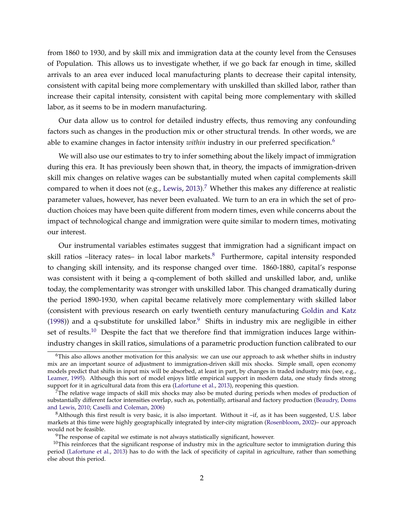from 1860 to 1930, and by skill mix and immigration data at the county level from the Censuses of Population. This allows us to investigate whether, if we go back far enough in time, skilled arrivals to an area ever induced local manufacturing plants to decrease their capital intensity, consistent with capital being more complementary with unskilled than skilled labor, rather than increase their capital intensity, consistent with capital being more complementary with skilled labor, as it seems to be in modern manufacturing.

Our data allow us to control for detailed industry effects, thus removing any confounding factors such as changes in the production mix or other structural trends. In other words, we are able to examine changes in factor intensity *within* industry in our preferred specification.<sup>[6](#page-4-0)</sup>

We will also use our estimates to try to infer something about the likely impact of immigration during this era. It has previously been shown that, in theory, the impacts of immigration-driven skill mix changes on relative wages can be substantially muted when capital complements skill compared to when it does not (e.g., [Lewis,](#page-31-7) [2013\)](#page-31-7).<sup>[7](#page-4-1)</sup> Whether this makes any difference at realistic parameter values, however, has never been evaluated. We turn to an era in which the set of production choices may have been quite different from modern times, even while concerns about the impact of technological change and immigration were quite similar to modern times, motivating our interest.

Our instrumental variables estimates suggest that immigration had a significant impact on skill ratios –literacy rates– in local labor markets.<sup>[8](#page-4-2)</sup> Furthermore, capital intensity responded to changing skill intensity, and its response changed over time. 1860-1880, capital's response was consistent with it being a q-complement of both skilled and unskilled labor, and, unlike today, the complementarity was stronger with unskilled labor. This changed dramatically during the period 1890-1930, when capital became relatively more complementary with skilled labor (consistent with previous research on early twentieth century manufacturing [Goldin and Katz](#page-30-0) [\(1998\)](#page-30-0)) and a q-substitute for unskilled labor.<sup>[9](#page-4-3)</sup> Shifts in industry mix are negligible in either set of results.<sup>[10](#page-4-4)</sup> Despite the fact that we therefore find that immigration induces large withinindustry changes in skill ratios, simulations of a parametric production function calibrated to our

<span id="page-4-0"></span> $6$ This also allows another motivation for this analysis: we can use our approach to ask whether shifts in industry mix are an important source of adjustment to immigration-driven skill mix shocks. Simple small, open economy models predict that shifts in input mix will be absorbed, at least in part, by changes in traded industry mix (see, e.g., [Leamer,](#page-31-8) [1995\)](#page-31-8). Although this sort of model enjoys little empirical support in modern data, one study finds strong support for it in agricultural data from this era [\(Lafortune et al.,](#page-31-6) [2013\)](#page-31-6), reopening this question.

<span id="page-4-1"></span> $7$ The relative wage impacts of skill mix shocks may also be muted during periods when modes of production of substantially different factor intensities overlap, such as, potentially, artisanal and factory production [\(Beaudry, Doms](#page-29-4) [and Lewis,](#page-29-4) [2010;](#page-29-4) [Caselli and Coleman,](#page-30-7) [2006\)](#page-30-7)

<span id="page-4-2"></span> $8$ Although this first result is very basic, it is also important. Without it -if, as it has been suggested, U.S. labor markets at this time were highly geographically integrated by inter-city migration [\(Rosenbloom,](#page-32-0) [2002\)](#page-32-0)– our approach would not be feasible.

<span id="page-4-4"></span><span id="page-4-3"></span><sup>&</sup>lt;sup>9</sup>The response of capital we estimate is not always statistically significant, however.

 $10$ This reinforces that the significant response of industry mix in the agriculture sector to immigration during this period [\(Lafortune et al.,](#page-31-6) [2013\)](#page-31-6) has to do with the lack of specificity of capital in agriculture, rather than something else about this period.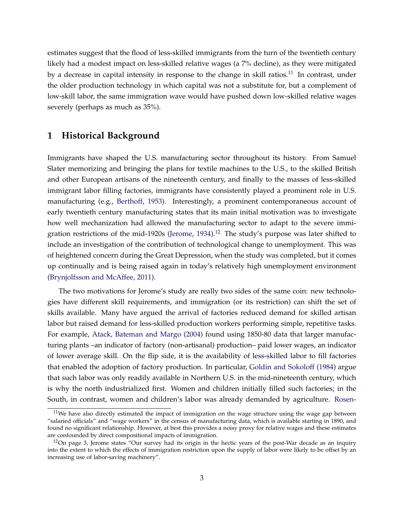estimates suggest that the flood of less-skilled immigrants from the turn of the twentieth century likely had a modest impact on less-skilled relative wages (a 7% decline), as they were mitigated by a decrease in capital intensity in response to the change in skill ratios.<sup>[11](#page-5-0)</sup> In contrast, under the older production technology in which capital was not a substitute for, but a complement of low-skill labor, the same immigration wave would have pushed down low-skilled relative wages severely (perhaps as much as 35%).

#### **1 Historical Background**

Immigrants have shaped the U.S. manufacturing sector throughout its history. From Samuel Slater memorizing and bringing the plans for textile machines to the U.S., to the skilled British and other European artisans of the nineteenth century, and finally to the masses of less-skilled immigrant labor filling factories, immigrants have consistently played a prominent role in U.S. manufacturing (e.g., [Berthoff,](#page-29-5) [1953\)](#page-29-5). Interestingly, a prominent contemporaneous account of early twentieth century manufacturing states that its main initial motivation was to investigate how well mechanization had allowed the manufacturing sector to adapt to the severe immi-gration restrictions of the mid-1920s [\(Jerome,](#page-31-0)  $1934$ ).<sup>[12](#page-5-1)</sup> The study's purpose was later shifted to include an investigation of the contribution of technological change to unemployment. This was of heightened concern during the Great Depression, when the study was completed, but it comes up continually and is being raised again in today's relatively high unemployment environment [\(Brynjolfsson and McAffee,](#page-29-0) [2011\)](#page-29-0).

The two motivations for Jerome's study are really two sides of the same coin: new technologies have different skill requirements, and immigration (or its restriction) can shift the set of skills available. Many have argued the arrival of factories reduced demand for skilled artisan labor but raised demand for less-skilled production workers performing simple, repetitive tasks. For example, [Atack, Bateman and Margo](#page-29-6) [\(2004\)](#page-29-6) found using 1850-80 data that larger manufacturing plants –an indicator of factory (non-artisanal) production– paid lower wages, an indicator of lower average skill. On the flip side, it is the availability of less-skilled labor to fill factories that enabled the adoption of factory production. In particular, [Goldin and Sokoloff](#page-30-8) [\(1984\)](#page-30-8) argue that such labor was only readily available in Northern U.S. in the mid-nineteenth century, which is why the north industrialized first. Women and children initially filled such factories; in the South, in contrast, women and children's labor was already demanded by agriculture. [Rosen-](#page-32-0)

<span id="page-5-0"></span> $11$ [We have also directly estimated the impact of immigration on the wage structure using the wage gap between](#page-32-0) ["salaried officials" and "wage workers" in the census of manufacturing data, which is available starting in 1890, and](#page-32-0) [found no significant relationship. However, at best this provides a noisy proxy for relative wages and these estimates](#page-32-0) [are confounded by direct compositional impacts of immigration.](#page-32-0)

<span id="page-5-1"></span> $12$ [On page 3, Jerome states "Our survey had its origin in the hectic years of the post-War decade as an inquiry](#page-32-0) [into the extent to which the effects of immigration restriction upon the supply of labor were likely to be offset by an](#page-32-0) [increasing use of labor-saving machinery".](#page-32-0)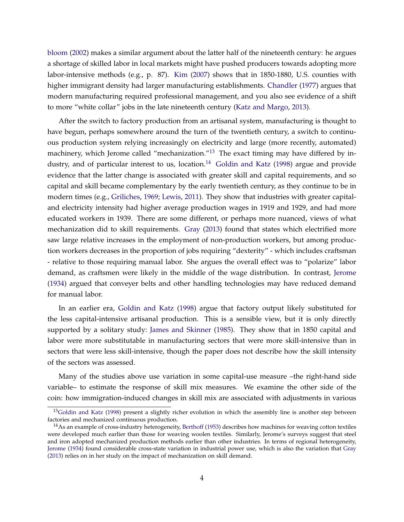[bloom](#page-32-0) [\(2002\)](#page-32-0) makes a similar argument about the latter half of the nineteenth century: he argues a shortage of skilled labor in local markets might have pushed producers towards adopting more labor-intensive methods (e.g., p. 87). [Kim](#page-31-9) [\(2007\)](#page-31-9) shows that in 1850-1880, U.S. counties with higher immigrant density had larger manufacturing establishments. [Chandler](#page-30-9) [\(1977\)](#page-30-9) argues that modern manufacturing required professional management, and you also see evidence of a shift to more "white collar" jobs in the late nineteenth century [\(Katz and Margo,](#page-31-3) [2013\)](#page-31-3).

After the switch to factory production from an artisanal system, manufacturing is thought to have begun, perhaps somewhere around the turn of the twentieth century, a switch to continuous production system relying increasingly on electricity and large (more recently, automated) machinery, which Jerome called "mechanization."<sup>[13](#page-6-0)</sup> The exact timing may have differed by in-dustry, and of particular interest to us, location.<sup>[14](#page-6-1)</sup> [Goldin and Katz](#page-30-0) [\(1998\)](#page-30-0) argue and provide evidence that the latter change is associated with greater skill and capital requirements, and so capital and skill became complementary by the early twentieth century, as they continue to be in modern times (e.g., [Griliches,](#page-30-6) [1969;](#page-30-6) [Lewis,](#page-31-5) [2011\)](#page-31-5). They show that industries with greater capitaland electricity intensity had higher average production wages in 1919 and 1929, and had more educated workers in 1939. There are some different, or perhaps more nuanced, views of what mechanization did to skill requirements. [Gray](#page-30-1) [\(2013\)](#page-30-1) found that states which electrified more saw large relative increases in the employment of non-production workers, but among production workers decreases in the proportion of jobs requiring "dexterity" - which includes craftsman - relative to those requiring manual labor. She argues the overall effect was to "polarize" labor demand, as craftsmen were likely in the middle of the wage distribution. In contrast, [Jerome](#page-31-0) [\(1934\)](#page-31-0) argued that conveyer belts and other handling technologies may have reduced demand for manual labor.

In an earlier era, [Goldin and Katz](#page-30-0) [\(1998\)](#page-30-0) argue that factory output likely substituted for the less capital-intensive artisanal production. This is a sensible view, but it is only directly supported by a solitary study: [James and Skinner](#page-31-10) [\(1985\)](#page-31-10). They show that in 1850 capital and labor were more substitutable in manufacturing sectors that were more skill-intensive than in sectors that were less skill-intensive, though the paper does not describe how the skill intensity of the sectors was assessed.

Many of the studies above use variation in some capital-use measure –the right-hand side variable– to estimate the response of skill mix measures. We examine the other side of the coin: how immigration-induced changes in skill mix are associated with adjustments in various

<span id="page-6-0"></span><sup>&</sup>lt;sup>13</sup>[Goldin and Katz](#page-30-0) [\(1998\)](#page-30-0) present a slightly richer evolution in which the assembly line is another step between factories and mechanized continuous production.

<span id="page-6-1"></span> $14$ As an example of cross-industry heterogeneity, [Berthoff](#page-29-5) [\(1953\)](#page-29-5) describes how machines for weaving cotton textiles were developed much earlier than those for weaving woolen textiles. Similarly, Jerome's surveys suggest that steel and iron adopted mechanized production methods earlier than other industries. In terms of regional heterogeneity, [Jerome](#page-31-0) [\(1934\)](#page-31-0) found considerable cross-state variation in industrial power use, which is also the variation that [Gray](#page-30-1) [\(2013\)](#page-30-1) relies on in her study on the impact of mechanization on skill demand.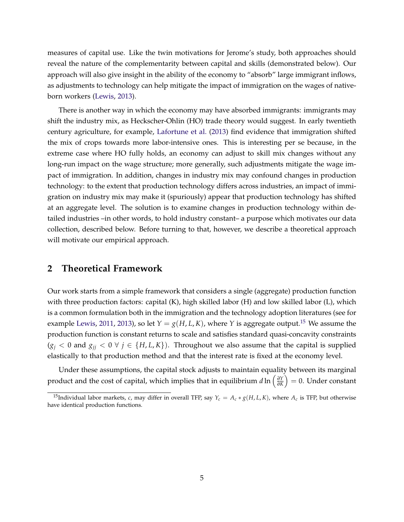measures of capital use. Like the twin motivations for Jerome's study, both approaches should reveal the nature of the complementarity between capital and skills (demonstrated below). Our approach will also give insight in the ability of the economy to "absorb" large immigrant inflows, as adjustments to technology can help mitigate the impact of immigration on the wages of nativeborn workers [\(Lewis,](#page-31-7) [2013\)](#page-31-7).

There is another way in which the economy may have absorbed immigrants: immigrants may shift the industry mix, as Heckscher-Ohlin (HO) trade theory would suggest. In early twentieth century agriculture, for example, [Lafortune et al.](#page-31-6) [\(2013\)](#page-31-6) find evidence that immigration shifted the mix of crops towards more labor-intensive ones. This is interesting per se because, in the extreme case where HO fully holds, an economy can adjust to skill mix changes without any long-run impact on the wage structure; more generally, such adjustments mitigate the wage impact of immigration. In addition, changes in industry mix may confound changes in production technology: to the extent that production technology differs across industries, an impact of immigration on industry mix may make it (spuriously) appear that production technology has shifted at an aggregate level. The solution is to examine changes in production technology within detailed industries –in other words, to hold industry constant– a purpose which motivates our data collection, described below. Before turning to that, however, we describe a theoretical approach will motivate our empirical approach.

#### <span id="page-7-1"></span>**2 Theoretical Framework**

Our work starts from a simple framework that considers a single (aggregate) production function with three production factors: capital (K), high skilled labor (H) and low skilled labor (L), which is a common formulation both in the immigration and the technology adoption literatures (see for example [Lewis,](#page-31-5) [2011,](#page-31-5) [2013\)](#page-31-7), so let  $Y = g(H, L, K)$ , where *Y* is aggregate output.<sup>[15](#page-7-0)</sup> We assume the production function is constant returns to scale and satisfies standard quasi-concavity constraints  $(g<sub>j</sub> < 0$  and  $g<sub>jj</sub> < 0$  ∀  $j \in \{H, L, K\}$ ). Throughout we also assume that the capital is supplied elastically to that production method and that the interest rate is fixed at the economy level.

Under these assumptions, the capital stock adjusts to maintain equality between its marginal product and the cost of capital, which implies that in equilibrium *d* ln  $\left(\frac{\partial Y}{\partial K}\right)$ *∂K*  $= 0$ . Under constant

<span id="page-7-0"></span><sup>&</sup>lt;sup>15</sup>Individual labor markets, *c*, may differ in overall TFP, say  $Y_c = A_c * g(H, L, K)$ , where  $A_c$  is TFP, but otherwise have identical production functions.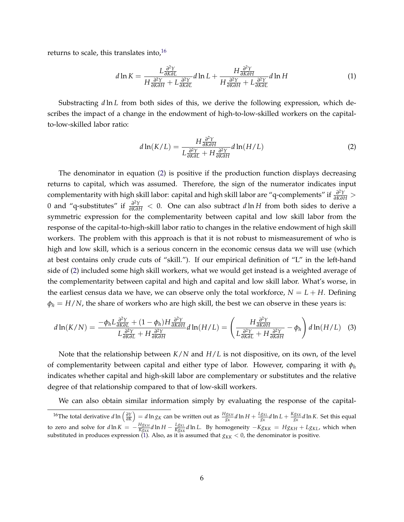returns to scale, this translates into,  $16$ 

$$
d\ln K = \frac{L\frac{\partial^2 Y}{\partial K \partial L}}{H\frac{\partial^2 Y}{\partial K \partial H} + L\frac{\partial^2 Y}{\partial K \partial L}} d\ln L + \frac{H\frac{\partial^2 Y}{\partial K \partial H}}{H\frac{\partial^2 Y}{\partial K \partial H} + L\frac{\partial^2 Y}{\partial K \partial L}} d\ln H
$$
(1)

Substracting *d* ln *L* from both sides of this, we derive the following expression, which describes the impact of a change in the endowment of high-to-low-skilled workers on the capitalto-low-skilled labor ratio:

<span id="page-8-3"></span><span id="page-8-2"></span><span id="page-8-1"></span>
$$
d\ln(K/L) = \frac{H\frac{\partial^2 Y}{\partial K \partial H}}{L\frac{\partial^2 Y}{\partial K \partial L} + H\frac{\partial^2 Y}{\partial K \partial H}} d\ln(H/L)
$$
 (2)

The denominator in equation [\(2\)](#page-8-1) is positive if the production function displays decreasing returns to capital, which was assumed. Therefore, the sign of the numerator indicates input complementarity with high skill labor: capital and high skill labor are "q-complements" if *<sup>∂</sup>* 2*Y <sup>∂</sup>K∂<sup>H</sup>* > 0 and "q-substitutes" if *<sup>∂</sup>* 2*Y <sup>∂</sup>K∂<sup>H</sup>* < 0. One can also subtract *d* ln *H* from both sides to derive a symmetric expression for the complementarity between capital and low skill labor from the response of the capital-to-high-skill labor ratio to changes in the relative endowment of high skill workers. The problem with this approach is that it is not robust to mismeasurement of who is high and low skill, which is a serious concern in the economic census data we will use (which at best contains only crude cuts of "skill."). If our empirical definition of "L" in the left-hand side of [\(2\)](#page-8-1) included some high skill workers, what we would get instead is a weighted average of the complementarity between capital and high and capital and low skill labor. What's worse, in the earliest census data we have, we can observe only the total workforce,  $N = L + H$ . Defining  $\phi_h = H/N$ , the share of workers who are high skill, the best we can observe in these years is:

$$
d\ln(K/N) = \frac{-\phi_h L \frac{\partial^2 Y}{\partial K \partial L} + (1 - \phi_h) H \frac{\partial^2 Y}{\partial K \partial H}}{L \frac{\partial^2 Y}{\partial K \partial L} + H \frac{\partial^2 Y}{\partial K \partial H}} d\ln(H/L) = \left(\frac{H \frac{\partial^2 Y}{\partial K \partial H}}{L \frac{\partial^2 Y}{\partial K \partial L} + H \frac{\partial^2 Y}{\partial K \partial H}} - \phi_h\right) d\ln(H/L) \quad (3)
$$

Note that the relationship between *K*/*N* and *H*/*L* is not dispositive, on its own, of the level of complementarity between capital and either type of labor. However, comparing it with *φ<sup>h</sup>* indicates whether capital and high-skill labor are complementary or substitutes and the relative degree of that relationship compared to that of low-skill workers.

We can also obtain similar information simply by evaluating the response of the capital-

<span id="page-8-0"></span><sup>&</sup>lt;sup>16</sup>The total derivative  $d\ln\left(\frac{\partial Y}{\partial K}\right)=d\ln g_K$  can be written out as  $\frac{Hg_{KH}}{g_K}d\ln H+\frac{Lg_{KL}}{g_K}d\ln L+\frac{Kg_{KK}}{g_K}d\ln K$ . Set this equal to zero and solve for  $d\ln K = -\frac{Hg_{KH}}{Kg_{KK}}d\ln H - \frac{Lg_{KL}}{Kg_{KK}}d\ln L$ . By homogeneity  $-Kg_{KK} = Hg_{KH} + Lg_{KL}$ , which when substituted in produces expression [\(1\)](#page-8-2). Also, as it is assumed that  $g_{KK} < 0$ , the denominator is positive.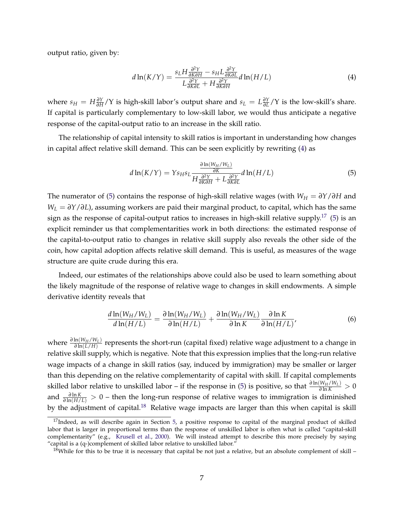output ratio, given by:

<span id="page-9-0"></span>
$$
d\ln(K/Y) = \frac{s_L H \frac{\partial^2 Y}{\partial K \partial H} - s_H L \frac{\partial^2 Y}{\partial K \partial L}}{L \frac{\partial^2 Y}{\partial K \partial L} + H \frac{\partial^2 Y}{\partial K \partial H}} d\ln(H/L)
$$
(4)

where  $s_H = H \frac{\partial Y}{\partial H}$ *∂*<sup>*Y*</sup> is high-skill labor's output share and  $s_L = L\frac{\partial Y}{\partial L}$ *∂L* /Y is the low-skill's share. If capital is particularly complementary to low-skill labor, we would thus anticipate a negative response of the capital-output ratio to an increase in the skill ratio.

The relationship of capital intensity to skill ratios is important in understanding how changes in capital affect relative skill demand. This can be seen explicitly by rewriting [\(4\)](#page-9-0) as

<span id="page-9-1"></span>
$$
d\ln(K/Y) = Ys_Hs_L \frac{\frac{\partial \ln(W_H/W_L)}{\partial K}}{H \frac{\partial^2 Y}{\partial K \partial H} + L \frac{\partial^2 Y}{\partial K \partial L}} d\ln(H/L)
$$
(5)

The numerator of [\(5\)](#page-9-1) contains the response of high-skill relative wages (with  $W_H = \partial Y/\partial H$  and *W<sup>L</sup>* = *∂Y*/*∂L*), assuming workers are paid their marginal product, to capital, which has the same sign as the response of capital-output ratios to increases in high-skill relative supply.<sup>[17](#page-9-2)</sup> [\(5\)](#page-9-1) is an explicit reminder us that complementarities work in both directions: the estimated response of the capital-to-output ratio to changes in relative skill supply also reveals the other side of the coin, how capital adoption affects relative skill demand. This is useful, as measures of the wage structure are quite crude during this era.

Indeed, our estimates of the relationships above could also be used to learn something about the likely magnitude of the response of relative wage to changes in skill endowments. A simple derivative identity reveals that

$$
\frac{d\ln(W_H/W_L)}{d\ln(H/L)} = \frac{\partial \ln(W_H/W_L)}{\partial \ln(H/L)} + \frac{\partial \ln(W_H/W_L)}{\partial \ln(K)} \frac{\partial \ln(K)}{\partial \ln(H/L)},
$$
(6)

*√ a* ln(*W<sub>H</sub>*/*W<sub>L</sub>*) eepresents the short-run (capital fixed) relative wage adjustment to a change in relative skill supply, which is negative. Note that this expression implies that the long-run relative wage impacts of a change in skill ratios (say, induced by immigration) may be smaller or larger than this depending on the relative complementarity of capital with skill. If capital complements skilled labor relative to unskilled labor – if the response in [\(5\)](#page-9-1) is positive, so that  $\frac{\partial \ln(W_H/W_L)}{\partial \ln K} > 0$ and  $\frac{\partial \ln K}{\partial \ln(H/L)} > 0$  – then the long-run response of relative wages to immigration is diminished by the adjustment of capital.<sup>[18](#page-9-3)</sup> Relative wage impacts are larger than this when capital is skill

<span id="page-9-2"></span> $17$ Indeed, as will describe again in Section [5,](#page-17-0) a positive response to capital of the marginal product of skilled labor that is larger in proportional terms than the response of unskilled labor is often what is called "capital-skill complementarity" (e.g., [Krusell et al.,](#page-31-4) [2000\)](#page-31-4). We will instead attempt to describe this more precisely by saying "capital is a (q-)complement of skilled labor relative to unskilled labor."

<span id="page-9-3"></span><sup>&</sup>lt;sup>18</sup>While for this to be true it is necessary that capital be not just a relative, but an absolute complement of skill  $-$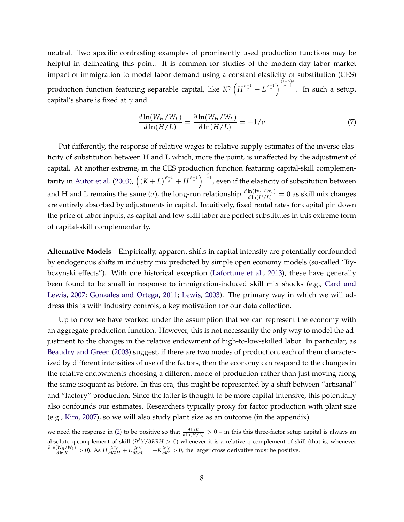neutral. Two specific contrasting examples of prominently used production functions may be helpful in delineating this point. It is common for studies of the modern-day labor market impact of immigration to model labor demand using a constant elasticity of substitution (CES) *production function featuring separable capital, like*  $K^\gamma \left(H^{\frac{\sigma-1}{\sigma}} + L^{\frac{\sigma-1}{\sigma}}\right)^{\frac{(1-\gamma)\sigma}{\sigma-1}}$ *. In such a setup,* capital's share is fixed at *γ* and

$$
\frac{d\ln(W_H/W_L)}{d\ln(H/L)} = \frac{\partial \ln(W_H/W_L)}{\partial \ln(H/L)} = -1/\sigma \tag{7}
$$

Put differently, the response of relative wages to relative supply estimates of the inverse elasticity of substitution between H and L which, more the point, is unaffected by the adjustment of capital. At another extreme, in the CES production function featuring capital-skill complemen-tarity in [Autor et al.](#page-29-1) [\(2003\)](#page-29-1),  $\left((K+L)^{\frac{\sigma-1}{\sigma}}+H^{\frac{\sigma-1}{\sigma}}\right)^{\frac{\sigma}{\sigma-1}}$ , even if the elasticity of substitution between and H and L remains the same ( $\sigma$ ), the long-run relationship  $\frac{d \ln(W_H/W_L)}{d \ln(H/L)} = 0$  as skill mix changes are entirely absorbed by adjustments in capital. Intuitively, fixed rental rates for capital pin down the price of labor inputs, as capital and low-skill labor are perfect substitutes in this extreme form of capital-skill complementarity.

**Alternative Models** Empirically, apparent shifts in capital intensity are potentially confounded by endogenous shifts in industry mix predicted by simple open economy models (so-called "Rybczynski effects"). With one historical exception [\(Lafortune et al.,](#page-31-6) [2013\)](#page-31-6), these have generally been found to be small in response to immigration-induced skill mix shocks (e.g., [Card and](#page-30-10) [Lewis,](#page-30-10) [2007;](#page-30-10) [Gonzales and Ortega,](#page-30-11) [2011;](#page-30-11) [Lewis,](#page-31-11) [2003\)](#page-31-11). The primary way in which we will address this is with industry controls, a key motivation for our data collection.

Up to now we have worked under the assumption that we can represent the economy with an aggregate production function. However, this is not necessarily the only way to model the adjustment to the changes in the relative endowment of high-to-low-skilled labor. In particular, as [Beaudry and Green](#page-29-7) [\(2003\)](#page-29-7) suggest, if there are two modes of production, each of them characterized by different intensities of use of the factors, then the economy can respond to the changes in the relative endowments choosing a different mode of production rather than just moving along the same isoquant as before. In this era, this might be represented by a shift between "artisanal" and "factory" production. Since the latter is thought to be more capital-intensive, this potentially also confounds our estimates. Researchers typically proxy for factor production with plant size (e.g., [Kim,](#page-31-9) [2007\)](#page-31-9), so we will also study plant size as an outcome (in the appendix).

we need the response in [\(2\)](#page-8-1) to be positive so that  $\frac{\partial \ln K}{\partial \ln(H/L)} > 0$  – in this this three-factor setup capital is always an absolute q-complement of skill (*∂* <sup>2</sup>*Y*/*∂K∂H* > 0) whenever it is a relative q-complement of skill (that is, whenever  $\frac{\partial \ln(W_H/W_L)}{\partial \ln K} > 0$ ). As  $H \frac{\partial^2 Y}{\partial K \partial H} + L \frac{\partial^2 Y}{\partial K \partial L} = -K \frac{\partial^2 Y}{\partial K^2} > 0$ , the larger cross derivative must be positive.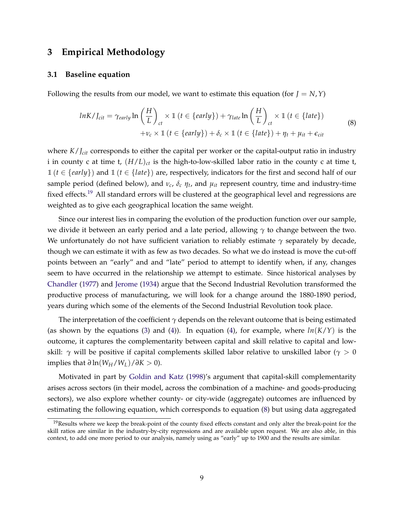## **3 Empirical Methodology**

#### **3.1 Baseline equation**

Following the results from our model, we want to estimate this equation (for  $J = N$ ,  $Y$ )

<span id="page-11-1"></span>
$$
lnK/J_{cit} = \gamma_{early} \ln\left(\frac{H}{L}\right)_{ct} \times \mathbb{1} \left(t \in \{early\}\right) + \gamma_{late} \ln\left(\frac{H}{L}\right)_{ct} \times \mathbb{1} \left(t \in \{late\}\right)
$$
  
+  $\nu_c \times \mathbb{1} \left(t \in \{early\}\right) + \delta_c \times \mathbb{1} \left(t \in \{late\}\right) + \eta_t + \mu_{it} + \epsilon_{cit}$  (8)

where *K*/*J*<sub>*cit*</sub> corresponds to either the capital per worker or the capital-output ratio in industry i in county c at time t,  $(H/L)_{ct}$  is the high-to-low-skilled labor ratio in the county c at time t,  $1 (t \in \{early\})$  and  $1 (t \in \{late\})$  are, respectively, indicators for the first and second half of our sample period (defined below), and *ν<sup>c</sup>* , *δ<sup>c</sup> η<sup>t</sup>* , and *µit* represent country, time and industry-time fixed effects.<sup>[19](#page-11-0)</sup> All standard errors will be clustered at the geographical level and regressions are weighted as to give each geographical location the same weight.

Since our interest lies in comparing the evolution of the production function over our sample, we divide it between an early period and a late period, allowing *γ* to change between the two. We unfortunately do not have sufficient variation to reliably estimate *γ* separately by decade, though we can estimate it with as few as two decades. So what we do instead is move the cut-off points between an "early" and and "late" period to attempt to identify when, if any, changes seem to have occurred in the relationship we attempt to estimate. Since historical analyses by [Chandler](#page-30-9) [\(1977\)](#page-30-9) and [Jerome](#page-31-0) [\(1934\)](#page-31-0) argue that the Second Industrial Revolution transformed the productive process of manufacturing, we will look for a change around the 1880-1890 period, years during which some of the elements of the Second Industrial Revolution took place.

The interpretation of the coefficient  $\gamma$  depends on the relevant outcome that is being estimated (as shown by the equations [\(3\)](#page-8-3) and [\(4\)](#page-9-0)). In equation (4), for example, where  $ln(K/Y)$  is the outcome, it captures the complementarity between capital and skill relative to capital and lowskill: *γ* will be positive if capital complements skilled labor relative to unskilled labor (*γ* > 0 implies that  $\partial \ln(W_H/W_L)/\partial K > 0$ ).

Motivated in part by [Goldin and Katz](#page-30-0) [\(1998\)](#page-30-0)'s argument that capital-skill complementarity arises across sectors (in their model, across the combination of a machine- and goods-producing sectors), we also explore whether county- or city-wide (aggregate) outcomes are influenced by estimating the following equation, which corresponds to equation [\(8\)](#page-11-1) but using data aggregated

<span id="page-11-0"></span> $19$ Results where we keep the break-point of the county fixed effects constant and only alter the break-point for the skill ratios are similar in the industry-by-city regressions and are available upon request. We are also able, in this context, to add one more period to our analysis, namely using as "early" up to 1900 and the results are similar.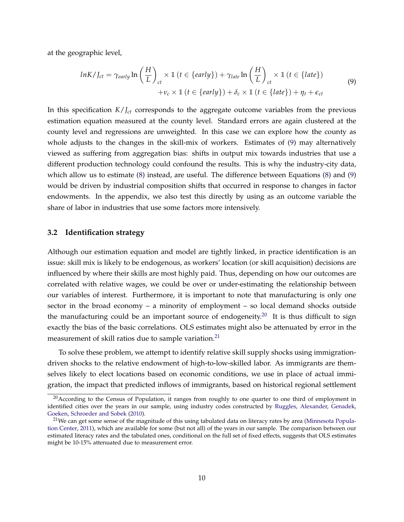at the geographic level,

<span id="page-12-0"></span>
$$
lnK/J_{ct} = \gamma_{early} \ln\left(\frac{H}{L}\right)_{ct} \times \mathbb{1} \ (t \in \{early\}) + \gamma_{late} \ln\left(\frac{H}{L}\right)_{ct} \times \mathbb{1} \ (t \in \{late\})
$$
  
+  $\nu_c \times \mathbb{1} \ (t \in \{early\}) + \delta_c \times \mathbb{1} \ (t \in \{late\}) + \eta_t + \epsilon_{ct}$  (9)

In this specification  $K/I_{ct}$  corresponds to the aggregate outcome variables from the previous estimation equation measured at the county level. Standard errors are again clustered at the county level and regressions are unweighted. In this case we can explore how the county as whole adjusts to the changes in the skill-mix of workers. Estimates of [\(9\)](#page-12-0) may alternatively viewed as suffering from aggregation bias: shifts in output mix towards industries that use a different production technology could confound the results. This is why the industry-city data, which allow us to estimate [\(8\)](#page-11-1) instead, are useful. The difference between Equations [\(8\)](#page-11-1) and [\(9\)](#page-12-0) would be driven by industrial composition shifts that occurred in response to changes in factor endowments. In the appendix, we also test this directly by using as an outcome variable the share of labor in industries that use some factors more intensively.

#### **3.2 Identification strategy**

Although our estimation equation and model are tightly linked, in practice identification is an issue: skill mix is likely to be endogenous, as workers' location (or skill acquisition) decisions are influenced by where their skills are most highly paid. Thus, depending on how our outcomes are correlated with relative wages, we could be over or under-estimating the relationship between our variables of interest. Furthermore, it is important to note that manufacturing is only one sector in the broad economy – a minority of employment – so local demand shocks outside the manufacturing could be an important source of endogeneity.<sup>[20](#page-12-1)</sup> It is thus difficult to sign exactly the bias of the basic correlations. OLS estimates might also be attenuated by error in the measurement of skill ratios due to sample variation.<sup>[21](#page-12-2)</sup>

To solve these problem, we attempt to identify relative skill supply shocks using immigrationdriven shocks to the relative endowment of high-to-low-skilled labor. As immigrants are themselves likely to elect locations based on economic conditions, we use in place of actual immigration, the impact that predicted inflows of immigrants, based on historical regional settlement

<span id="page-12-1"></span><sup>&</sup>lt;sup>20</sup> According to the Census of Population, it ranges from roughly to one quarter to one third of employment in identified cities over the years in our sample, using industry codes constructed by [Ruggles, Alexander, Genadek,](#page-32-1) [Goeken, Schroeder and Sobek](#page-32-1) [\(2010\)](#page-32-1).

<span id="page-12-2"></span> $21$ We can get some sense of the magnitude of this using tabulated data on literacy rates by area [\(Minnesota Popula](#page-32-2)[tion Center,](#page-32-2) [2011\)](#page-32-2), which are available for some (but not all) of the years in our sample. The comparison between our estimated literacy rates and the tabulated ones, conditional on the full set of fixed effects, suggests that OLS estimates might be 10-15% attenuated due to measurement error.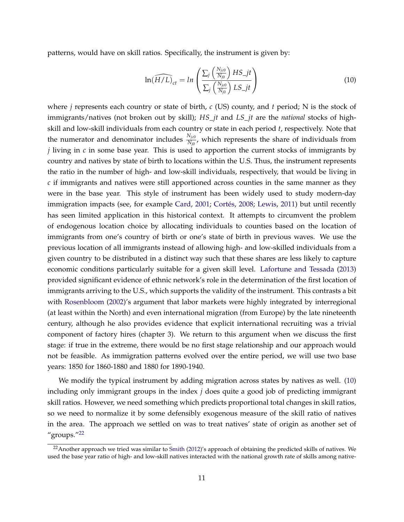patterns, would have on skill ratios. Specifically, the instrument is given by:

<span id="page-13-0"></span>
$$
\ln(\widehat{H/L})_{ct} = \ln\left(\frac{\sum_{j} \left(\frac{N_{j c 0}}{N_{j 0}}\right) HS_{j t}}{\sum_{j} \left(\frac{N_{j c 0}}{N_{j 0}}\right) LS_{j t}}\right)
$$
(10)

where *j* represents each country or state of birth, *c* (US) county, and *t* period; N is the stock of immigrants/natives (not broken out by skill); *HS*\_*jt* and *LS*\_*jt* are the *national* stocks of highskill and low-skill individuals from each country or state in each period *t*, respectively. Note that the numerator and denominator includes  $\frac{N_{j\sigma0}}{N_{j0}}$ , which represents the share of individuals from *j* living in *c* in some base year. This is used to apportion the current stocks of immigrants by country and natives by state of birth to locations within the U.S. Thus, the instrument represents the ratio in the number of high- and low-skill individuals, respectively, that would be living in *c* if immigrants and natives were still apportioned across counties in the same manner as they were in the base year. This style of instrument has been widely used to study modern-day immigration impacts (see, for example [Card,](#page-29-2) [2001;](#page-29-2) [Cortés,](#page-30-2) [2008;](#page-30-2) [Lewis,](#page-31-5) [2011\)](#page-31-5) but until recently has seen limited application in this historical context. It attempts to circumvent the problem of endogenous location choice by allocating individuals to counties based on the location of immigrants from one's country of birth or one's state of birth in previous waves. We use the previous location of all immigrants instead of allowing high- and low-skilled individuals from a given country to be distributed in a distinct way such that these shares are less likely to capture economic conditions particularly suitable for a given skill level. [Lafortune and Tessada](#page-31-12) [\(2013\)](#page-31-12) provided significant evidence of ethnic network's role in the determination of the first location of immigrants arriving to the U.S., which supports the validity of the instrument. This contrasts a bit with [Rosenbloom](#page-32-0) [\(2002\)](#page-32-0)'s argument that labor markets were highly integrated by interregional (at least within the North) and even international migration (from Europe) by the late nineteenth century, although he also provides evidence that explicit international recruiting was a trivial component of factory hires (chapter 3). We return to this argument when we discuss the first stage: if true in the extreme, there would be no first stage relationship and our approach would not be feasible. As immigration patterns evolved over the entire period, we will use two base years: 1850 for 1860-1880 and 1880 for 1890-1940.

We modify the typical instrument by adding migration across states by natives as well. [\(10\)](#page-13-0) including only immigrant groups in the index *j* does quite a good job of predicting immigrant skill ratios. However, we need something which predicts proportional total changes in skill ratios, so we need to normalize it by some defensibly exogenous measure of the skill ratio of natives in the area. The approach we settled on was to treat natives' state of origin as another set of "groups."<sup>[22](#page-13-1)</sup>

<span id="page-13-1"></span><sup>&</sup>lt;sup>22</sup> Another approach we tried was similar to [Smith](#page-32-3) [\(2012\)](#page-32-3)'s approach of obtaining the predicted skills of natives. We used the base year ratio of high- and low-skill natives interacted with the national growth rate of skills among native-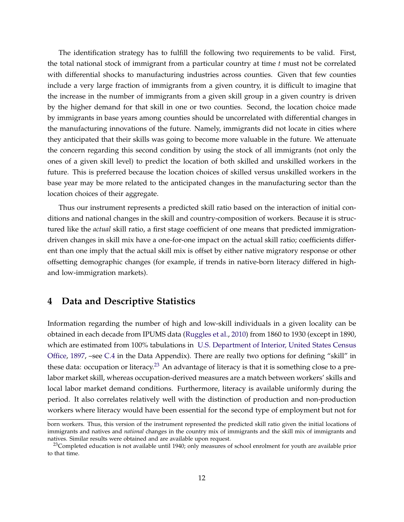The identification strategy has to fulfill the following two requirements to be valid. First, the total national stock of immigrant from a particular country at time *t* must not be correlated with differential shocks to manufacturing industries across counties. Given that few counties include a very large fraction of immigrants from a given country, it is difficult to imagine that the increase in the number of immigrants from a given skill group in a given country is driven by the higher demand for that skill in one or two counties. Second, the location choice made by immigrants in base years among counties should be uncorrelated with differential changes in the manufacturing innovations of the future. Namely, immigrants did not locate in cities where they anticipated that their skills was going to become more valuable in the future. We attenuate the concern regarding this second condition by using the stock of all immigrants (not only the ones of a given skill level) to predict the location of both skilled and unskilled workers in the future. This is preferred because the location choices of skilled versus unskilled workers in the base year may be more related to the anticipated changes in the manufacturing sector than the location choices of their aggregate.

Thus our instrument represents a predicted skill ratio based on the interaction of initial conditions and national changes in the skill and country-composition of workers. Because it is structured like the *actual* skill ratio, a first stage coefficient of one means that predicted immigrationdriven changes in skill mix have a one-for-one impact on the actual skill ratio; coefficients different than one imply that the actual skill mix is offset by either native migratory response or other offsetting demographic changes (for example, if trends in native-born literacy differed in highand low-immigration markets).

## <span id="page-14-1"></span>**4 Data and Descriptive Statistics**

Information regarding the number of high and low-skill individuals in a given locality can be obtained in each decade from IPUMS data [\(Ruggles et al.,](#page-32-1) [2010\)](#page-32-1) from 1860 to 1930 (except in 1890, which are estimated from 100% tabulations in [U.S. Department of Interior, United States Census](#page-32-4) [Office,](#page-32-4) [1897,](#page-32-4) –see [C.4](#page-93-0) in the Data Appendix). There are really two options for defining "skill" in these data: occupation or literacy.<sup>[23](#page-14-0)</sup> An advantage of literacy is that it is something close to a prelabor market skill, whereas occupation-derived measures are a match between workers' skills and local labor market demand conditions. Furthermore, literacy is available uniformly during the period. It also correlates relatively well with the distinction of production and non-production workers where literacy would have been essential for the second type of employment but not for

born workers. Thus, this version of the instrument represented the predicted skill ratio given the initial locations of immigrants and natives and *national* changes in the country mix of immigrants and the skill mix of immigrants and natives. Similar results were obtained and are available upon request.

<span id="page-14-0"></span><sup>&</sup>lt;sup>23</sup>Completed education is not available until 1940; only measures of school enrolment for youth are available prior to that time.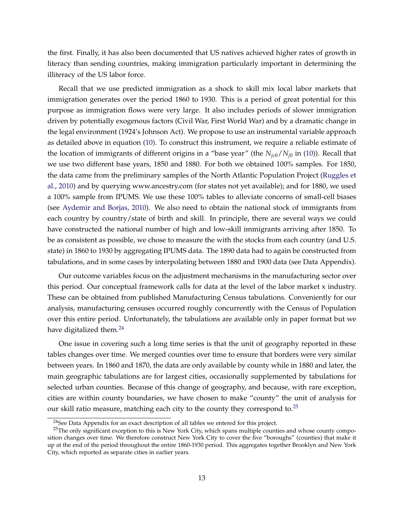the first. Finally, it has also been documented that US natives achieved higher rates of growth in literacy than sending countries, making immigration particularly important in determining the illiteracy of the US labor force.

Recall that we use predicted immigration as a shock to skill mix local labor markets that immigration generates over the period 1860 to 1930. This is a period of great potential for this purpose as immigration flows were very large. It also includes periods of slower immigration driven by potentially exogenous factors (Civil War, First World War) and by a dramatic change in the legal environment (1924's Johnson Act). We propose to use an instrumental variable approach as detailed above in equation [\(10\)](#page-13-0). To construct this instrument, we require a reliable estimate of the location of immigrants of different origins in a "base year" (the  $N_{ic0}/N_{i0}$  in [\(10\)](#page-13-0)). Recall that we use two different base years, 1850 and 1880. For both we obtained 100% samples. For 1850, the data came from the preliminary samples of the North Atlantic Population Project [\(Ruggles et](#page-32-1) [al.,](#page-32-1) [2010\)](#page-32-1) and by querying www.ancestry.com (for states not yet available); and for 1880, we used a 100% sample from IPUMS. We use these 100% tables to alleviate concerns of small-cell biases (see [Aydemir and Borjas,](#page-29-8) [2010\)](#page-29-8). We also need to obtain the national stock of immigrants from each country by country/state of birth and skill. In principle, there are several ways we could have constructed the national number of high and low-skill immigrants arriving after 1850. To be as consistent as possible, we chose to measure the with the stocks from each country (and U.S. state) in 1860 to 1930 by aggregating IPUMS data. The 1890 data had to again be constructed from tabulations, and in some cases by interpolating between 1880 and 1900 data (see Data Appendix).

Our outcome variables focus on the adjustment mechanisms in the manufacturing sector over this period. Our conceptual framework calls for data at the level of the labor market x industry. These can be obtained from published Manufacturing Census tabulations. Conveniently for our analysis, manufacturing censuses occurred roughly concurrently with the Census of Population over this entire period. Unfortunately, the tabulations are available only in paper format but we have digitalized them.<sup>[24](#page-15-0)</sup>

One issue in covering such a long time series is that the unit of geography reported in these tables changes over time. We merged counties over time to ensure that borders were very similar between years. In 1860 and 1870, the data are only available by county while in 1880 and later, the main geographic tabulations are for largest cities, occasionally supplemented by tabulations for selected urban counties. Because of this change of geography, and because, with rare exception, cities are within county boundaries, we have chosen to make "county" the unit of analysis for our skill ratio measure, matching each city to the county they correspond to. $25$ 

<span id="page-15-1"></span><span id="page-15-0"></span> $24$ See Data Appendix for an exact description of all tables we entered for this project.

<sup>&</sup>lt;sup>25</sup>The only significant exception to this is New York City, which spans multiple counties and whose county composition changes over time. We therefore construct New York City to cover the five "boroughs" (counties) that make it up at the end of the period throughout the entire 1860-1930 period. This aggregates together Brooklyn and New York City, which reported as separate cities in earlier years.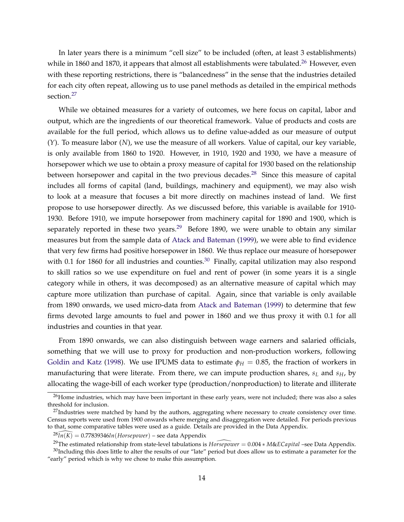In later years there is a minimum "cell size" to be included (often, at least 3 establishments) while in 1860 and 1870, it appears that almost all establishments were tabulated.<sup>[26](#page-16-0)</sup> However, even with these reporting restrictions, there is "balancedness" in the sense that the industries detailed for each city often repeat, allowing us to use panel methods as detailed in the empirical methods section.<sup>[27](#page-16-1)</sup>

While we obtained measures for a variety of outcomes, we here focus on capital, labor and output, which are the ingredients of our theoretical framework. Value of products and costs are available for the full period, which allows us to define value-added as our measure of output (*Y*). To measure labor (*N*), we use the measure of all workers. Value of capital, our key variable, is only available from 1860 to 1920. However, in 1910, 1920 and 1930, we have a measure of horsepower which we use to obtain a proxy measure of capital for 1930 based on the relationship between horsepower and capital in the two previous decades.<sup>[28](#page-16-2)</sup> Since this measure of capital includes all forms of capital (land, buildings, machinery and equipment), we may also wish to look at a measure that focuses a bit more directly on machines instead of land. We first propose to use horsepower directly. As we discussed before, this variable is available for 1910- 1930. Before 1910, we impute horsepower from machinery capital for 1890 and 1900, which is separately reported in these two years.<sup>[29](#page-16-3)</sup> Before 1890, we were unable to obtain any similar measures but from the sample data of [Atack and Bateman](#page-29-9) [\(1999\)](#page-29-9), we were able to find evidence that very few firms had positive horsepower in 1860. We thus replace our measure of horsepower with 0.1 for 1860 for all industries and counties.<sup>[30](#page-16-4)</sup> Finally, capital utilization may also respond to skill ratios so we use expenditure on fuel and rent of power (in some years it is a single category while in others, it was decomposed) as an alternative measure of capital which may capture more utilization than purchase of capital. Again, since that variable is only available from 1890 onwards, we used micro-data from [Atack and Bateman](#page-29-9) [\(1999\)](#page-29-9) to determine that few firms devoted large amounts to fuel and power in 1860 and we thus proxy it with 0.1 for all industries and counties in that year.

From 1890 onwards, we can also distinguish between wage earners and salaried officials, something that we will use to proxy for production and non-production workers, following [Goldin and Katz](#page-30-0) [\(1998\)](#page-30-0). We use IPUMS data to estimate  $\phi_H = 0.85$ , the fraction of workers in manufacturing that were literate. From there, we can impute production shares, *s<sup>L</sup>* and *sH*, by allocating the wage-bill of each worker type (production/nonproduction) to literate and illiterate

<span id="page-16-0"></span> $26$ Home industries, which may have been important in these early years, were not included; there was also a sales threshold for inclusion.

<span id="page-16-1"></span> $27$ Industries were matched by hand by the authors, aggregating where necessary to create consistency over time. Census reports were used from 1900 onwards where merging and disaggregation were detailed. For periods previous to that, some comparative tables were used as a guide. Details are provided in the Data Appendix.

<span id="page-16-3"></span><span id="page-16-2"></span> $28\overline{ln(K)} = 0.77839346ln(Horsepower)$  – see data Appendix

<span id="page-16-4"></span><sup>29</sup>The estimated relationship from state-level tabulations is *Horsepower* \ <sup>=</sup> 0.004 <sup>∗</sup> *<sup>M</sup>*&*ECapital* –see Data Appendix.  $30$ Including this does little to alter the results of our "late" period but does allow us to estimate a parameter for the "early" period which is why we chose to make this assumption.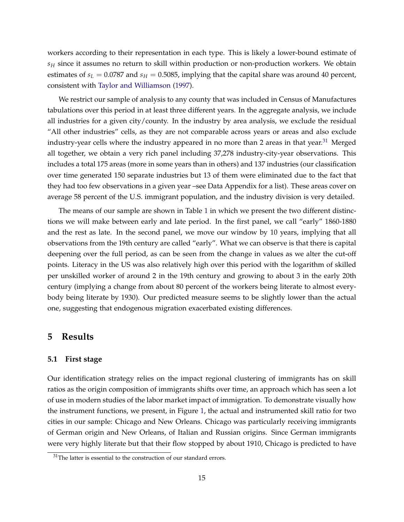workers according to their representation in each type. This is likely a lower-bound estimate of *s<sup>H</sup>* since it assumes no return to skill within production or non-production workers. We obtain estimates of  $s_L = 0.0787$  and  $s_H = 0.5085$ , implying that the capital share was around 40 percent, consistent with [Taylor and Williamson](#page-32-5) [\(1997\)](#page-32-5).

We restrict our sample of analysis to any county that was included in Census of Manufactures tabulations over this period in at least three different years. In the aggregate analysis, we include all industries for a given city/county. In the industry by area analysis, we exclude the residual "All other industries" cells, as they are not comparable across years or areas and also exclude industry-year cells where the industry appeared in no more than 2 areas in that year.<sup>[31](#page-17-1)</sup> Merged all together, we obtain a very rich panel including 37,278 industry-city-year observations. This includes a total 175 areas (more in some years than in others) and 137 industries (our classification over time generated 150 separate industries but 13 of them were eliminated due to the fact that they had too few observations in a given year –see Data Appendix for a list). These areas cover on average 58 percent of the U.S. immigrant population, and the industry division is very detailed.

The means of our sample are shown in Table [1](#page-34-0) in which we present the two different distinctions we will make between early and late period. In the first panel, we call "early" 1860-1880 and the rest as late. In the second panel, we move our window by 10 years, implying that all observations from the 19th century are called "early". What we can observe is that there is capital deepening over the full period, as can be seen from the change in values as we alter the cut-off points. Literacy in the US was also relatively high over this period with the logarithm of skilled per unskilled worker of around 2 in the 19th century and growing to about 3 in the early 20th century (implying a change from about 80 percent of the workers being literate to almost everybody being literate by 1930). Our predicted measure seems to be slightly lower than the actual one, suggesting that endogenous migration exacerbated existing differences.

#### <span id="page-17-0"></span>**5 Results**

#### **5.1 First stage**

Our identification strategy relies on the impact regional clustering of immigrants has on skill ratios as the origin composition of immigrants shifts over time, an approach which has seen a lot of use in modern studies of the labor market impact of immigration. To demonstrate visually how the instrument functions, we present, in Figure [1,](#page-33-0) the actual and instrumented skill ratio for two cities in our sample: Chicago and New Orleans. Chicago was particularly receiving immigrants of German origin and New Orleans, of Italian and Russian origins. Since German immigrants were very highly literate but that their flow stopped by about 1910, Chicago is predicted to have

<span id="page-17-1"></span> $31$ The latter is essential to the construction of our standard errors.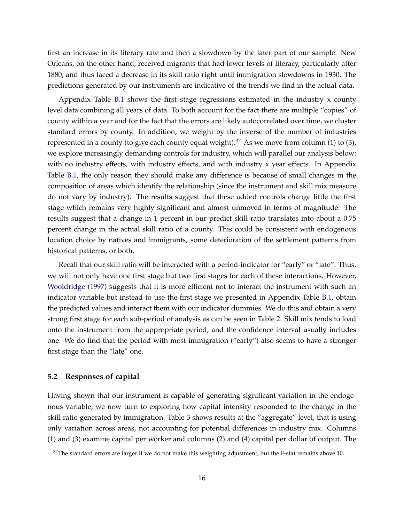first an increase in its literacy rate and then a slowdown by the later part of our sample. New Orleans, on the other hand, received migrants that had lower levels of literacy, particularly after 1880, and thus faced a decrease in its skill ratio right until immigration slowdowns in 1930. The predictions generated by our instruments are indicative of the trends we find in the actual data.

Appendix Table [B.1](#page-46-0) shows the first stage regressions estimated in the industry x county level data combining all years of data. To both account for the fact there are multiple "copies" of county within a year and for the fact that the errors are likely autocorrelated over time, we cluster standard errors by county. In addition, we weight by the inverse of the number of industries represented in a county (to give each county equal weight).<sup>[32](#page-18-0)</sup> As we move from column (1) to (3), we explore increasingly demanding controls for industry, which will parallel our analysis below: with no industry effects, with industry effects, and with industry x year effects. In Appendix Table [B.1,](#page-46-0) the only reason they should make any difference is because of small changes in the composition of areas which identify the relationship (since the instrument and skill mix measure do not vary by industry). The results suggest that these added controls change little the first stage which remains very highly significant and almost unmoved in terms of magnitude. The results suggest that a change in 1 percent in our predict skill ratio translates into about a 0.75 percent change in the actual skill ratio of a county. This could be consistent with endogenous location choice by natives and immigrants, some deterioration of the settlement patterns from historical patterns, or both.

Recall that our skill ratio will be interacted with a period-indicator for "early" or "late". Thus, we will not only have one first stage but two first stages for each of these interactions. However, [Wooldridge](#page-32-6) [\(1997\)](#page-32-6) suggests that it is more efficient not to interact the instrument with such an indicator variable but instead to use the first stage we presented in Appendix Table [B.1,](#page-46-0) obtain the predicted values and interact them with our indicator dummies. We do this and obtain a very strong first stage for each sub-period of analysis as can be seen in Table [2.](#page-35-0) Skill mix tends to load onto the instrument from the appropriate period, and the confidence interval usually includes one. We do find that the period with most immigration ("early") also seems to have a stronger first stage than the "late" one.

#### **5.2 Responses of capital**

Having shown that our instrument is capable of generating significant variation in the endogenous variable, we now turn to exploring how capital intensity responded to the change in the skill ratio generated by immigration. Table [3](#page-36-0) shows results at the "aggregate" level, that is using only variation across areas, not accounting for potential differences in industry mix. Columns (1) and (3) examine capital per worker and columns (2) and (4) capital per dollar of output. The

<span id="page-18-0"></span> $32$ The standard errors are larger if we do not make this weighting adjustment, but the F-stat remains above 10.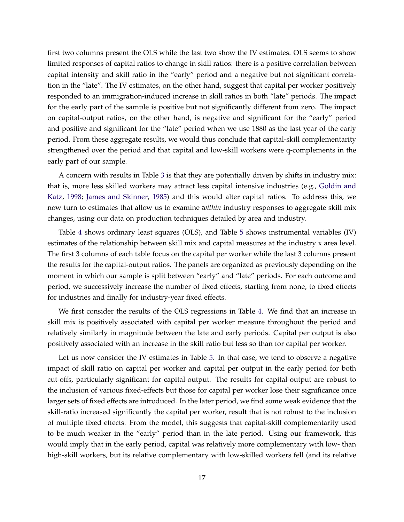first two columns present the OLS while the last two show the IV estimates. OLS seems to show limited responses of capital ratios to change in skill ratios: there is a positive correlation between capital intensity and skill ratio in the "early" period and a negative but not significant correlation in the "late". The IV estimates, on the other hand, suggest that capital per worker positively responded to an immigration-induced increase in skill ratios in both "late" periods. The impact for the early part of the sample is positive but not significantly different from zero. The impact on capital-output ratios, on the other hand, is negative and significant for the "early" period and positive and significant for the "late" period when we use 1880 as the last year of the early period. From these aggregate results, we would thus conclude that capital-skill complementarity strengthened over the period and that capital and low-skill workers were q-complements in the early part of our sample.

A concern with results in Table [3](#page-36-0) is that they are potentially driven by shifts in industry mix: that is, more less skilled workers may attract less capital intensive industries (e.g., [Goldin and](#page-30-0) [Katz,](#page-30-0) [1998;](#page-30-0) [James and Skinner,](#page-31-10) [1985\)](#page-31-10) and this would alter capital ratios. To address this, we now turn to estimates that allow us to examine *within* industry responses to aggregate skill mix changes, using our data on production techniques detailed by area and industry.

Table [4](#page-37-0) shows ordinary least squares (OLS), and Table [5](#page-38-0) shows instrumental variables (IV) estimates of the relationship between skill mix and capital measures at the industry x area level. The first 3 columns of each table focus on the capital per worker while the last 3 columns present the results for the capital-output ratios. The panels are organized as previously depending on the moment in which our sample is split between "early" and "late" periods. For each outcome and period, we successively increase the number of fixed effects, starting from none, to fixed effects for industries and finally for industry-year fixed effects.

We first consider the results of the OLS regressions in Table [4.](#page-37-0) We find that an increase in skill mix is positively associated with capital per worker measure throughout the period and relatively similarly in magnitude between the late and early periods. Capital per output is also positively associated with an increase in the skill ratio but less so than for capital per worker.

Let us now consider the IV estimates in Table [5.](#page-38-0) In that case, we tend to observe a negative impact of skill ratio on capital per worker and capital per output in the early period for both cut-offs, particularly significant for capital-output. The results for capital-output are robust to the inclusion of various fixed-effects but those for capital per worker lose their significance once larger sets of fixed effects are introduced. In the later period, we find some weak evidence that the skill-ratio increased significantly the capital per worker, result that is not robust to the inclusion of multiple fixed effects. From the model, this suggests that capital-skill complementarity used to be much weaker in the "early" period than in the late period. Using our framework, this would imply that in the early period, capital was relatively more complementary with low- than high-skill workers, but its relative complementary with low-skilled workers fell (and its relative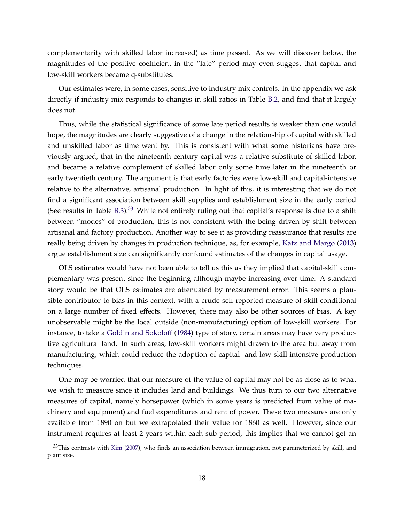complementarity with skilled labor increased) as time passed. As we will discover below, the magnitudes of the positive coefficient in the "late" period may even suggest that capital and low-skill workers became q-substitutes.

Our estimates were, in some cases, sensitive to industry mix controls. In the appendix we ask directly if industry mix responds to changes in skill ratios in Table [B.2,](#page-48-0) and find that it largely does not.

Thus, while the statistical significance of some late period results is weaker than one would hope, the magnitudes are clearly suggestive of a change in the relationship of capital with skilled and unskilled labor as time went by. This is consistent with what some historians have previously argued, that in the nineteenth century capital was a relative substitute of skilled labor, and became a relative complement of skilled labor only some time later in the nineteenth or early twentieth century. The argument is that early factories were low-skill and capital-intensive relative to the alternative, artisanal production. In light of this, it is interesting that we do not find a significant association between skill supplies and establishment size in the early period (See results in Table [B.3\)](#page-49-0).<sup>[33](#page-20-0)</sup> While not entirely ruling out that capital's response is due to a shift between "modes" of production, this is not consistent with the being driven by shift between artisanal and factory production. Another way to see it as providing reassurance that results are really being driven by changes in production technique, as, for example, [Katz and Margo](#page-31-3) [\(2013\)](#page-31-3) argue establishment size can significantly confound estimates of the changes in capital usage.

OLS estimates would have not been able to tell us this as they implied that capital-skill complementary was present since the beginning although maybe increasing over time. A standard story would be that OLS estimates are attenuated by measurement error. This seems a plausible contributor to bias in this context, with a crude self-reported measure of skill conditional on a large number of fixed effects. However, there may also be other sources of bias. A key unobservable might be the local outside (non-manufacturing) option of low-skill workers. For instance, to take a [Goldin and Sokoloff](#page-30-8) [\(1984\)](#page-30-8) type of story, certain areas may have very productive agricultural land. In such areas, low-skill workers might drawn to the area but away from manufacturing, which could reduce the adoption of capital- and low skill-intensive production techniques.

One may be worried that our measure of the value of capital may not be as close as to what we wish to measure since it includes land and buildings. We thus turn to our two alternative measures of capital, namely horsepower (which in some years is predicted from value of machinery and equipment) and fuel expenditures and rent of power. These two measures are only available from 1890 on but we extrapolated their value for 1860 as well. However, since our instrument requires at least 2 years within each sub-period, this implies that we cannot get an

<span id="page-20-0"></span> $33$ This contrasts with [Kim](#page-31-9) [\(2007\)](#page-31-9), who finds an association between immigration, not parameterized by skill, and plant size.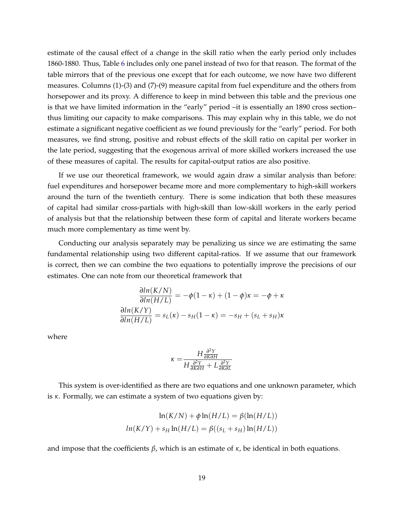estimate of the causal effect of a change in the skill ratio when the early period only includes 1860-1880. Thus, Table [6](#page-39-0) includes only one panel instead of two for that reason. The format of the table mirrors that of the previous one except that for each outcome, we now have two different measures. Columns (1)-(3) and (7)-(9) measure capital from fuel expenditure and the others from horsepower and its proxy. A difference to keep in mind between this table and the previous one is that we have limited information in the "early" period –it is essentially an 1890 cross section– thus limiting our capacity to make comparisons. This may explain why in this table, we do not estimate a significant negative coefficient as we found previously for the "early" period. For both measures, we find strong, positive and robust effects of the skill ratio on capital per worker in the late period, suggesting that the exogenous arrival of more skilled workers increased the use of these measures of capital. The results for capital-output ratios are also positive.

If we use our theoretical framework, we would again draw a similar analysis than before: fuel expenditures and horsepower became more and more complementary to high-skill workers around the turn of the twentieth century. There is some indication that both these measures of capital had similar cross-partials with high-skill than low-skill workers in the early period of analysis but that the relationship between these form of capital and literate workers became much more complementary as time went by.

Conducting our analysis separately may be penalizing us since we are estimating the same fundamental relationship using two different capital-ratios. If we assume that our framework is correct, then we can combine the two equations to potentially improve the precisions of our estimates. One can note from our theoretical framework that

$$
\frac{\partial \ln(K/N)}{\partial \ln(H/L)} = -\phi(1-\kappa) + (1-\phi)\kappa = -\phi + \kappa
$$

$$
\frac{\partial \ln(K/Y)}{\partial \ln(H/L)} = s_L(\kappa) - s_H(1-\kappa) = -s_H + (s_L + s_H)\kappa
$$

where

$$
\kappa = \frac{H \frac{\partial^2 Y}{\partial K \partial H}}{H \frac{\partial^2 Y}{\partial K \partial H} + L \frac{\partial^2 Y}{\partial K \partial L}}
$$

This system is over-identified as there are two equations and one unknown parameter, which is *κ*. Formally, we can estimate a system of two equations given by:

$$
\ln(K/N) + \phi \ln(H/L) = \beta(\ln(H/L))
$$
  

$$
ln(K/Y) + s_H \ln(H/L) = \beta((s_L + s_H) \ln(H/L))
$$

and impose that the coefficients  $\beta$ , which is an estimate of  $\kappa$ , be identical in both equations.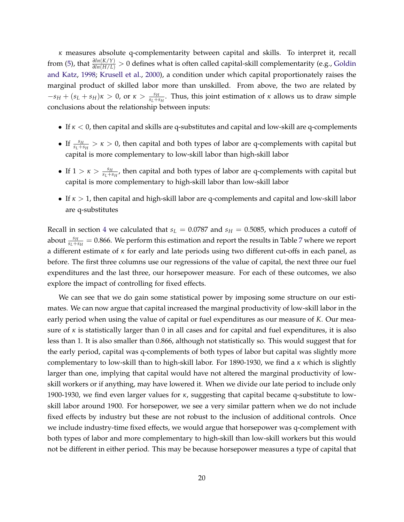*κ* measures absolute q-complementarity between capital and skills. To interpret it, recall from [\(5\)](#page-9-1), that *<sup>∂</sup>ln*(*K*/*Y*) *<sup>∂</sup>ln*(*H*/*L*) > 0 defines what is often called capital-skill complementarity (e.g., [Goldin](#page-30-0) [and Katz,](#page-30-0) [1998;](#page-30-0) [Krusell et al.,](#page-31-4) [2000\)](#page-31-4), a condition under which capital proportionately raises the marginal product of skilled labor more than unskilled. From above, the two are related by  $-s_H + (s_L + s_H)\kappa > 0$ , or  $\kappa > \frac{s_H}{s_L + s_H}$ . Thus, this joint estimation of  $\kappa$  allows us to draw simple conclusions about the relationship between inputs:

- If *κ* < 0, then capital and skills are q-substitutes and capital and low-skill are q-complements
- If  $\frac{s_H}{s_L+s_H} > \kappa > 0$ , then capital and both types of labor are q-complements with capital but capital is more complementary to low-skill labor than high-skill labor
- If  $1 > \kappa > \frac{s_H}{s_L + s_H}$ , then capital and both types of labor are q-complements with capital but capital is more complementary to high-skill labor than low-skill labor
- If *κ* > 1, then capital and high-skill labor are q-complements and capital and low-skill labor are q-substitutes

Recall in section [4](#page-14-1) we calculated that  $s_L = 0.0787$  and  $s_H = 0.5085$ , which produces a cutoff of about  $\frac{s_H}{s_L+s_H}=0.866$ . We perform this estimation and report the results in Table [7](#page-40-0) where we report a different estimate of *κ* for early and late periods using two different cut-offs in each panel, as before. The first three columns use our regressions of the value of capital, the next three our fuel expenditures and the last three, our horsepower measure. For each of these outcomes, we also explore the impact of controlling for fixed effects.

We can see that we do gain some statistical power by imposing some structure on our estimates. We can now argue that capital increased the marginal productivity of low-skill labor in the early period when using the value of capital or fuel expenditures as our measure of *K*. Our measure of  $\kappa$  is statistically larger than 0 in all cases and for capital and fuel expenditures, it is also less than 1. It is also smaller than 0.866, although not statistically so. This would suggest that for the early period, capital was q-complements of both types of labor but capital was slightly more complementary to low-skill than to high-skill labor. For 1890-1930, we find a *κ* which is slightly larger than one, implying that capital would have not altered the marginal productivity of lowskill workers or if anything, may have lowered it. When we divide our late period to include only 1900-1930, we find even larger values for *κ*, suggesting that capital became q-substitute to lowskill labor around 1900. For horsepower, we see a very similar pattern when we do not include fixed effects by industry but these are not robust to the inclusion of additional controls. Once we include industry-time fixed effects, we would argue that horsepower was q-complement with both types of labor and more complementary to high-skill than low-skill workers but this would not be different in either period. This may be because horsepower measures a type of capital that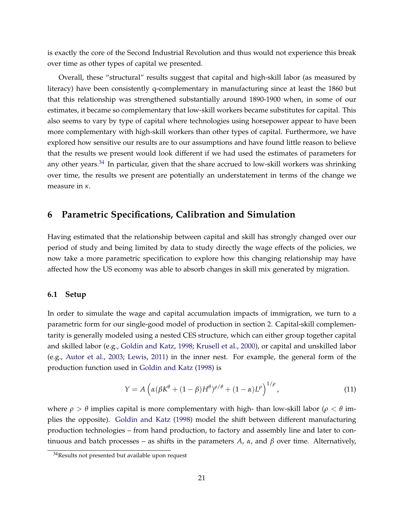is exactly the core of the Second Industrial Revolution and thus would not experience this break over time as other types of capital we presented.

Overall, these "structural" results suggest that capital and high-skill labor (as measured by literacy) have been consistently q-complementary in manufacturing since at least the 1860 but that this relationship was strengthened substantially around 1890-1900 when, in some of our estimates, it became so complementary that low-skill workers became substitutes for capital. This also seems to vary by type of capital where technologies using horsepower appear to have been more complementary with high-skill workers than other types of capital. Furthermore, we have explored how sensitive our results are to our assumptions and have found little reason to believe that the results we present would look different if we had used the estimates of parameters for any other years.<sup>[34](#page-23-0)</sup> In particular, given that the share accrued to low-skill workers was shrinking over time, the results we present are potentially an understatement in terms of the change we measure in *κ*.

## **6 Parametric Specifications, Calibration and Simulation**

Having estimated that the relationship between capital and skill has strongly changed over our period of study and being limited by data to study directly the wage effects of the policies, we now take a more parametric specification to explore how this changing relationship may have affected how the US economy was able to absorb changes in skill mix generated by migration.

#### **6.1 Setup**

In order to simulate the wage and capital accumulation impacts of immigration, we turn to a parametric form for our single-good model of production in section [2.](#page-7-1) Capital-skill complementarity is generally modeled using a nested CES structure, which can either group together capital and skilled labor (e.g., [Goldin and Katz,](#page-30-0) [1998;](#page-30-0) [Krusell et al.,](#page-31-4) [2000\)](#page-31-4), or capital and unskilled labor (e.g., [Autor et al.,](#page-29-1) [2003;](#page-29-1) [Lewis,](#page-31-5) [2011\)](#page-31-5) in the inner nest. For example, the general form of the production function used in [Goldin and Katz](#page-30-0) [\(1998\)](#page-30-0) is

<span id="page-23-1"></span>
$$
Y = A \left( \alpha (\beta K^{\theta} + (1 - \beta)H^{\theta})^{\rho/\theta} + (1 - \alpha)L^{\rho} \right)^{1/\rho}, \tag{11}
$$

where *ρ* > *θ* implies capital is more complementary with high- than low-skill labor (*ρ* < *θ* implies the opposite). [Goldin and Katz](#page-30-0) [\(1998\)](#page-30-0) model the shift between different manufacturing production technologies – from hand production, to factory and assembly line and later to continuous and batch processes – as shifts in the parameters *A*, *α*, and *β* over time. Alternatively,

<span id="page-23-0"></span><sup>&</sup>lt;sup>34</sup>Results not presented but available upon request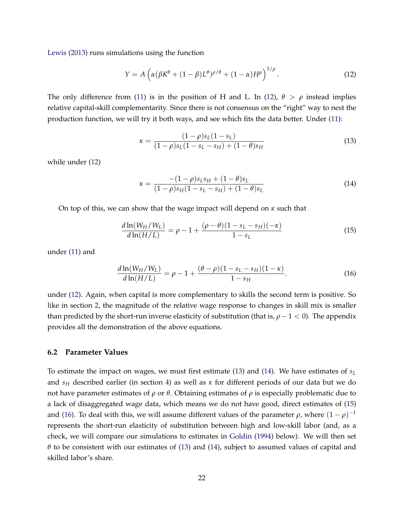[Lewis](#page-31-7) [\(2013\)](#page-31-7) runs simulations using the function

$$
Y = A \left( \alpha (\beta K^{\theta} + (1 - \beta)L^{\theta})^{\rho/\theta} + (1 - \alpha)H^{\rho} \right)^{1/\rho}.
$$
 (12)

The only difference from [\(11\)](#page-23-1) is in the position of H and L. In [\(12\)](#page-24-0),  $\theta > \rho$  instead implies relative capital-skill complementarity. Since there is not consensus on the "right" way to nest the production function, we will try it both ways, and see which fits the data better. Under [\(11\)](#page-23-1):

<span id="page-24-1"></span><span id="page-24-0"></span>
$$
\kappa = \frac{(1 - \rho)s_L(1 - s_L)}{(1 - \rho)s_L(1 - s_L - s_H) + (1 - \theta)s_H} \tag{13}
$$

while under [\(12\)](#page-24-0)

<span id="page-24-4"></span><span id="page-24-3"></span><span id="page-24-2"></span>
$$
\kappa = \frac{-(1-\rho)s_L s_H + (1-\theta)s_L}{(1-\rho)s_H(1-s_L-s_H) + (1-\theta)s_L} \tag{14}
$$

On top of this, we can show that the wage impact will depend on *κ* such that

$$
\frac{d\ln(W_H/W_L)}{d\ln(H/L)} = \rho - 1 + \frac{(\rho - \theta)(1 - s_L - s_H)(-\kappa)}{1 - s_L} \tag{15}
$$

under [\(11\)](#page-23-1) and

$$
\frac{d\ln(W_H/W_L)}{d\ln(H/L)} = \rho - 1 + \frac{(\theta - \rho)(1 - s_L - s_H)(1 - \kappa)}{1 - s_H}.
$$
\n(16)

under [\(12\)](#page-24-0). Again, when capital is more complementary to skills the second term is positive. So like in section [2,](#page-7-1) the magnitude of the relative wage response to changes in skill mix is smaller than predicted by the short-run inverse elasticity of substitution (that is,  $\rho - 1 < 0$ ). The appendix provides all the demonstration of the above equations.

#### **6.2 Parameter Values**

To estimate the impact on wages, we must first estimate [\(13\)](#page-24-1) and [\(14\)](#page-24-2). We have estimates of  $s_L$ and *s<sup>H</sup>* described earlier (in section [4\)](#page-14-1) as well as *κ* for different periods of our data but we do not have parameter estimates of *ρ* or *θ*. Obtaining estimates of *ρ* is especially problematic due to a lack of disaggregated wage data, which means we do not have good, direct estimates of [\(15\)](#page-24-3) and [\(16\)](#page-24-4). To deal with this, we will assume different values of the parameter  $\rho$ , where  $(1-\rho)^{-1}$ represents the short-run elasticity of substitution between high and low-skill labor (and, as a check, we will compare our simulations to estimates in [Goldin](#page-30-3) [\(1994\)](#page-30-3) below). We will then set *θ* to be consistent with our estimates of [\(13\)](#page-24-1) and [\(14\)](#page-24-2), subject to assumed values of capital and skilled labor's share.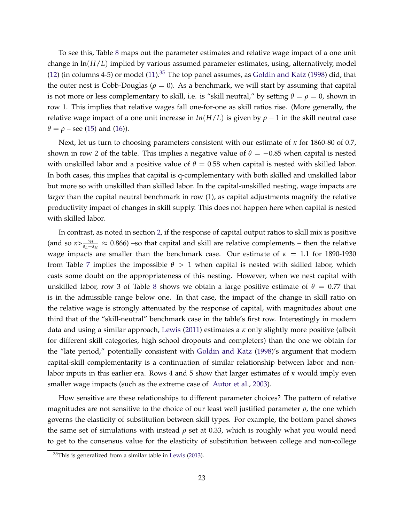To see this, Table [8](#page-41-0) maps out the parameter estimates and relative wage impact of a one unit change in ln(*H*/*L*) implied by various assumed parameter estimates, using, alternatively, model [\(12\)](#page-24-0) (in columns 4-5) or model  $(11).^{35}$  $(11).^{35}$  $(11).^{35}$  $(11).^{35}$  The top panel assumes, as [Goldin and Katz](#page-30-0) [\(1998\)](#page-30-0) did, that the outer nest is Cobb-Douglas ( $\rho = 0$ ). As a benchmark, we will start by assuming that capital is not more or less complementary to skill, i.e. is "skill neutral," by setting  $\theta = \rho = 0$ , shown in row 1. This implies that relative wages fall one-for-one as skill ratios rise. (More generally, the relative wage impact of a one unit increase in  $ln(H/L)$  is given by  $\rho - 1$  in the skill neutral case  $\theta = \rho$  – see [\(15\)](#page-24-3) and [\(16\)](#page-24-4)).

Next, let us turn to choosing parameters consistent with our estimate of *κ* for 1860-80 of 0.7, shown in row 2 of the table. This implies a negative value of  $\theta = -0.85$  when capital is nested with unskilled labor and a positive value of  $\theta = 0.58$  when capital is nested with skilled labor. In both cases, this implies that capital is q-complementary with both skilled and unskilled labor but more so with unskilled than skilled labor. In the capital-unskilled nesting, wage impacts are *larger* than the capital neutral benchmark in row (1), as capital adjustments magnify the relative productivity impact of changes in skill supply. This does not happen here when capital is nested with skilled labor.

In contrast, as noted in section [2,](#page-7-1) if the response of capital output ratios to skill mix is positive (and so  $\kappa > \frac{s_H}{s_L+s_H} \approx 0.866$ ) –so that capital and skill are relative complements – then the relative wage impacts are smaller than the benchmark case. Our estimate of  $\kappa = 1.1$  for 1890-1930 from Table [7](#page-40-0) implies the impossible  $\theta > 1$  when capital is nested with skilled labor, which casts some doubt on the appropriateness of this nesting. However, when we nest capital with unskilled labor, row 3 of Table [8](#page-41-0) shows we obtain a large positive estimate of  $\theta = 0.77$  that is in the admissible range below one. In that case, the impact of the change in skill ratio on the relative wage is strongly attenuated by the response of capital, with magnitudes about one third that of the "skill-neutral" benchmark case in the table's first row. Interestingly in modern data and using a similar approach, [Lewis](#page-31-5) [\(2011\)](#page-31-5) estimates a *κ* only slightly more positive (albeit for different skill categories, high school dropouts and completers) than the one we obtain for the "late period," potentially consistent with [Goldin and Katz](#page-30-0) [\(1998\)](#page-30-0)'s argument that modern capital-skill complementarity is a continuation of similar relationship between labor and nonlabor inputs in this earlier era. Rows 4 and 5 show that larger estimates of *κ* would imply even smaller wage impacts (such as the extreme case of [Autor et al.,](#page-29-1) [2003\)](#page-29-1).

How sensitive are these relationships to different parameter choices? The pattern of relative magnitudes are not sensitive to the choice of our least well justified parameter *ρ*, the one which governs the elasticity of substitution between skill types. For example, the bottom panel shows the same set of simulations with instead *ρ* set at 0.33, which is roughly what you would need to get to the consensus value for the elasticity of substitution between college and non-college

<span id="page-25-0"></span><sup>35</sup>This is generalized from a similar table in [Lewis](#page-31-7) [\(2013\)](#page-31-7).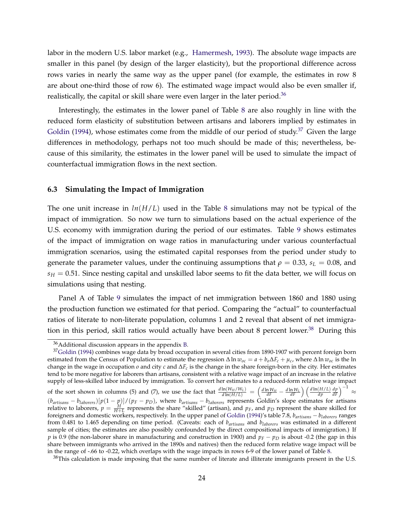labor in the modern U.S. labor market (e.g., [Hamermesh,](#page-31-13) [1993\)](#page-31-13). The absolute wage impacts are smaller in this panel (by design of the larger elasticity), but the proportional difference across rows varies in nearly the same way as the upper panel (for example, the estimates in row 8 are about one-third those of row 6). The estimated wage impact would also be even smaller if, realistically, the capital or skill share were even larger in the later period.<sup>[36](#page-26-0)</sup>

Interestingly, the estimates in the lower panel of Table [8](#page-41-0) are also roughly in line with the reduced form elasticity of substitution between artisans and laborers implied by estimates in [Goldin](#page-30-3) [\(1994\)](#page-30-3), whose estimates come from the middle of our period of study.<sup>[37](#page-26-1)</sup> Given the large differences in methodology, perhaps not too much should be made of this; nevertheless, because of this similarity, the estimates in the lower panel will be used to simulate the impact of counterfactual immigration flows in the next section.

#### **6.3 Simulating the Impact of Immigration**

The one unit increase in  $ln(H/L)$  used in the Table [8](#page-41-0) simulations may not be typical of the impact of immigration. So now we turn to simulations based on the actual experience of the U.S. economy with immigration during the period of our estimates. Table [9](#page-42-0) shows estimates of the impact of immigration on wage ratios in manufacturing under various counterfactual immigration scenarios, using the estimated capital responses from the period under study to generate the parameter values, under the continuing assumptions that  $\rho = 0.33$ ,  $s_L = 0.08$ , and  $s_H = 0.51$ . Since nesting capital and unskilled labor seems to fit the data better, we will focus on simulations using that nesting.

Panel A of Table [9](#page-42-0) simulates the impact of net immigration between 1860 and 1880 using the production function we estimated for that period. Comparing the "actual" to counterfactual ratios of literate to non-literate population, columns 1 and 2 reveal that absent of net immigration in this period, skill ratios would actually have been about 8 percent lower. $38$  During this

<span id="page-26-2"></span> $38$ This calculation is made imposing that the same number of literate and illiterate immigrants present in the U.S.

<span id="page-26-1"></span><span id="page-26-0"></span><sup>36</sup>Additional discussion appears in the appendix [B.](#page-46-1)

<sup>&</sup>lt;sup>37</sup>[Goldin](#page-30-3) [\(1994\)](#page-30-3) combines wage data by broad occupation in several cities from 1890-1907 with percent foreign born estimated from the Census of Population to estimate the regression  $\Delta \ln w_{oc} = a + b_o \Delta F_c + \mu_c$ , where  $\Delta \ln w_{oc}$  is the ln change in the wage in occupation *o* and city *c* and ∆*F<sup>c</sup>* is the change in the share foreign-born in the city. Her estimates tend to be more negative for laborers than artisans, consistent with a relative wage impact of an increase in the relative supply of less-skilled labor induced by immigration. To convert her estimates to a reduced-form relative wage impact of the sort shown in columns (5) and (7), we use the fact that  $\frac{d \ln(W_H/W_L)}{d \ln(H/L)} = \left(\frac{d \ln W_H}{dF} - \frac{d \ln W_L}{dF}\right) \left(\frac{d \ln(H/L)}{dp}\right)$  $\left(\frac{dp}{dF}\right)^{-1}$ ≈  $(b_{artisans} - b_{laborers})[p(1 - p)]/(p_F - p_D)$ , where  $b_{artisans} - b_{laborers}$  represents Goldin's slope estimates for artisans

relative to laborers,  $p = \frac{H}{H+L}$  represents the share "skilled" (artisan), and  $p_F$ , and  $p_D$  represent the share skilled for foreigners and domestic workers, respectively. In the upper panel of [Goldin](#page-30-3) [\(1994\)](#page-30-3)'s table 7.8, *bartisans* − *blaborers* ranges from 0.481 to 1.465 depending on time period. (Caveats: each of *bartisans* and *blaborers* was estimated in a different sample of cities; the estimates are also possibly confounded by the direct compositional impacts of immigration.) If *p* is 0.9 (the non-laborer share in manufacturing and construction in 1900) and  $p<sub>F</sub> − p<sub>D</sub>$  is about -0.2 (the gap in this share between immigrants who arrived in the 1890s and natives) then the reduced form relative wage impact will be in the range of -.66 to -0.22, which overlaps with the wage impacts in rows 6-9 of the lower panel of Table [8.](#page-41-0)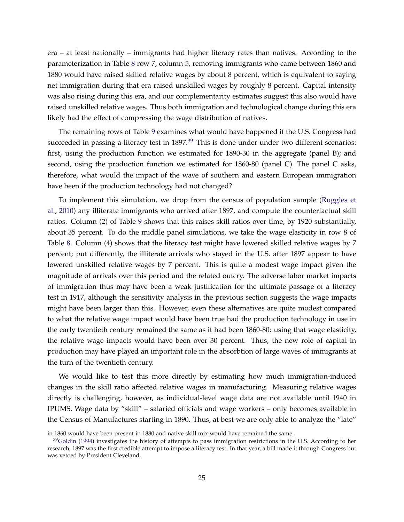era – at least nationally – immigrants had higher literacy rates than natives. According to the parameterization in Table [8](#page-41-0) row 7, column 5, removing immigrants who came between 1860 and 1880 would have raised skilled relative wages by about 8 percent, which is equivalent to saying net immigration during that era raised unskilled wages by roughly 8 percent. Capital intensity was also rising during this era, and our complementarity estimates suggest this also would have raised unskilled relative wages. Thus both immigration and technological change during this era likely had the effect of compressing the wage distribution of natives.

The remaining rows of Table [9](#page-42-0) examines what would have happened if the U.S. Congress had succeeded in passing a literacy test in  $1897<sup>39</sup>$  $1897<sup>39</sup>$  $1897<sup>39</sup>$  This is done under under two different scenarios: first, using the production function we estimated for 1890-30 in the aggregate (panel B); and second, using the production function we estimated for 1860-80 (panel C). The panel C asks, therefore, what would the impact of the wave of southern and eastern European immigration have been if the production technology had not changed?

To implement this simulation, we drop from the census of population sample [\(Ruggles et](#page-32-1) [al.,](#page-32-1) [2010\)](#page-32-1) any illiterate immigrants who arrived after 1897, and compute the counterfactual skill ratios. Column (2) of Table [9](#page-42-0) shows that this raises skill ratios over time, by 1920 substantially, about 35 percent. To do the middle panel simulations, we take the wage elasticity in row 8 of Table [8.](#page-41-0) Column (4) shows that the literacy test might have lowered skilled relative wages by 7 percent; put differently, the illiterate arrivals who stayed in the U.S. after 1897 appear to have lowered unskilled relative wages by 7 percent. This is quite a modest wage impact given the magnitude of arrivals over this period and the related outcry. The adverse labor market impacts of immigration thus may have been a weak justification for the ultimate passage of a literacy test in 1917, although the sensitivity analysis in the previous section suggests the wage impacts might have been larger than this. However, even these alternatives are quite modest compared to what the relative wage impact would have been true had the production technology in use in the early twentieth century remained the same as it had been 1860-80: using that wage elasticity, the relative wage impacts would have been over 30 percent. Thus, the new role of capital in production may have played an important role in the absorbtion of large waves of immigrants at the turn of the twentieth century.

We would like to test this more directly by estimating how much immigration-induced changes in the skill ratio affected relative wages in manufacturing. Measuring relative wages directly is challenging, however, as individual-level wage data are not available until 1940 in IPUMS. Wage data by "skill" – salaried officials and wage workers – only becomes available in the Census of Manufactures starting in 1890. Thus, at best we are only able to analyze the "late"

in 1860 would have been present in 1880 and native skill mix would have remained the same.

<span id="page-27-0"></span> $39$ [Goldin](#page-30-3) [\(1994\)](#page-30-3) investigates the history of attempts to pass immigration restrictions in the U.S. According to her research, 1897 was the first credible attempt to impose a literacy test. In that year, a bill made it through Congress but was vetoed by President Cleveland.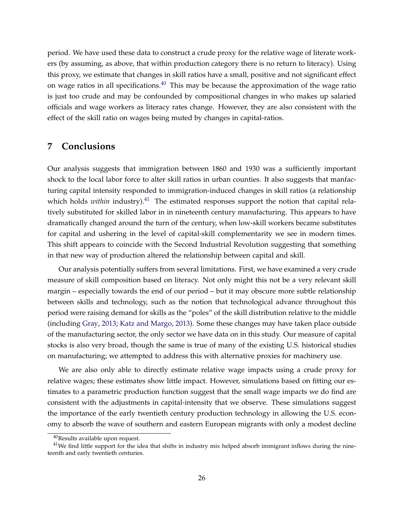period. We have used these data to construct a crude proxy for the relative wage of literate workers (by assuming, as above, that within production category there is no return to literacy). Using this proxy, we estimate that changes in skill ratios have a small, positive and not significant effect on wage ratios in all specifications. $40$  This may be because the approximation of the wage ratio is just too crude and may be confounded by compositional changes in who makes up salaried officials and wage workers as literacy rates change. However, they are also consistent with the effect of the skill ratio on wages being muted by changes in capital-ratios.

## **7 Conclusions**

Our analysis suggests that immigration between 1860 and 1930 was a sufficiently important shock to the local labor force to alter skill ratios in urban counties. It also suggests that manfacturing capital intensity responded to immigration-induced changes in skill ratios (a relationship which holds *within* industry).<sup>[41](#page-28-1)</sup> The estimated responses support the notion that capital relatively substituted for skilled labor in in nineteenth century manufacturing. This appears to have dramatically changed around the turn of the century, when low-skill workers became substitutes for capital and ushering in the level of capital-skill complementarity we see in modern times. This shift appears to coincide with the Second Industrial Revolution suggesting that something in that new way of production altered the relationship between capital and skill.

Our analysis potentially suffers from several limitations. First, we have examined a very crude measure of skill composition based on literacy. Not only might this not be a very relevant skill margin – especially towards the end of our period – but it may obscure more subtle relationship between skills and technology, such as the notion that technological advance throughout this period were raising demand for skills as the "poles" of the skill distribution relative to the middle (including [Gray,](#page-30-1) [2013;](#page-30-1) [Katz and Margo,](#page-31-3) [2013\)](#page-31-3). Some these changes may have taken place outside of the manufacturing sector, the only sector we have data on in this study. Our measure of capital stocks is also very broad, though the same is true of many of the existing U.S. historical studies on manufacturing; we attempted to address this with alternative proxies for machinery use.

We are also only able to directly estimate relative wage impacts using a crude proxy for relative wages; these estimates show little impact. However, simulations based on fitting our estimates to a parametric production function suggest that the small wage impacts we do find are consistent with the adjustments in capital-intensity that we observe. These simulations suggest the importance of the early twentieth century production technology in allowing the U.S. economy to absorb the wave of southern and eastern European migrants with only a modest decline

<span id="page-28-1"></span><span id="page-28-0"></span><sup>40</sup>Results available upon request.

 $41$ We find little support for the idea that shifts in industry mix helped absorb immigrant inflows during the nineteenth and early twentieth centuries.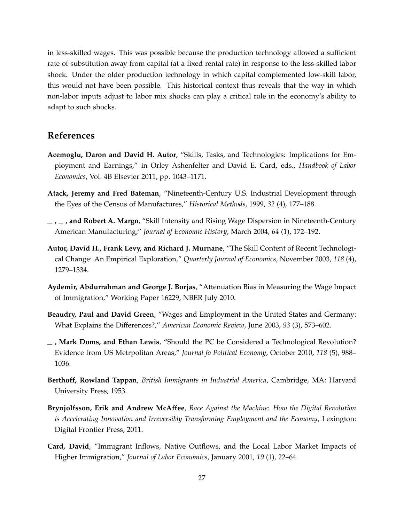in less-skilled wages. This was possible because the production technology allowed a sufficient rate of substitution away from capital (at a fixed rental rate) in response to the less-skilled labor shock. Under the older production technology in which capital complemented low-skill labor, this would not have been possible. This historical context thus reveals that the way in which non-labor inputs adjust to labor mix shocks can play a critical role in the economy's ability to adapt to such shocks.

### **References**

- <span id="page-29-3"></span>**Acemoglu, Daron and David H. Autor**, "Skills, Tasks, and Technologies: Implications for Employment and Earnings," in Orley Ashenfelter and David E. Card, eds., *Handbook of Labor Economics*, Vol. 4B Elsevier 2011, pp. 1043–1171.
- <span id="page-29-9"></span>**Atack, Jeremy and Fred Bateman**, "Nineteenth-Century U.S. Industrial Development through the Eyes of the Census of Manufactures," *Historical Methods*, 1999, *32* (4), 177–188.
- <span id="page-29-6"></span>**, , and Robert A. Margo**, "Skill Intensity and Rising Wage Dispersion in Nineteenth-Century American Manufacturing," *Journal of Economic History*, March 2004, *64* (1), 172–192.
- <span id="page-29-1"></span>**Autor, David H., Frank Levy, and Richard J. Murnane**, "The Skill Content of Recent Technological Change: An Empirical Exploration," *Quarterly Journal of Economics*, November 2003, *118* (4), 1279–1334.
- <span id="page-29-8"></span>**Aydemir, Abdurrahman and George J. Borjas**, "Attenuation Bias in Measuring the Wage Impact of Immigration," Working Paper 16229, NBER July 2010.
- <span id="page-29-7"></span>**Beaudry, Paul and David Green**, "Wages and Employment in the United States and Germany: What Explains the Differences?," *American Economic Review*, June 2003, *93* (3), 573–602.
- <span id="page-29-4"></span>**, Mark Doms, and Ethan Lewis**, "Should the PC be Considered a Technological Revolution? Evidence from US Metrpolitan Areas," *Journal fo Political Economy*, October 2010, *118* (5), 988– 1036.
- <span id="page-29-5"></span>**Berthoff, Rowland Tappan**, *British Immigrants in Industrial America*, Cambridge, MA: Harvard University Press, 1953.
- <span id="page-29-0"></span>**Brynjolfsson, Erik and Andrew McAffee**, *Race Against the Machine: How the Digital Revolution is Accelerating Innovation and Irreversibly Transforming Employment and the Economy*, Lexington: Digital Frontier Press, 2011.
- <span id="page-29-2"></span>**Card, David**, "Immigrant Inflows, Native Outflows, and the Local Labor Market Impacts of Higher Immigration," *Journal of Labor Economics*, January 2001, *19* (1), 22–64.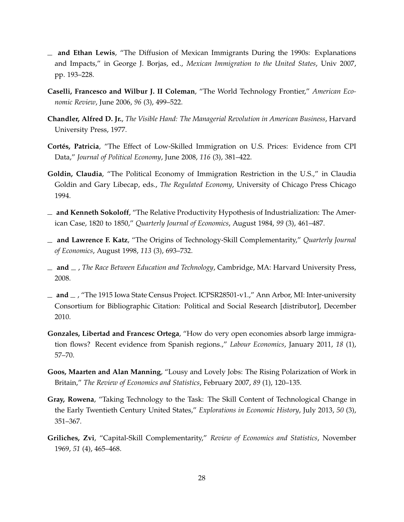- <span id="page-30-10"></span>**and Ethan Lewis**, "The Diffusion of Mexican Immigrants During the 1990s: Explanations and Impacts," in George J. Borjas, ed., *Mexican Immigration to the United States*, Univ 2007, pp. 193–228.
- <span id="page-30-7"></span>**Caselli, Francesco and Wilbur J. II Coleman**, "The World Technology Frontier," *American Economic Review*, June 2006, *96* (3), 499–522.
- <span id="page-30-9"></span>**Chandler, Alfred D. Jr.**, *The Visible Hand: The Managerial Revolution in American Business*, Harvard University Press, 1977.
- <span id="page-30-2"></span>**Cortés, Patricia**, "The Effect of Low-Skilled Immigration on U.S. Prices: Evidence from CPI Data," *Journal of Political Economy*, June 2008, *116* (3), 381–422.
- <span id="page-30-3"></span>**Goldin, Claudia**, "The Political Economy of Immigration Restriction in the U.S.," in Claudia Goldin and Gary Libecap, eds., *The Regulated Economy*, University of Chicago Press Chicago 1994.
- <span id="page-30-8"></span>**and Kenneth Sokoloff**, "The Relative Productivity Hypothesis of Industrialization: The American Case, 1820 to 1850," *Quarterly Journal of Economics*, August 1984, *99* (3), 461–487.
- <span id="page-30-0"></span>**and Lawrence F. Katz**, "The Origins of Technology-Skill Complementarity," *Quarterly Journal of Economics*, August 1998, *113* (3), 693–732.
- <span id="page-30-4"></span>**and** , *The Race Between Education and Technology*, Cambridge, MA: Harvard University Press, 2008.
- $\mu$  **and**  $\mu$ , "The 1915 Iowa State Census Project. ICPSR28501-v1.," Ann Arbor, MI: Inter-university Consortium for Bibliographic Citation: Political and Social Research [distributor], December 2010.
- <span id="page-30-11"></span>**Gonzales, Libertad and Francesc Ortega**, "How do very open economies absorb large immigration flows? Recent evidence from Spanish regions.," *Labour Economics*, January 2011, *18* (1), 57–70.
- <span id="page-30-5"></span>**Goos, Maarten and Alan Manning**, "Lousy and Lovely Jobs: The Rising Polarization of Work in Britain," *The Review of Economics and Statistics*, February 2007, *89* (1), 120–135.
- <span id="page-30-1"></span>**Gray, Rowena**, "Taking Technology to the Task: The Skill Content of Technological Change in the Early Twentieth Century United States," *Explorations in Economic History*, July 2013, *50* (3), 351–367.
- <span id="page-30-6"></span>**Griliches, Zvi**, "Capital-Skill Complementarity," *Review of Economics and Statistics*, November 1969, *51* (4), 465–468.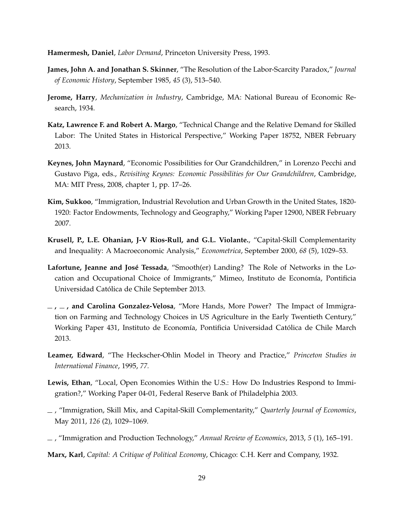<span id="page-31-13"></span>**Hamermesh, Daniel**, *Labor Demand*, Princeton University Press, 1993.

- <span id="page-31-10"></span>**James, John A. and Jonathan S. Skinner**, "The Resolution of the Labor-Scarcity Paradox," *Journal of Economic History*, September 1985, *45* (3), 513–540.
- <span id="page-31-0"></span>**Jerome, Harry**, *Mechanization in Industry*, Cambridge, MA: National Bureau of Economic Research, 1934.
- <span id="page-31-3"></span>**Katz, Lawrence F. and Robert A. Margo**, "Technical Change and the Relative Demand for Skilled Labor: The United States in Historical Perspective," Working Paper 18752, NBER February 2013.
- <span id="page-31-1"></span>**Keynes, John Maynard**, "Economic Possibilities for Our Grandchildren," in Lorenzo Pecchi and Gustavo Piga, eds., *Revisiting Keynes: Economic Possibilities for Our Grandchildren*, Cambridge, MA: MIT Press, 2008, chapter 1, pp. 17–26.
- <span id="page-31-9"></span>**Kim, Sukkoo**, "Immigration, Industrial Revolution and Urban Growth in the United States, 1820- 1920: Factor Endowments, Technology and Geography," Working Paper 12900, NBER February 2007.
- <span id="page-31-4"></span>**Krusell, P., L.E. Ohanian, J-V Rios-Rull, and G.L. Violante.**, "Capital-Skill Complementarity and Inequality: A Macroeconomic Analysis," *Econometrica*, September 2000, *68* (5), 1029–53.
- <span id="page-31-12"></span>**Lafortune, Jeanne and José Tessada**, "Smooth(er) Landing? The Role of Networks in the Location and Occupational Choice of Immigrants," Mimeo, Instituto de Economía, Pontificia Universidad Católica de Chile September 2013.
- <span id="page-31-6"></span>**, , and Carolina Gonzalez-Velosa**, "More Hands, More Power? The Impact of Immigration on Farming and Technology Choices in US Agriculture in the Early Twentieth Century," Working Paper 431, Instituto de Economía, Pontificia Universidad Católica de Chile March 2013.
- <span id="page-31-8"></span>**Leamer, Edward**, "The Heckscher-Ohlin Model in Theory and Practice," *Princeton Studies in International Finance*, 1995, *77.*
- <span id="page-31-11"></span>**Lewis, Ethan**, "Local, Open Economies Within the U.S.: How Do Industries Respond to Immigration?," Working Paper 04-01, Federal Reserve Bank of Philadelphia 2003.
- <span id="page-31-5"></span>, "Immigration, Skill Mix, and Capital-Skill Complementarity," *Quarterly Journal of Economics*, May 2011, *126* (2), 1029–1069.
- <span id="page-31-7"></span>, "Immigration and Production Technology," *Annual Review of Economics*, 2013, *5* (1), 165–191.

<span id="page-31-2"></span>**Marx, Karl**, *Capital: A Critique of Political Economy*, Chicago: C.H. Kerr and Company, 1932.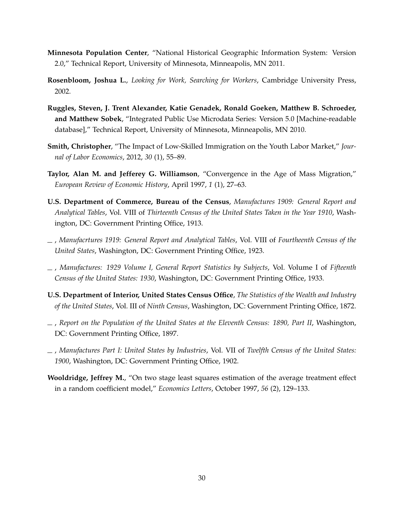- <span id="page-32-2"></span>**Minnesota Population Center**, "National Historical Geographic Information System: Version 2.0," Technical Report, University of Minnesota, Minneapolis, MN 2011.
- <span id="page-32-0"></span>**Rosenbloom, Joshua L.**, *Looking for Work, Searching for Workers*, Cambridge University Press, 2002.
- <span id="page-32-1"></span>**Ruggles, Steven, J. Trent Alexander, Katie Genadek, Ronald Goeken, Matthew B. Schroeder, and Matthew Sobek**, "Integrated Public Use Microdata Series: Version 5.0 [Machine-readable database]," Technical Report, University of Minnesota, Minneapolis, MN 2010.
- <span id="page-32-3"></span>**Smith, Christopher**, "The Impact of Low-Skilled Immigration on the Youth Labor Market," *Journal of Labor Economics*, 2012, *30* (1), 55–89.
- <span id="page-32-5"></span>**Taylor, Alan M. and Jefferey G. Williamson**, "Convergence in the Age of Mass Migration," *European Review of Economic History*, April 1997, *1* (1), 27–63.
- **U.S. Department of Commerce, Bureau of the Census**, *Manufactures 1909: General Report and Analytical Tables*, Vol. VIII of *Thirteenth Census of the United States Taken in the Year 1910*, Washington, DC: Government Printing Office, 1913.
- , *Manufacrtures 1919: General Report and Analytical Tables*, Vol. VIII of *Fourtheenth Census of the United States*, Washington, DC: Government Printing Office, 1923.
- , *Manufactures: 1929 Volume I, General Report Statistics by Subjects*, Vol. Volume I of *Fifteenth Census of the United States: 1930*, Washington, DC: Government Printing Office, 1933.
- **U.S. Department of Interior, United States Census Office**, *The Statistics of the Wealth and Industry of the United States*, Vol. III of *Ninth Census*, Washington, DC: Government Printing Office, 1872.
- <span id="page-32-4"></span>, *Report on the Population of the United States at the Eleventh Census: 1890, Part II*, Washington, DC: Government Printing Office, 1897.
- , *Manufactures Part I: United States by Industries*, Vol. VII of *Twelfth Census of the United States: 1900*, Washington, DC: Government Printing Office, 1902.
- <span id="page-32-6"></span>**Wooldridge, Jeffrey M.**, "On two stage least squares estimation of the average treatment effect in a random coefficient model," *Economics Letters*, October 1997, *56* (2), 129–133.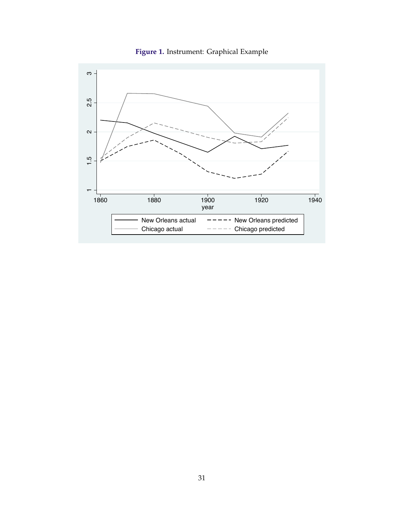<span id="page-33-0"></span>

**Figure 1.** Instrument: Graphical Example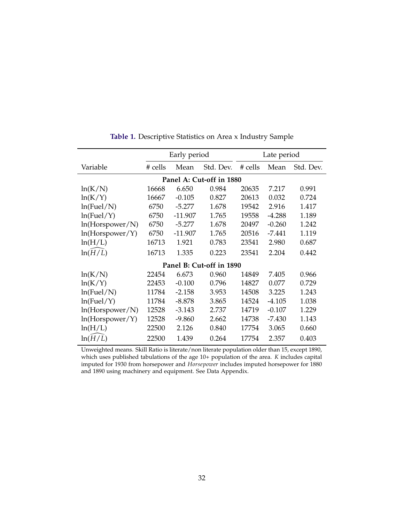<span id="page-34-0"></span>

|                          | Early period |           |           | Late period |          |           |  |  |  |  |  |
|--------------------------|--------------|-----------|-----------|-------------|----------|-----------|--|--|--|--|--|
| Variable                 | # cells      | Mean      | Std. Dev. | # cells     | Mean     | Std. Dev. |  |  |  |  |  |
| Panel A: Cut-off in 1880 |              |           |           |             |          |           |  |  |  |  |  |
| ln(K/N)                  | 16668        | 6.650     | 0.984     | 20635       | 7.217    | 0.991     |  |  |  |  |  |
| ln(K/Y)                  | 16667        | $-0.105$  | 0.827     | 20613       | 0.032    | 0.724     |  |  |  |  |  |
| ln(Fuel/N)               | 6750         | $-5.277$  | 1.678     | 19542       | 2.916    | 1.417     |  |  |  |  |  |
| ln(Fuel/Y)               | 6750         | $-11.907$ | 1.765     | 19558       | $-4.288$ | 1.189     |  |  |  |  |  |
| ln(Horspower/N)          | 6750         | $-5.277$  | 1.678     | 20497       | $-0.260$ | 1.242     |  |  |  |  |  |
| ln(Horspower/Y)          | 6750         | $-11.907$ | 1.765     | 20516       | $-7.441$ | 1.119     |  |  |  |  |  |
| ln(H/L)                  | 16713        | 1.921     | 0.783     | 23541       | 2.980    | 0.687     |  |  |  |  |  |
| ln(H/L)                  | 16713        | 1.335     | 0.223     | 23541       | 2.204    | 0.442     |  |  |  |  |  |
| Panel B: Cut-off in 1890 |              |           |           |             |          |           |  |  |  |  |  |
| ln(K/N)                  | 22454        | 6.673     | 0.960     | 14849       | 7.405    | 0.966     |  |  |  |  |  |
| ln(K/Y)                  | 22453        | $-0.100$  | 0.796     | 14827       | 0.077    | 0.729     |  |  |  |  |  |
| ln(Fuel/N)               | 11784        | $-2.158$  | 3.953     | 14508       | 3.225    | 1.243     |  |  |  |  |  |
| ln(Fuel/Y)               | 11784        | $-8.878$  | 3.865     | 14524       | $-4.105$ | 1.038     |  |  |  |  |  |
| ln(Horspower/N)          | 12528        | $-3.143$  | 2.737     | 14719       | $-0.107$ | 1.229     |  |  |  |  |  |
| ln(Horspower/Y)          | 12528        | $-9.860$  | 2.662     | 14738       | $-7.430$ | 1.143     |  |  |  |  |  |
| ln(H/L)                  | 22500        | 2.126     | 0.840     | 17754       | 3.065    | 0.660     |  |  |  |  |  |
| ln(H/L)                  | 22500        | 1.439     | 0.264     | 17754       | 2.357    | 0.403     |  |  |  |  |  |

**Table 1.** Descriptive Statistics on Area x Industry Sample

Unweighted means. Skill Ratio is literate/non literate population older than 15, except 1890, which uses published tabulations of the age 10+ population of the area. *K* includes capital imputed for 1930 from horsepower and *Horsepower* includes imputed horsepower for 1880 and 1890 using machinery and equipment. See Data Appendix.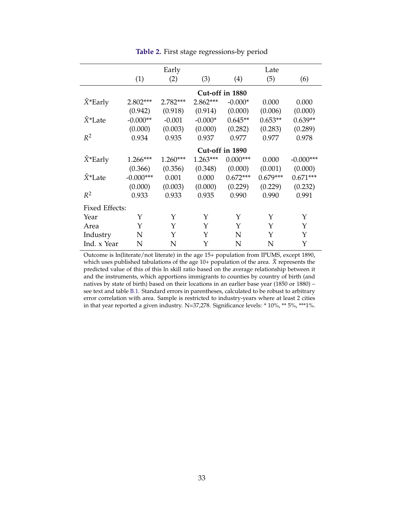<span id="page-35-0"></span>

|                       | Early           |            |           | Late       |            |             |  |  |  |  |
|-----------------------|-----------------|------------|-----------|------------|------------|-------------|--|--|--|--|
|                       | (1)             | (2)        | (3)       | (4)        | (5)        | (6)         |  |  |  |  |
|                       | Cut-off in 1880 |            |           |            |            |             |  |  |  |  |
| $\hat{X}^*$ Early     | 2.802***        | 2.782***   | 2.862***  | $-0.000*$  | 0.000      | 0.000       |  |  |  |  |
|                       | (0.942)         | (0.918)    | (0.914)   | (0.000)    | (0.006)    | (0.000)     |  |  |  |  |
| $\hat{X}^*$ Late      | $-0.000**$      | $-0.001$   | $-0.000*$ | $0.645**$  | $0.653**$  | $0.639**$   |  |  |  |  |
|                       | (0.000)         | (0.003)    | (0.000)   | (0.282)    | (0.283)    | (0.289)     |  |  |  |  |
| $R^2$                 | 0.934           | 0.935      | 0.937     | 0.977      | 0.977      | 0.978       |  |  |  |  |
|                       | Cut-off in 1890 |            |           |            |            |             |  |  |  |  |
| $\hat{X}^*$ Early     | 1.266***        | $1.260***$ | 1.263***  | $0.000***$ | 0.000      | $-0.000***$ |  |  |  |  |
|                       | (0.366)         | (0.356)    | (0.348)   | (0.000)    | (0.001)    | (0.000)     |  |  |  |  |
| $\hat{X}^*$ Late      | $-0.000***$     | 0.001      | 0.000     | $0.672***$ | $0.679***$ | $0.671***$  |  |  |  |  |
|                       | (0.000)         | (0.003)    | (0.000)   | (0.229)    | (0.229)    | (0.232)     |  |  |  |  |
| $R^2$                 | 0.933           | 0.933      | 0.935     | 0.990      | 0.990      | 0.991       |  |  |  |  |
| <b>Fixed Effects:</b> |                 |            |           |            |            |             |  |  |  |  |
| Year                  | Υ               | Υ          | Y         | Y          | Y          | Y           |  |  |  |  |
| Area                  | Y               | Υ          | Y         | Y          | Y          | Υ           |  |  |  |  |
| Industry              | N               | Y          | Y         | N          | Y          | Y           |  |  |  |  |
| Ind. x Year           | N               | N          | Y         | N          | N          | Y           |  |  |  |  |

#### **Table 2.** First stage regressions-by period

Outcome is ln(literate/not literate) in the age 15+ population from IPUMS, except 1890, which uses published tabulations of the age 10+ population of the area.  $\hat{X}$  represents the predicted value of this of this ln skill ratio based on the average relationship between it and the instruments, which apportions immigrants to counties by country of birth (and natives by state of birth) based on their locations in an earlier base year (1850 or 1880) – see text and table [B.1.](#page-46-0) Standard errors in parentheses, calculated to be robust to arbitrary error correlation with area. Sample is restricted to industry-years where at least 2 cities in that year reported a given industry. N=37,278. Significance levels: \* 10%, \*\* 5%, \*\*\*1%.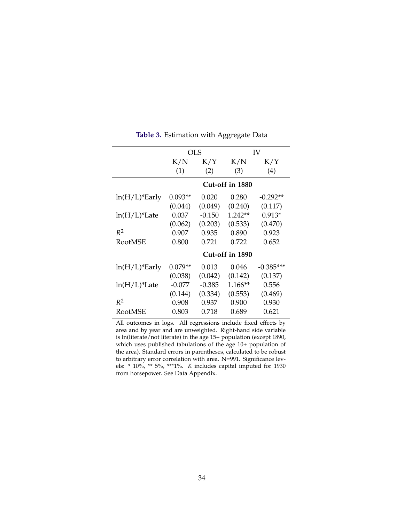<span id="page-36-0"></span>

|                  |           | OLS      |                 | IV          |
|------------------|-----------|----------|-----------------|-------------|
|                  | K/N       | K/Y      | K/N             | K/Y         |
|                  | (1)       | (2)      | (3)             | (4)         |
|                  |           |          | Cut-off in 1880 |             |
| $ln(H/L)$ *Early | $0.093**$ | 0.020    | 0.280           | $-0.292**$  |
|                  | (0.044)   | (0.049)  | (0.240)         | (0.117)     |
| $ln(H/L)*$ Late  | 0.037     | $-0.150$ | $1.242**$       | $0.913*$    |
|                  | (0.062)   | (0.203)  | (0.533)         | (0.470)     |
| $R^2$            | 0.907     | 0.935    | 0.890           | 0.923       |
| RootMSE          | 0.800     | 0.721    | 0.722           | 0.652       |
|                  |           |          | Cut-off in 1890 |             |
| $ln(H/L)$ *Early | $0.079**$ | 0.013    | 0.046           | $-0.385***$ |
|                  | (0.038)   | (0.042)  | (0.142)         | (0.137)     |
| $ln(H/L)*$ Late  | -0.077    | $-0.385$ | $1.166**$       | 0.556       |
|                  | (0.144)   | (0.334)  | (0.553)         | (0.469)     |
| $R^2$            | 0.908     | 0.937    | 0.900           | 0.930       |
| RootMSE          | 0.803     | 0.718    | 0.689           | 0.621       |

**Table 3.** Estimation with Aggregate Data

All outcomes in logs. All regressions include fixed effects by area and by year and are unweighted. Right-hand side variable is ln(literate/not literate) in the age 15+ population (except 1890, which uses published tabulations of the age 10+ population of the area). Standard errors in parentheses, calculated to be robust to arbitrary error correlation with area. N=991. Significance levels: \* 10%, \*\* 5%, \*\*\*1%. *K* includes capital imputed for 1930 from horsepower. See Data Appendix.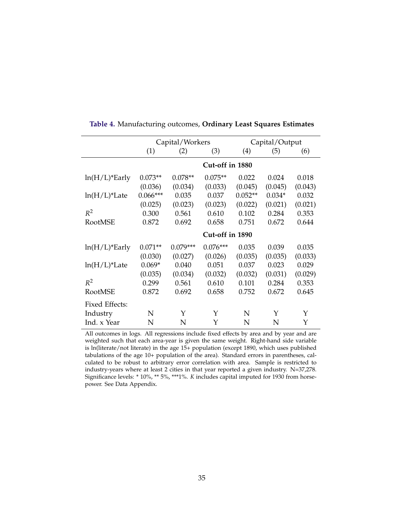|                       |            | Capital/Workers |                 |           | Capital/Output |         |
|-----------------------|------------|-----------------|-----------------|-----------|----------------|---------|
|                       | (1)        | (2)             | (3)             | (4)       | (5)            | (6)     |
|                       |            |                 | Cut-off in 1880 |           |                |         |
| $ln(H/L)$ *Early      | $0.073**$  | $0.078**$       | $0.075**$       | 0.022     | 0.024          | 0.018   |
|                       | (0.036)    | (0.034)         | (0.033)         | (0.045)   | (0.045)        | (0.043) |
| $ln(H/L)*$ Late       | $0.066***$ | 0.035           | 0.037           | $0.052**$ | $0.034*$       | 0.032   |
|                       | (0.025)    | (0.023)         | (0.023)         | (0.022)   | (0.021)        | (0.021) |
| $R^2$                 | 0.300      | 0.561           | 0.610           | 0.102     | 0.284          | 0.353   |
| <b>RootMSE</b>        | 0.872      | 0.692           | 0.658           | 0.751     | 0.672          | 0.644   |
|                       |            |                 | Cut-off in 1890 |           |                |         |
| $ln(H/L)$ *Early      | $0.071**$  | $0.079***$      | $0.076***$      | 0.035     | 0.039          | 0.035   |
|                       | (0.030)    | (0.027)         | (0.026)         | (0.035)   | (0.035)        | (0.033) |
| $ln(H/L)*$ Late       | $0.069*$   | 0.040           | 0.051           | 0.037     | 0.023          | 0.029   |
|                       | (0.035)    | (0.034)         | (0.032)         | (0.032)   | (0.031)        | (0.029) |
| $R^2$                 | 0.299      | 0.561           | 0.610           | 0.101     | 0.284          | 0.353   |
| RootMSE               | 0.872      | 0.692           | 0.658           | 0.752     | 0.672          | 0.645   |
| <b>Fixed Effects:</b> |            |                 |                 |           |                |         |
| Industry              | N          | Υ               | Υ               | N         | Y              | Υ       |
| Ind. x Year           | N          | N               | Υ               | N         | N              | Y       |

**Table 4.** Manufacturing outcomes, **Ordinary Least Squares Estimates**

All outcomes in logs. All regressions include fixed effects by area and by year and are weighted such that each area-year is given the same weight. Right-hand side variable is ln(literate/not literate) in the age 15+ population (except 1890, which uses published tabulations of the age 10+ population of the area). Standard errors in parentheses, calculated to be robust to arbitrary error correlation with area. Sample is restricted to industry-years where at least 2 cities in that year reported a given industry. N=37,278. Significance levels: \* 10%, \*\* 5%, \*\*\*1%. *K* includes capital imputed for 1930 from horsepower. See Data Appendix.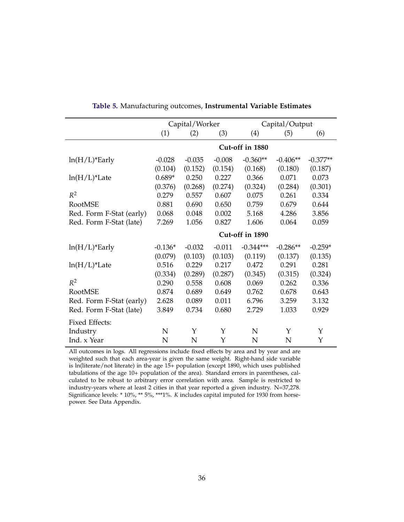|                          |           | Capital/Worker |          |                 | Capital/Output |            |
|--------------------------|-----------|----------------|----------|-----------------|----------------|------------|
|                          | (1)       | (2)            | (3)      | (4)             | (5)            | (6)        |
|                          |           |                |          | Cut-off in 1880 |                |            |
| $ln(H/L)*Early$          | $-0.028$  | $-0.035$       | $-0.008$ | $-0.360**$      | $-0.406**$     | $-0.377**$ |
|                          | (0.104)   | (0.152)        | (0.154)  | (0.168)         | (0.180)        | (0.187)    |
| $ln(H/L)*$ Late          | $0.689*$  | 0.250          | 0.227    | 0.366           | 0.071          | 0.073      |
|                          | (0.376)   | (0.268)        | (0.274)  | (0.324)         | (0.284)        | (0.301)    |
| $R^2$                    | 0.279     | 0.557          | 0.607    | 0.075           | 0.261          | 0.334      |
| <b>RootMSE</b>           | 0.881     | 0.690          | 0.650    | 0.759           | 0.679          | 0.644      |
| Red. Form F-Stat (early) | 0.068     | 0.048          | 0.002    | 5.168           | 4.286          | 3.856      |
| Red. Form F-Stat (late)  | 7.269     | 1.056          | 0.827    | 1.606           | 0.064          | 0.059      |
|                          |           |                |          | Cut-off in 1890 |                |            |
| $ln(H/L)$ *Early         | $-0.136*$ | $-0.032$       | $-0.011$ | $-0.344***$     | $-0.286**$     | $-0.259*$  |
|                          | (0.079)   | (0.103)        | (0.103)  | (0.119)         | (0.137)        | (0.135)    |
| $ln(H/L)*$ Late          | 0.516     | 0.229          | 0.217    | 0.472           | 0.291          | 0.281      |
|                          | (0.334)   | (0.289)        | (0.287)  | (0.345)         | (0.315)        | (0.324)    |
| $R^2$                    | 0.290     | 0.558          | 0.608    | 0.069           | 0.262          | 0.336      |
| <b>RootMSE</b>           | 0.874     | 0.689          | 0.649    | 0.762           | 0.678          | 0.643      |
| Red. Form F-Stat (early) | 2.628     | 0.089          | 0.011    | 6.796           | 3.259          | 3.132      |
| Red. Form F-Stat (late)  | 3.849     | 0.734          | 0.680    | 2.729           | 1.033          | 0.929      |
| Fixed Effects:           |           |                |          |                 |                |            |
| Industry                 | N         | Υ              | Υ        | N               | Y              | Υ          |
| Ind. x Year              | N         | N              | Υ        | N               | N              | Υ          |

**Table 5.** Manufacturing outcomes, **Instrumental Variable Estimates**

All outcomes in logs. All regressions include fixed effects by area and by year and are weighted such that each area-year is given the same weight. Right-hand side variable is ln(literate/not literate) in the age 15+ population (except 1890, which uses published tabulations of the age 10+ population of the area). Standard errors in parentheses, calculated to be robust to arbitrary error correlation with area. Sample is restricted to industry-years where at least 2 cities in that year reported a given industry. N=37,278. Significance levels: \* 10%, \*\* 5%, \*\*\*1%. *K* includes capital imputed for 1930 from horsepower. See Data Appendix.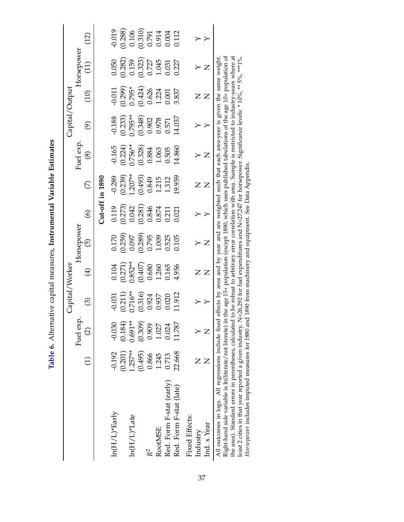Table 6. Alternative capital measures, Instrumental Variable Estimates **Table 6.** Alternative capital measures, **Instrumental Variable Estimates**

|                                                                                                                                                                                                                                                                                                                                                   |                 |               | Capital/Worker                                                             |                        |                                                          |                                                                                         |                         |                                                                                                                                                                                                      | Capital/Output                                                                                                                                                                                                                 |                                            |                                                                                       |                                                |
|---------------------------------------------------------------------------------------------------------------------------------------------------------------------------------------------------------------------------------------------------------------------------------------------------------------------------------------------------|-----------------|---------------|----------------------------------------------------------------------------|------------------------|----------------------------------------------------------|-----------------------------------------------------------------------------------------|-------------------------|------------------------------------------------------------------------------------------------------------------------------------------------------------------------------------------------------|--------------------------------------------------------------------------------------------------------------------------------------------------------------------------------------------------------------------------------|--------------------------------------------|---------------------------------------------------------------------------------------|------------------------------------------------|
|                                                                                                                                                                                                                                                                                                                                                   |                 | Fuel exp.     |                                                                            |                        | Horsepower                                               |                                                                                         |                         | Fuel exp                                                                                                                                                                                             |                                                                                                                                                                                                                                |                                            | Horsepower                                                                            |                                                |
|                                                                                                                                                                                                                                                                                                                                                   | $\widehat{\Xi}$ | $\widehat{c}$ | $\bigodot$                                                                 | $\bigoplus$            | $\widehat{\Theta}$                                       | $\odot$                                                                                 | $\widehat{\mathcal{C}}$ | $\circledS$                                                                                                                                                                                          | $\widehat{\mathfrak{G}}$                                                                                                                                                                                                       | (10)                                       | (11)                                                                                  | (12)                                           |
|                                                                                                                                                                                                                                                                                                                                                   |                 |               |                                                                            |                        |                                                          |                                                                                         | Cut-off in $1890$       |                                                                                                                                                                                                      |                                                                                                                                                                                                                                |                                            |                                                                                       |                                                |
| $ln(H/L)*Early$                                                                                                                                                                                                                                                                                                                                   | $-0.192$        | $-0.030$      |                                                                            | 0.104                  |                                                          |                                                                                         | $-0.289$                | $-0.165$                                                                                                                                                                                             | $-0.188$                                                                                                                                                                                                                       | $-0.011$                                   | 0.050                                                                                 | $-0.019$                                       |
|                                                                                                                                                                                                                                                                                                                                                   | (0.201)         | (0.184)       | $-0.031$<br>$(0.211)$<br>$0.716**$                                         | $(0.271)$<br>$0.852**$ | $\begin{array}{c} 0.170 \\ (0.259) \\ 0.097 \end{array}$ | $\begin{array}{c} 0.119 \\ 0.273) \\ 0.042 \\ 0.0846 \\ 0.8374 \\ 0.874 \\ \end{array}$ |                         |                                                                                                                                                                                                      |                                                                                                                                                                                                                                | $(0.299)$<br>$0.795*$                      | $\begin{array}{c} (0.282) \\ 0.159 \\ (0.323) \\ 0.727 \\ 1.045 \\ 0.031 \end{array}$ |                                                |
| $ln(H/L)*Late$                                                                                                                                                                                                                                                                                                                                    | $1.257**$       | $0.691**$     |                                                                            |                        |                                                          |                                                                                         | $(0.239)$<br>1.207**    | $(0.224)$<br>$0.756**$<br>$(0.328)$<br>$0.884$<br>$1.063$                                                                                                                                            | $(0.233)$<br>0.795**                                                                                                                                                                                                           |                                            |                                                                                       | $(0.288)$<br>0.106<br>0.310)<br>0.914<br>0.004 |
|                                                                                                                                                                                                                                                                                                                                                   | (0.495)         | (0.309)       | $\begin{array}{c} (0.316) \\ 0.924 \\ 0.937 \\ 0.020 \\ 0.020 \end{array}$ |                        | $\begin{array}{c} (0.289) \\ 0.795 \\ 1.009 \end{array}$ |                                                                                         | $(0.493)$<br>0.849      |                                                                                                                                                                                                      | $\begin{array}{c} (0.348) \\ 0.902 \\ 0.978 \\ 0.571 \end{array}$                                                                                                                                                              | $(0.424)$<br>$0.626$<br>$1.224$<br>$1.224$ |                                                                                       |                                                |
| R <sup>2</sup>                                                                                                                                                                                                                                                                                                                                    | 0.866           | 0.909         |                                                                            | $(0.407)$<br>$0.680$   |                                                          |                                                                                         |                         |                                                                                                                                                                                                      |                                                                                                                                                                                                                                |                                            |                                                                                       |                                                |
| RootMSE                                                                                                                                                                                                                                                                                                                                           | 1.245           | 1.027         |                                                                            | 1.260<br>0.165         |                                                          |                                                                                         | 1.215                   |                                                                                                                                                                                                      |                                                                                                                                                                                                                                |                                            |                                                                                       |                                                |
| Red. Form F-stat (early)                                                                                                                                                                                                                                                                                                                          | 0.713           | 0.024         |                                                                            |                        | 0.525                                                    |                                                                                         | 1.312                   | 0.505                                                                                                                                                                                                |                                                                                                                                                                                                                                |                                            |                                                                                       |                                                |
| Red. Form F-stat (late)                                                                                                                                                                                                                                                                                                                           | 22.668          | 11.787        | 11.912                                                                     | 4.956                  | 0.105                                                    | 0.021                                                                                   | 19.959                  | 14.860                                                                                                                                                                                               | 14.037                                                                                                                                                                                                                         | 3.837                                      | 0.227                                                                                 | 0.112                                          |
| <b>Fixed Effects:</b>                                                                                                                                                                                                                                                                                                                             |                 |               |                                                                            |                        |                                                          |                                                                                         |                         |                                                                                                                                                                                                      |                                                                                                                                                                                                                                |                                            |                                                                                       |                                                |
| Industry                                                                                                                                                                                                                                                                                                                                          |                 |               |                                                                            |                        |                                                          |                                                                                         |                         |                                                                                                                                                                                                      |                                                                                                                                                                                                                                |                                            |                                                                                       |                                                |
| Ind. x Year                                                                                                                                                                                                                                                                                                                                       | $\overline{Z}$  |               |                                                                            |                        |                                                          |                                                                                         |                         |                                                                                                                                                                                                      |                                                                                                                                                                                                                                |                                            |                                                                                       |                                                |
| ile Les Creations in the leading case is a less contracted in the contracted of the contracted in the contracted in the contracted in the contracted in the contracted in the contracted in the contracted in the contracted i<br>All outcomes in logs. All regressions include fixed<br>Right-hand side variable is ln(literate/not literate) in |                 |               | للملدم مفقصيهامسمما                                                        |                        |                                                          |                                                                                         |                         | the age 15+ population (except 1890, which uses published tabulations of the age 10+ population of<br>effects by area and by year and are weighted such that each area-year is given the same weight | e service and all control of the control of the control of the control of the control of the control of the control of the control of the control of the control of the control of the control of the control of the control o |                                            |                                                                                       |                                                |

the area). Standard errors in parentheses, calculated to be robust to arbitrary error correlation with area. Sample is restricted to industry-years where at<br>least 2 cities in that year reported a given industry. N=26,292 the area). Standard errors in parentheses, calculated to be robust to arbitrary error correlation with area. Sample is restricted to industry-years where at least 2 cities in that year reported a given industry. N=26,292 for fuel expenditures and N=27,247 for horsepower. Significance levels: \* 10%, \*\* 5%, \*\*\*1%. *Horsepower* includes imputed measures for 1880 and 1890 from machinery and equipment. See Data Appendix.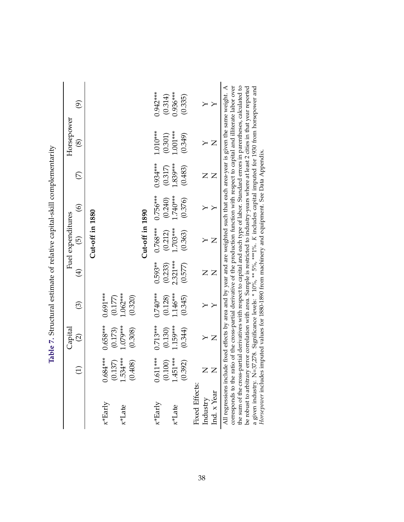|                            |                                           | ${\rm Capital}$                  |                       |                | Fuel expenditures |                    |                | Horsepower     |                          |
|----------------------------|-------------------------------------------|----------------------------------|-----------------------|----------------|-------------------|--------------------|----------------|----------------|--------------------------|
|                            | $\widehat{\Xi}$                           | $\widehat{\infty}$               | $\odot$               | $\bigoplus$    | $\odot$           | $\widehat{\Theta}$ | E              | $\circledS$    | $\widehat{\mathfrak{S}}$ |
|                            |                                           |                                  |                       |                | Cut-off in 1880   |                    |                |                |                          |
| $\kappa^*$ Early           | $0.684***$                                | $0.658***$                       | $0.691***$<br>(0.177) |                |                   |                    |                |                |                          |
| $\kappa^*$ Late            | 1.534***<br>(0.137)<br>(804, 1)<br>$\cup$ | $1.079***$<br>(0.173)<br>(0.308) | $-062***$<br>(0.320)  |                |                   |                    |                |                |                          |
|                            |                                           |                                  |                       |                | Cut-off in 1890   |                    |                |                |                          |
| $\kappa^*$ Early           | $0.611***$                                | $0.713***$                       | $0.740***$            | $0.593**$      | $0.768***$        | $0.756***$         | $0.934***$     | $1.010***$     | $0.942***$               |
|                            | (0.100)                                   | (0.130)                          | (0.128)               | (0.233)        | (0.212)           | (0.240)            | (0.317)        | (0.301)        |                          |
| $\kappa$ <sup>*</sup> Late | <b>151***</b><br>$\frac{4}{1}$            | 1.159***                         | .146***               | 2.321***       | $1.703***$        | $1.740***$         | 1.839***       | $1.001***$     | $(0.314)$<br>0.936***    |
|                            | (0.392)                                   | (0.344)                          | (0.345)               | (0.577)        | (0.363)           | (0.376)            | (0.483)        | (0.349)        | (0.335)                  |
| <b>Fixed Effects:</b>      |                                           |                                  |                       |                |                   |                    |                |                |                          |
| Industry                   | $\mathsf{Z}$                              |                                  |                       |                |                   |                    |                |                |                          |
| Ind. x Year                |                                           | $\overline{Z}$                   |                       | $\overline{Z}$ | $\overline{Z}$    |                    | $\overline{Z}$ | $\overline{Z}$ |                          |

<span id="page-40-0"></span>Table 7. Structural estimate of relative capital-skill complementarity **Table 7.** Structural estimate of relative capital-skill complementarity the sum of the cross-partial derivatives with respect to capital and each type of labor. Standard errors in parentheses, calculated to be robust to arbitrary error correlation with area. Sample is restricted to industry-y the sum of the cross-partial derivatives with respect to capital and each type of labor. Standard errors in parentheses, calculated to be robust to arbitrary error correlation with area. Sample is restricted to industry-years where at least 2 cities in that year reported a given industry. N=37,278. Significance levels: \* 10%, \*\* 5%, \*\*\*1%. *K* includes capital imputed for 1930 from horsepower and *Horsepower* includes imputed values for 1880-1890 from machinery and equipment. See Data Appendix.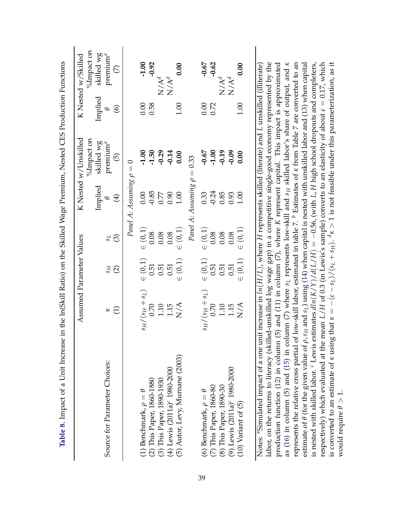<span id="page-41-0"></span>

|                                                                                                                                                                                                                                                                                      | Assumed Parameter Values                    |                    |             |                          | K Nested w/Unskilled                |                | K Nested w/Skilled   |
|--------------------------------------------------------------------------------------------------------------------------------------------------------------------------------------------------------------------------------------------------------------------------------------|---------------------------------------------|--------------------|-------------|--------------------------|-------------------------------------|----------------|----------------------|
|                                                                                                                                                                                                                                                                                      |                                             |                    |             |                          | %Impact on                          |                | %Impact on           |
|                                                                                                                                                                                                                                                                                      |                                             |                    |             | Implied                  | skilled wg                          | Implied        | skilled wg           |
| Source for Parameter Choices:                                                                                                                                                                                                                                                        | $\kappa \oplus$                             | $_{15}$            | 1s          | $\theta$                 | premium $^a$                        | Φ              | premium <sup>a</sup> |
|                                                                                                                                                                                                                                                                                      |                                             | $\widehat{\Omega}$ | ල           | $\bigoplus$              | $\widehat{\Theta}$                  | $\circledcirc$ | E                    |
|                                                                                                                                                                                                                                                                                      |                                             |                    |             | Panel A: Assuming $\rho$ | $\circ$<br>$\overline{\mathcal{H}}$ |                |                      |
| (1) Benchmark, $\rho = \theta$                                                                                                                                                                                                                                                       | $(s_H/(s_H+s_L))$                           | $\in (0,1)$        | $\in (0,1)$ | 0.00                     | $-1.00$                             | 0.00           | $-1.00$              |
| (2) This Paper, 1860-1880                                                                                                                                                                                                                                                            | 0.70                                        | 0.51               | 0.08        | $-0.85$                  | $-1.50$                             | 0.58           | $-0.92$              |
| (3) This Paper, 1890-1930                                                                                                                                                                                                                                                            |                                             | 0.51               | 0.08        | 0.77                     | $-0.29$                             |                | $N/A^d$              |
| (4) Lewis $(2011a)^c$ 1980-2000                                                                                                                                                                                                                                                      | $\begin{array}{c} 1.10 \\ 1.15 \end{array}$ | 0.51               | 0.08        | 0.90                     | $-0.14$                             |                | $N/A^d$              |
| (5) Autor, Levy, Murnane (2003)                                                                                                                                                                                                                                                      | N/A                                         | $\in (0,1)$        | $\in (0,1)$ | 1.00                     | 0.00                                | 1.00           | 0.00                 |
|                                                                                                                                                                                                                                                                                      |                                             |                    |             | Panel A: Assuming $\rho$ | 0.33<br>$\vert\vert$                |                |                      |
| (6) Benchmark, $\rho = \theta$                                                                                                                                                                                                                                                       | $(s_H/(s_H+s_L))$                           | $\in (0,1)$        | $\in (0,1)$ | 0.33                     | $-0.67$                             | 0.00           | $-0.67$              |
| (7) This Paper, 1860-80                                                                                                                                                                                                                                                              | 0.70                                        | 0.51               | 0.08        | $-0.24$                  | $-1.00$                             | 0.72           | $-0.62$              |
|                                                                                                                                                                                                                                                                                      | $\begin{array}{c} 1.10 \\ 1.15 \end{array}$ | 0.51               | 0.08        | 0.85                     | $-0.19$                             |                | $N/A^d$              |
| (8) This Paper, 1890-30<br>(9) Lewis (2011a) <sup>c</sup> 1980-2000                                                                                                                                                                                                                  |                                             | 0.51               | 0.08        | 0.93                     | $-0.09$                             |                | $N/A^d$              |
| $(10)$ Variant of $(5)$                                                                                                                                                                                                                                                              | N/A                                         | $\in (0,1)$        | $\in (0,1)$ | 1.00                     | 0.00                                | 1.00           | 0.00                 |
| Notes: "Simulated impact of a one unit increase in $ln(H/L)$ , where H represents skilled (literate) and L unskilled (illiterate)                                                                                                                                                    |                                             |                    |             |                          |                                     |                |                      |
| labor, on the returns to literacy (skilled-unskilled log wage gap) in a competitive single-good economy represented by the                                                                                                                                                           |                                             |                    |             |                          |                                     |                |                      |
| production function (12) in column (5) and (11) in column (7), where K represent capital. This impact is approximated                                                                                                                                                                |                                             |                    |             |                          |                                     |                |                      |
| represents the relative cross partial of low-skill labor, estimated in table 7. $^b$ Estimates of $\kappa$ from Table 7 are converted to an<br>as (16) in column (5) and (15) in column (7) where $s_L$ represents low-skill and $s_H$ skilled labor's share of output, and $\kappa$ |                                             |                    |             |                          |                                     |                |                      |
| estimate of $\theta$ (for the given value of $\rho$ , $s_H$ and $s_L$ ) using (14) when capital is nested with unskilled labor and (13) when capital                                                                                                                                 |                                             |                    |             |                          |                                     |                |                      |
| is nested with skilled labor. <sup>c</sup> Lewis estimates $dln(K/Y)/d(L/H) = -0.56$ , (with L, H high school dropouts and completers,                                                                                                                                               |                                             |                    |             |                          |                                     |                |                      |
| respectively) which evaluated at the mean $L/H$ of 0.3 (in Lewis's sample) converts to an elasticity of about $\varepsilon = 0.17$ , which                                                                                                                                           |                                             |                    |             |                          |                                     |                |                      |
| is converted to an estimate of $\kappa$ using that $\kappa = -(\varepsilon - s_L)/(s_L + s_H)$ . $d\kappa > 1$ is not feasible under this parameterization, as it                                                                                                                    |                                             |                    |             |                          |                                     |                |                      |
| would require $\theta > 1$ .                                                                                                                                                                                                                                                         |                                             |                    |             |                          |                                     |                |                      |

would require  $\theta > 1$ .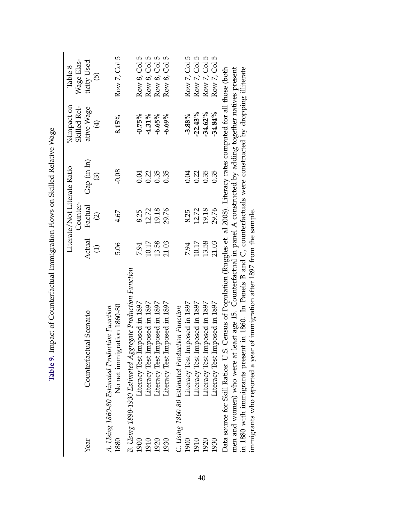|      |                                                                                                                               |                           | Counter-                            | Literate/Not Literate Ratio      | $\%$ Impact on<br>Skilled Rel- | Wage Elas-<br>Table 8             |
|------|-------------------------------------------------------------------------------------------------------------------------------|---------------------------|-------------------------------------|----------------------------------|--------------------------------|-----------------------------------|
| Year | Counterfactual Scenario                                                                                                       | Actual<br>$\widehat{\Xi}$ | Factual<br>$\widehat{\mathfrak{Q}}$ | Gap (in ln)<br>$\widehat{\odot}$ | ative Wage<br>$\bigoplus$      | ticity Used<br>$\widehat{\Theta}$ |
| 1880 | No net immigration 1860-80<br>A. Using 1860-80 Estimated Production Function                                                  | 5.06                      | 4.67                                | $-0.08$                          | 8.15%                          | Row 7, Col 5                      |
| 1900 | B. Using 1890-1930 Estimated Aggregate Production Function<br>Literacy Test Imposed in 1897                                   | 7.94                      | 8.25                                | 0.04                             | $-0.75\%$                      | Row 8, Col 5                      |
| 1910 | Literacy Test Imposed in 1897                                                                                                 | 10.17                     | 12.72                               | 0.22                             | $-4.31\%$                      | Row 8, Col 5                      |
| 1920 | Literacy Test Imposed in 1897                                                                                                 | 13.58                     | 19.18                               | 0.35                             | $-6.65%$                       | Row 8, Col 5                      |
| 1930 | Literacy Test Imposed in 1897                                                                                                 | 21.03                     | 29.76                               | 0.35                             | $-6.69%$                       | Row 8, Col 5                      |
|      | C. Using 1860-80 Estimated Production Function                                                                                |                           |                                     |                                  |                                |                                   |
| 1900 | Literacy Test Imposed in 1897                                                                                                 | 7.94                      | 8.25                                | 0.04                             | $-3.88%$                       | Row 7, Col 5                      |
| 1910 | Literacy Test Imposed in 1897                                                                                                 | 10.17                     | 12.72                               | 0.22                             | $-22.43%$                      | Row 7, Col 5                      |
| 1920 | Literacy Test Imposed in 1897                                                                                                 | 13.58                     | 19.18                               | 0.35                             | $-34.62\%$                     | Row 7, Col 5                      |
| 1930 | Literacy Test Imposed in 1897                                                                                                 | 21.03                     | 29.76                               | 0.35                             | $-34.84%$                      | Row 7, Col 5                      |
|      | Census of Population (Ruggles et. al 2008). Literacy rates computed for all those (both<br>Data source for Skill Ratios: U.S. |                           |                                     |                                  |                                |                                   |
|      | men and women) who were at least age 15. Counterfactual in panel A constructed by adding together natives present             |                           |                                     |                                  |                                |                                   |

| ;                                                  |
|----------------------------------------------------|
|                                                    |
|                                                    |
|                                                    |
|                                                    |
| - 1 - 1 - 1 - 1                                    |
|                                                    |
|                                                    |
| <b>A TIME AND STATES OF THE COLLECTED FOR FIRE</b> |
|                                                    |
|                                                    |
|                                                    |
| í<br>ļ                                             |
|                                                    |
|                                                    |
|                                                    |
|                                                    |
|                                                    |
|                                                    |
|                                                    |
| $-2 - 7 - 7 = 0$                                   |
|                                                    |
|                                                    |
|                                                    |
|                                                    |
|                                                    |
| I                                                  |
|                                                    |
|                                                    |
|                                                    |
| ۱                                                  |
| l                                                  |
| <b>THATLE JO JUNE</b>                              |
|                                                    |
|                                                    |
| r<br>E                                             |

mari and womany with we were a ready ago. The Panels B and C, counterfactuals were constructed by dropping illiterate immigrants who reported a year of immigration after 1897 from the sample. men and women) who were at least age 15. Counterfactual in panel A constructed by adding together natives present in 1880 with immigrants present in 1860. In Panels B and C, counterfactuals were constructed by dropping illiterate immigrants who reported a year of immigration after 1897 from the sample.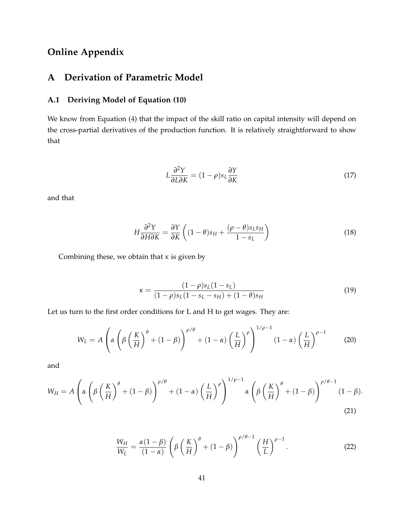# **Online Appendix**

# **A Derivation of Parametric Model**

### **A.1 Deriving Model of Equation (10)**

We know from Equation [\(4\)](#page-9-0) that the impact of the skill ratio on capital intensity will depend on the cross-partial derivatives of the production function. It is relatively straightforward to show that

$$
L\frac{\partial^2 Y}{\partial L \partial K} = (1 - \rho)s_L \frac{\partial Y}{\partial K}
$$
\n(17)

and that

$$
H\frac{\partial^2 Y}{\partial H \partial K} = \frac{\partial Y}{\partial K} \left( (1 - \theta)s_H + \frac{(\rho - \theta)s_L s_H}{1 - s_L} \right) \tag{18}
$$

Combining these, we obtain that *κ* is given by

$$
\kappa = \frac{(1 - \rho)s_L(1 - s_L)}{(1 - \rho)s_L(1 - s_L - s_H) + (1 - \theta)s_H} \tag{19}
$$

Let us turn to the first order conditions for L and H to get wages. They are:

$$
W_L = A \left( \alpha \left( \beta \left( \frac{K}{H} \right)^{\theta} + (1 - \beta) \right)^{\rho/\theta} + (1 - \alpha) \left( \frac{L}{H} \right)^{\rho} \right)^{1/\rho - 1} (1 - \alpha) \left( \frac{L}{H} \right)^{\rho - 1}
$$
(20)

and

$$
W_H = A \left( \alpha \left( \beta \left( \frac{K}{H} \right)^{\theta} + (1 - \beta) \right)^{\rho/\theta} + (1 - \alpha) \left( \frac{L}{H} \right)^{\rho} \right)^{1/\rho - 1} \alpha \left( \beta \left( \frac{K}{H} \right)^{\theta} + (1 - \beta) \right)^{\rho/\theta - 1} (1 - \beta).
$$
\n(21)

$$
\frac{W_H}{W_L} = \frac{\alpha(1-\beta)}{(1-\alpha)} \left( \beta \left( \frac{K}{H} \right)^{\theta} + (1-\beta) \right)^{\rho/\theta - 1} \left( \frac{H}{L} \right)^{\rho - 1}.
$$
 (22)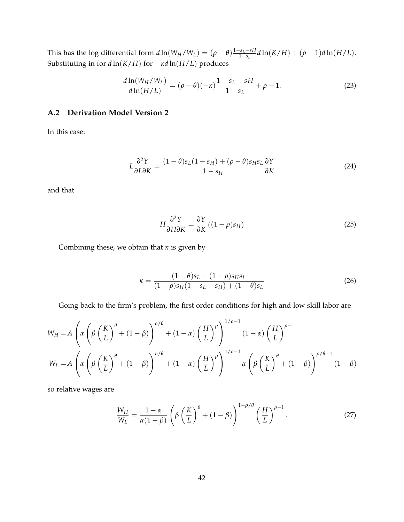This has the log differential form  $d \ln(W_H/W_L) = (\rho - \theta) \frac{1 - s_L - sH}{1 - s_L}$  $\frac{1}{1-s_L}$  d ln(*K*/*H*) + (ρ − 1)*d* ln(*H*/*L*). Substituting in for *d* ln(*K*/*H*) for −*κd* ln(*H*/*L*) produces

$$
\frac{d\ln(W_H/W_L)}{d\ln(H/L)} = (\rho - \theta)(-\kappa)\frac{1 - s_L - sH}{1 - s_L} + \rho - 1.
$$
\n(23)

### **A.2 Derivation Model Version 2**

In this case:

$$
L\frac{\partial^2 Y}{\partial L \partial K} = \frac{(1-\theta)s_L(1-s_H) + (\rho-\theta)s_Hs_L}{1-s_H} \frac{\partial Y}{\partial K}
$$
(24)

and that

$$
H\frac{\partial^2 Y}{\partial H \partial K} = \frac{\partial Y}{\partial K} \left( (1 - \rho)s_H \right) \tag{25}
$$

Combining these, we obtain that *κ* is given by

$$
\kappa = \frac{(1-\theta)s_L - (1-\rho)s_H s_L}{(1-\rho)s_H(1-s_L-s_H) + (1-\theta)s_L} \tag{26}
$$

Going back to the firm's problem, the first order conditions for high and low skill labor are

$$
W_H = A \left( \alpha \left( \beta \left( \frac{K}{L} \right)^{\theta} + (1 - \beta) \right)^{\rho/\theta} + (1 - \alpha) \left( \frac{H}{L} \right)^{\rho} \right)^{1/\rho - 1} (1 - \alpha) \left( \frac{H}{L} \right)^{\rho - 1}
$$
  

$$
W_L = A \left( \alpha \left( \beta \left( \frac{K}{L} \right)^{\theta} + (1 - \beta) \right)^{\rho/\theta} + (1 - \alpha) \left( \frac{H}{L} \right)^{\rho} \right)^{1/\rho - 1} \alpha \left( \beta \left( \frac{K}{L} \right)^{\theta} + (1 - \beta) \right)^{\rho/\theta - 1} (1 - \beta)
$$

so relative wages are

$$
\frac{W_H}{W_L} = \frac{1-\alpha}{\alpha(1-\beta)} \left( \beta \left( \frac{K}{L} \right)^{\theta} + (1-\beta) \right)^{1-\rho/\theta} \left( \frac{H}{L} \right)^{\rho-1}.
$$
 (27)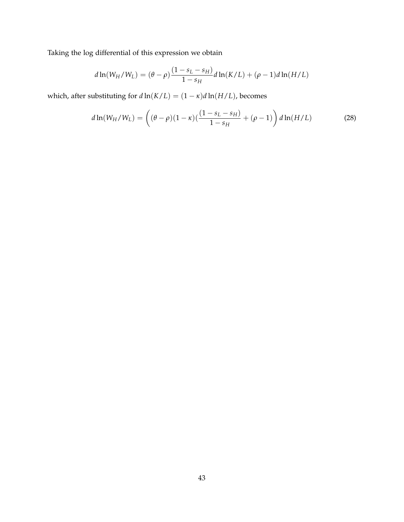Taking the log differential of this expression we obtain

$$
d\ln(W_H/W_L) = (\theta - \rho) \frac{(1 - s_L - s_H)}{1 - s_H} d\ln(K/L) + (\rho - 1) d\ln(H/L)
$$

which, after substituting for  $d \ln(K/L) = (1 - \kappa) d \ln(H/L)$ , becomes

$$
d\ln(W_H/W_L) = \left( (\theta - \rho)(1 - \kappa)\left(\frac{(1 - s_L - s_H)}{1 - s_H} + (\rho - 1)\right) d\ln(H/L) \right) \tag{28}
$$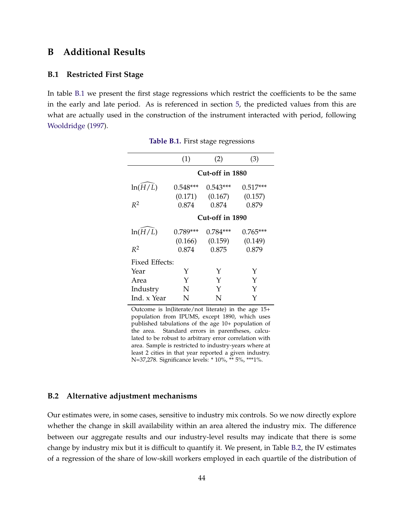### **B Additional Results**

#### **B.1 Restricted First Stage**

<span id="page-46-0"></span>In table [B.1](#page-46-0) we present the first stage regressions which restrict the coefficients to be the same in the early and late period. As is referenced in section [5,](#page-17-0) the predicted values from this are what are actually used in the construction of the instrument interacted with period, following [Wooldridge](#page-32-0) [\(1997\)](#page-32-0).

|                | (1)        | (2)             | (3)        |
|----------------|------------|-----------------|------------|
|                |            | Cut-off in 1880 |            |
| ln(H/L)        | $0.548***$ | $0.543***$      | $0.517***$ |
|                | (0.171)    | (0.167)         | (0.157)    |
| $R^2$          | 0.874      | 0.874           | 0.879      |
|                |            | Cut-off in 1890 |            |
| ln(H/L)        | $0.789***$ | $0.784***$      | $0.765***$ |
|                | (0.166)    | (0.159)         | (0.149)    |
| $R^2$          | 0.874      | 0.875           | 0.879      |
| Fixed Effects: |            |                 |            |
| Year           | Y          | Y               | Y          |
| Area           | Y          | Y               | Y          |
| Industry       | N          | Y               | Y          |
| Ind. x Year    | N          | N               |            |

**Table B.1.** First stage regressions

Outcome is ln(literate/not literate) in the age 15+ population from IPUMS, except 1890, which uses published tabulations of the age 10+ population of the area. Standard errors in parentheses, calculated to be robust to arbitrary error correlation with area. Sample is restricted to industry-years where at least 2 cities in that year reported a given industry. N=37,278. Significance levels: \* 10%, \*\* 5%, \*\*\*1%.

#### **B.2 Alternative adjustment mechanisms**

Our estimates were, in some cases, sensitive to industry mix controls. So we now directly explore whether the change in skill availability within an area altered the industry mix. The difference between our aggregate results and our industry-level results may indicate that there is some change by industry mix but it is difficult to quantify it. We present, in Table [B.2,](#page-48-0) the IV estimates of a regression of the share of low-skill workers employed in each quartile of the distribution of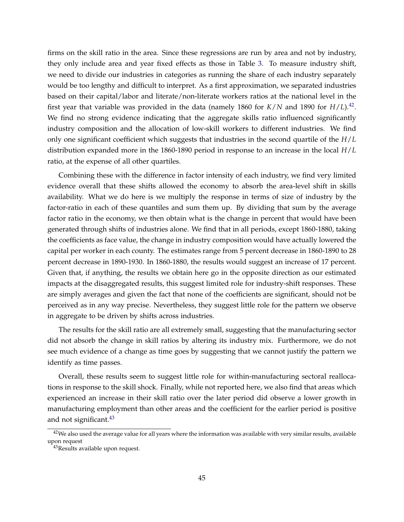firms on the skill ratio in the area. Since these regressions are run by area and not by industry, they only include area and year fixed effects as those in Table [3.](#page-36-0) To measure industry shift, we need to divide our industries in categories as running the share of each industry separately would be too lengthy and difficult to interpret. As a first approximation, we separated industries based on their capital/labor and literate/non-literate workers ratios at the national level in the first year that variable was provided in the data (namely 1860 for  $K/N$  and 1890 for  $H/L$ ).<sup>[42](#page-47-0)</sup>. We find no strong evidence indicating that the aggregate skills ratio influenced significantly industry composition and the allocation of low-skill workers to different industries. We find only one significant coefficient which suggests that industries in the second quartile of the *H*/*L* distribution expanded more in the 1860-1890 period in response to an increase in the local *H*/*L* ratio, at the expense of all other quartiles.

Combining these with the difference in factor intensity of each industry, we find very limited evidence overall that these shifts allowed the economy to absorb the area-level shift in skills availability. What we do here is we multiply the response in terms of size of industry by the factor-ratio in each of these quantiles and sum them up. By dividing that sum by the average factor ratio in the economy, we then obtain what is the change in percent that would have been generated through shifts of industries alone. We find that in all periods, except 1860-1880, taking the coefficients as face value, the change in industry composition would have actually lowered the capital per worker in each county. The estimates range from 5 percent decrease in 1860-1890 to 28 percent decrease in 1890-1930. In 1860-1880, the results would suggest an increase of 17 percent. Given that, if anything, the results we obtain here go in the opposite direction as our estimated impacts at the disaggregated results, this suggest limited role for industry-shift responses. These are simply averages and given the fact that none of the coefficients are significant, should not be perceived as in any way precise. Nevertheless, they suggest little role for the pattern we observe in aggregate to be driven by shifts across industries.

The results for the skill ratio are all extremely small, suggesting that the manufacturing sector did not absorb the change in skill ratios by altering its industry mix. Furthermore, we do not see much evidence of a change as time goes by suggesting that we cannot justify the pattern we identify as time passes.

Overall, these results seem to suggest little role for within-manufacturing sectoral reallocations in response to the skill shock. Finally, while not reported here, we also find that areas which experienced an increase in their skill ratio over the later period did observe a lower growth in manufacturing employment than other areas and the coefficient for the earlier period is positive and not significant.<sup>[43](#page-47-1)</sup>

<span id="page-47-0"></span> $42$ We also used the average value for all years where the information was available with very similar results, available upon request

<span id="page-47-1"></span><sup>43</sup>Results available upon request.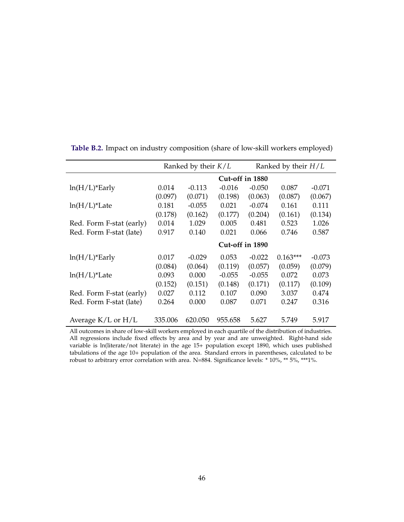|                              |         | Ranked by their $K/L$ |                 |          | Ranked by their $H/L$ |          |
|------------------------------|---------|-----------------------|-----------------|----------|-----------------------|----------|
|                              |         |                       | Cut-off in 1880 |          |                       |          |
| $ln(H/L)$ <sup>*</sup> Early | 0.014   | $-0.113$              | $-0.016$        | $-0.050$ | 0.087                 | $-0.071$ |
|                              | (0.097) | (0.071)               | (0.198)         | (0.063)  | (0.087)               | (0.067)  |
| $ln(H/L)*$ Late              | 0.181   | $-0.055$              | 0.021           | $-0.074$ | 0.161                 | 0.111    |
|                              | (0.178) | (0.162)               | (0.177)         | (0.204)  | (0.161)               | (0.134)  |
| Red. Form F-stat (early)     | 0.014   | 1.029                 | 0.005           | 0.481    | 0.523                 | 1.026    |
| Red. Form F-stat (late)      | 0.917   | 0.140                 | 0.021           | 0.066    | 0.746                 | 0.587    |
|                              |         |                       | Cut-off in 1890 |          |                       |          |
| $ln(H/L)$ <sup>*</sup> Early | 0.017   | $-0.029$              | 0.053           | $-0.022$ | $0.163***$            | $-0.073$ |
|                              | (0.084) | (0.064)               | (0.119)         | (0.057)  | (0.059)               | (0.079)  |
| $ln(H/L)*$ Late              | 0.093   | 0.000                 | $-0.055$        | $-0.055$ | 0.072                 | 0.073    |
|                              | (0.152) | (0.151)               | (0.148)         | (0.171)  | (0.117)               | (0.109)  |
| Red. Form F-stat (early)     | 0.027   | 0.112                 | 0.107           | 0.090    | 3.037                 | 0.474    |
| Red. Form F-stat (late)      | 0.264   | 0.000                 | 0.087           | 0.071    | 0.247                 | 0.316    |
| Average $K/L$ or $H/L$       | 335.006 | 620.050               | 955.658         | 5.627    | 5.749                 | 5.917    |

<span id="page-48-0"></span>**Table B.2.** Impact on industry composition (share of low-skill workers employed)

All outcomes in share of low-skill workers employed in each quartile of the distribution of industries. All regressions include fixed effects by area and by year and are unweighted. Right-hand side variable is ln(literate/not literate) in the age 15+ population except 1890, which uses published tabulations of the age 10+ population of the area. Standard errors in parentheses, calculated to be robust to arbitrary error correlation with area. N=884. Significance levels: \* 10%, \*\* 5%, \*\*\*1%.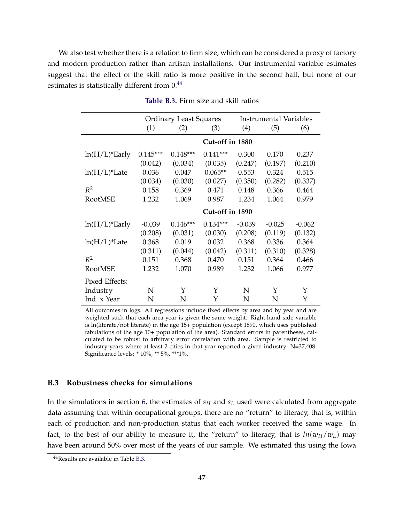We also test whether there is a relation to firm size, which can be considered a proxy of factory and modern production rather than artisan installations. Our instrumental variable estimates suggest that the effect of the skill ratio is more positive in the second half, but none of our estimates is statistically different from  $0.44$  $0.44$ 

<span id="page-49-1"></span>

|                              |            | <b>Ordinary Least Squares</b> |                 |          | <b>Instrumental Variables</b> |          |
|------------------------------|------------|-------------------------------|-----------------|----------|-------------------------------|----------|
|                              | (1)        | (2)                           | (3)             | (4)      | (5)                           | (6)      |
|                              |            |                               | Cut-off in 1880 |          |                               |          |
| $ln(H/L)$ <sup>*</sup> Early | $0.145***$ | $0.148***$                    | $0.141***$      | 0.300    | 0.170                         | 0.237    |
|                              | (0.042)    | (0.034)                       | (0.035)         | (0.247)  | (0.197)                       | (0.210)  |
| $ln(H/L)*$ Late              | 0.036      | 0.047                         | $0.065**$       | 0.553    | 0.324                         | 0.515    |
|                              | (0.034)    | (0.030)                       | (0.027)         | (0.350)  | (0.282)                       | (0.337)  |
| $R^2$                        | 0.158      | 0.369                         | 0.471           | 0.148    | 0.366                         | 0.464    |
| RootMSE                      | 1.232      | 1.069                         | 0.987           | 1.234    | 1.064                         | 0.979    |
|                              |            |                               | Cut-off in 1890 |          |                               |          |
| $ln(H/L)$ *Early             | $-0.039$   | $0.146***$                    | $0.134***$      | $-0.039$ | $-0.025$                      | $-0.062$ |
|                              | (0.208)    | (0.031)                       | (0.030)         | (0.208)  | (0.119)                       | (0.132)  |
| $ln(H/L)*$ Late              | 0.368      | 0.019                         | 0.032           | 0.368    | 0.336                         | 0.364    |
|                              | (0.311)    | (0.044)                       | (0.042)         | (0.311)  | (0.310)                       | (0.328)  |
| $R^2$                        | 0.151      | 0.368                         | 0.470           | 0.151    | 0.364                         | 0.466    |
| RootMSE                      | 1.232      | 1.070                         | 0.989           | 1.232    | 1.066                         | 0.977    |
| Fixed Effects:               |            |                               |                 |          |                               |          |
| Industry                     | N          | Y                             | Y               | N        | Y                             | Y        |
| Ind. x Year                  | N          | N                             | Y               | N        | N                             | Y        |

**Table B.3.** Firm size and skill ratios

All outcomes in logs. All regressions include fixed effects by area and by year and are weighted such that each area-year is given the same weight. Right-hand side variable is ln(literate/not literate) in the age 15+ population (except 1890, which uses published tabulations of the age 10+ population of the area). Standard errors in parentheses, calculated to be robust to arbitrary error correlation with area. Sample is restricted to industry-years where at least 2 cities in that year reported a given industry. N=37,408. Significance levels: \* 10%, \*\* 5%, \*\*\*1%.

#### **B.3 Robustness checks for simulations**

In the simulations in section [6,](#page-23-1) the estimates of *s<sup>H</sup>* and *s<sup>L</sup>* used were calculated from aggregate data assuming that within occupational groups, there are no "return" to literacy, that is, within each of production and non-production status that each worker received the same wage. In fact, to the best of our ability to measure it, the "return" to literacy, that is  $ln(w_H/w_L)$  may have been around 50% over most of the years of our sample. We estimated this using the Iowa

<span id="page-49-0"></span><sup>44</sup>Results are available in Table [B.3.](#page-49-1)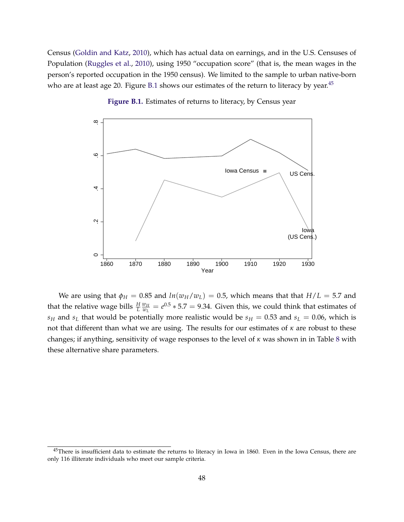Census [\(Goldin and Katz,](#page-30-0) [2010\)](#page-30-0), which has actual data on earnings, and in the U.S. Censuses of Population [\(Ruggles et al.,](#page-32-1) [2010\)](#page-32-1), using 1950 "occupation score" (that is, the mean wages in the person's reported occupation in the 1950 census). We limited to the sample to urban native-born who are at least age 20. Figure [B.1](#page-50-0) shows our estimates of the return to literacy by year. $45$ 

<span id="page-50-0"></span>

**Figure B.1.** Estimates of returns to literacy, by Census year

We are using that  $\phi_H = 0.85$  and  $ln(w_H/w_L) = 0.5$ , which means that that  $H/L = 5.7$  and that the relative wage bills  $\frac{H}{L} \frac{w_H}{w_L}$  $\frac{w_H}{w_L} = e^{0.5} * 5.7 = 9.34$ . Given this, we could think that estimates of *s*<sup>H</sup> and *s*<sup>L</sup> that would be potentially more realistic would be  $s$ <sup>H</sup> = 0.53 and  $s$ <sup>L</sup> = 0.06, which is not that different than what we are using. The results for our estimates of *κ* are robust to these changes; if anything, sensitivity of wage responses to the level of *κ* was shown in in Table [8](#page-41-0) with these alternative share parameters.

<span id="page-50-1"></span><sup>&</sup>lt;sup>45</sup>There is insufficient data to estimate the returns to literacy in Iowa in 1860. Even in the Iowa Census, there are only 116 illiterate individuals who meet our sample criteria.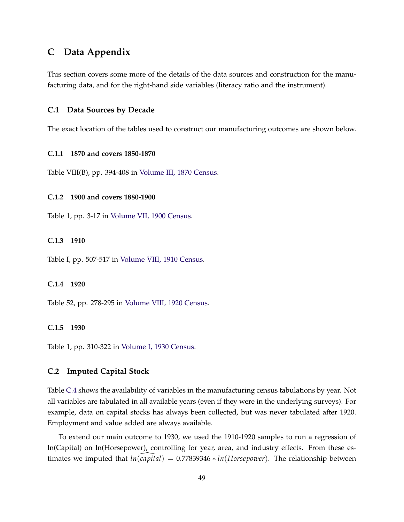### **C Data Appendix**

This section covers some more of the details of the data sources and construction for the manufacturing data, and for the right-hand side variables (literacy ratio and the instrument).

#### **C.1 Data Sources by Decade**

The exact location of the tables used to construct our manufacturing outcomes are shown below.

#### **C.1.1 1870 and covers 1850-1870**

Table VIII(B), pp. 394-408 in [Volume III, 1870 Census.](#page-32-2)

#### **C.1.2 1900 and covers 1880-1900**

Table 1, pp. 3-17 in [Volume VII, 1900 Census.](#page-32-3)

#### **C.1.3 1910**

Table I, pp. 507-517 in [Volume VIII, 1910 Census.](#page-32-4)

#### **C.1.4 1920**

Table 52, pp. 278-295 in [Volume VIII, 1920 Census.](#page-32-5)

#### **C.1.5 1930**

Table 1, pp. 310-322 in [Volume I, 1930 Census.](#page-32-6)

#### **C.2 Imputed Capital Stock**

Table [C.4](#page-52-0) shows the availability of variables in the manufacturing census tabulations by year. Not all variables are tabulated in all available years (even if they were in the underlying surveys). For example, data on capital stocks has always been collected, but was never tabulated after 1920. Employment and value added are always available.

To extend our main outcome to 1930, we used the 1910-1920 samples to run a regression of ln(Capital) on ln(Horsepower), controlling for year, area, and industry effects. From these estimates we imputed that  $ln(capital) = 0.77839346 * ln(Horsepower)$ . The relationship between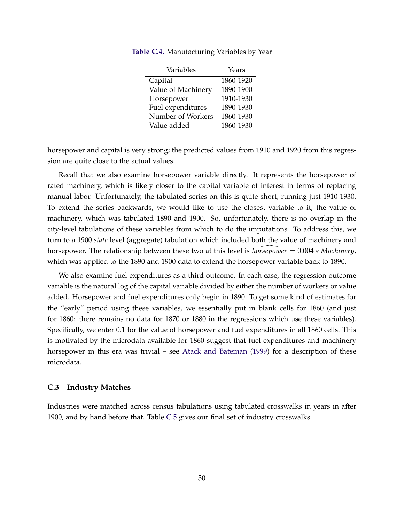| Variables          | Years     |
|--------------------|-----------|
| Capital            | 1860-1920 |
| Value of Machinery | 1890-1900 |
| Horsepower         | 1910-1930 |
| Fuel expenditures  | 1890-1930 |
| Number of Workers  | 1860-1930 |
| Value added        | 1860-1930 |

<span id="page-52-0"></span>**Table C.4.** Manufacturing Variables by Year

horsepower and capital is very strong; the predicted values from 1910 and 1920 from this regression are quite close to the actual values.

Recall that we also examine horsepower variable directly. It represents the horsepower of rated machinery, which is likely closer to the capital variable of interest in terms of replacing manual labor. Unfortunately, the tabulated series on this is quite short, running just 1910-1930. To extend the series backwards, we would like to use the closest variable to it, the value of machinery, which was tabulated 1890 and 1900. So, unfortunately, there is no overlap in the city-level tabulations of these variables from which to do the imputations. To address this, we turn to a 1900 *state* level (aggregate) tabulation which included both the value of machinery and horsepower. The relationship between these two at this level is *horsepower* \ <sup>=</sup> 0.004 <sup>∗</sup> *Machinery*, which was applied to the 1890 and 1900 data to extend the horsepower variable back to 1890.

We also examine fuel expenditures as a third outcome. In each case, the regression outcome variable is the natural log of the capital variable divided by either the number of workers or value added. Horsepower and fuel expenditures only begin in 1890. To get some kind of estimates for the "early" period using these variables, we essentially put in blank cells for 1860 (and just for 1860: there remains no data for 1870 or 1880 in the regressions which use these variables). Specifically, we enter 0.1 for the value of horsepower and fuel expenditures in all 1860 cells. This is motivated by the microdata available for 1860 suggest that fuel expenditures and machinery horsepower in this era was trivial – see [Atack and Bateman](#page-29-0) [\(1999\)](#page-29-0) for a description of these microdata.

#### **C.3 Industry Matches**

Industries were matched across census tabulations using tabulated crosswalks in years in after 1900, and by hand before that. Table [C.5](#page-53-0) gives our final set of industry crosswalks.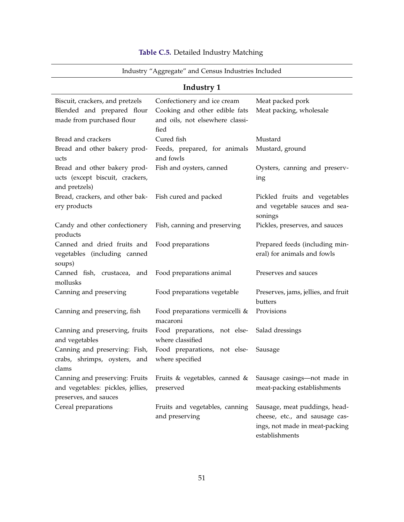#### <span id="page-53-0"></span>Industry "Aggregate" and Census Industries Included **Industry 1** Biscuit, crackers, and pretzels Confectionery and ice cream Meat packed pork Blended and prepared flour made from purchased flour Cooking and other edible fats and oils, not elsewhere classified Meat packing, wholesale Bread and crackers **Cured fish** Cured fish Mustard Bread and other bakery products Feeds, prepared, for animals and fowls Mustard, ground Bread and other bakery products (except biscuit, crackers, and pretzels) Fish and oysters, canned Oysters, canning and preserving Bread, crackers, and other bakery products Fish cured and packed Pickled fruits and vegetables and vegetable sauces and seasonings Candy and other confectionery products Fish, canning and preserving Pickles, preserves, and sauces Canned and dried fruits and vegetables (including canned soups) Food preparations Prepared feeds (including mineral) for animals and fowls Canned fish, crustacea, and mollusks Food preparations animal Preserves and sauces Canning and preserving Food preparations vegetable Preserves, jams, jellies, and fruit butters Canning and preserving, fish Food preparations vermicelli & macaroni Provisions Canning and preserving, fruits and vegetables Food preparations, not elsewhere classified Salad dressings Canning and preserving: Fish, crabs, shrimps, oysters, and clams Food preparations, not elsewhere specified Sausage Canning and preserving: Fruits and vegetables: pickles, jellies, preserves, and sauces Fruits & vegetables, canned & preserved Sausage casings—not made in meat-packing establishments Cereal preparations Fruits and vegetables, canning and preserving Sausage, meat puddings, headcheese, etc., and sausage casings, not made in meat-packing

#### **Table C.5.** Detailed Industry Matching

establishments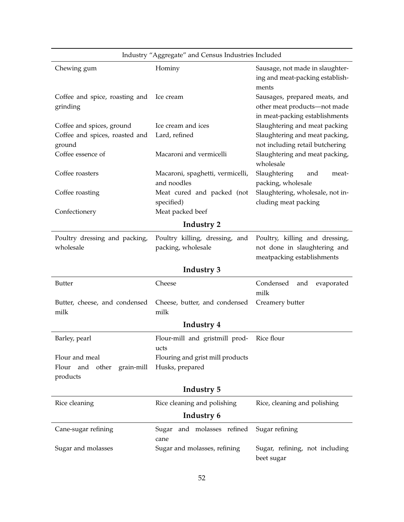| Industry "Aggregate" and Census Industries Included |                                                      |                                                                                                 |  |
|-----------------------------------------------------|------------------------------------------------------|-------------------------------------------------------------------------------------------------|--|
| Chewing gum                                         | Hominy                                               | Sausage, not made in slaughter-<br>ing and meat-packing establish-<br>ments                     |  |
| Coffee and spice, roasting and<br>grinding          | Ice cream                                            | Sausages, prepared meats, and<br>other meat products-not made<br>in meat-packing establishments |  |
| Coffee and spices, ground                           | Ice cream and ices                                   | Slaughtering and meat packing                                                                   |  |
| Coffee and spices, roasted and<br>ground            | Lard, refined                                        | Slaughtering and meat packing,<br>not including retail butchering                               |  |
| Coffee essence of                                   | Macaroni and vermicelli                              | Slaughtering and meat packing,<br>wholesale                                                     |  |
| Coffee roasters                                     | Macaroni, spaghetti, vermicelli,<br>and noodles      | Slaughtering<br>and<br>meat-<br>packing, wholesale                                              |  |
| Coffee roasting                                     | Meat cured and packed (not<br>specified)             | Slaughtering, wholesale, not in-<br>cluding meat packing                                        |  |
| Confectionery                                       | Meat packed beef                                     |                                                                                                 |  |
|                                                     | Industry 2                                           |                                                                                                 |  |
| Poultry dressing and packing,<br>wholesale          | Poultry killing, dressing, and<br>packing, wholesale | Poultry, killing and dressing,<br>not done in slaughtering and<br>meatpacking establishments    |  |
| Industry 3                                          |                                                      |                                                                                                 |  |
| <b>Butter</b>                                       | Cheese                                               | Condensed<br>evaporated<br>and<br>milk                                                          |  |
| Butter, cheese, and condensed<br>milk               | Cheese, butter, and condensed<br>milk                | Creamery butter                                                                                 |  |
|                                                     | Industry 4                                           |                                                                                                 |  |
| Barley, pearl                                       | Flour-mill and gristmill prod-<br>ucts               | Rice flour                                                                                      |  |
| Flour and meal                                      | Flouring and grist mill products                     |                                                                                                 |  |
| and other<br>grain-mill<br>Flour<br>products        | Husks, prepared                                      |                                                                                                 |  |
|                                                     | Industry 5                                           |                                                                                                 |  |
| Rice cleaning                                       | Rice cleaning and polishing                          | Rice, cleaning and polishing                                                                    |  |
|                                                     | Industry 6                                           |                                                                                                 |  |
| Cane-sugar refining                                 | Sugar and molasses refined<br>cane                   | Sugar refining                                                                                  |  |
| Sugar and molasses                                  | Sugar and molasses, refining                         | Sugar, refining, not including<br>beet sugar                                                    |  |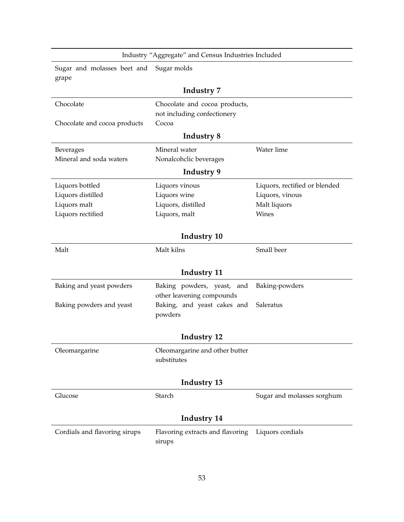| Industry "Aggregate" and Census Industries Included |                                                         |                               |  |
|-----------------------------------------------------|---------------------------------------------------------|-------------------------------|--|
| Sugar and molasses beet and<br>grape                | Sugar molds                                             |                               |  |
|                                                     | <b>Industry 7</b>                                       |                               |  |
| Chocolate                                           | Chocolate and cocoa products,                           |                               |  |
|                                                     | not including confectionery                             |                               |  |
| Chocolate and cocoa products                        | Cocoa                                                   |                               |  |
|                                                     | <b>Industry 8</b>                                       |                               |  |
| Beverages                                           | Mineral water                                           | Water lime                    |  |
| Mineral and soda waters                             | Nonalcohclic beverages                                  |                               |  |
|                                                     | Industry 9                                              |                               |  |
| Liquors bottled                                     | Liquors vinous                                          | Liquors, rectified or blended |  |
| Liquors distilled                                   | Liquors wine                                            | Liquors, vinous               |  |
| Liquors malt                                        | Liquors, distilled                                      | Malt liquors                  |  |
| Liquors rectified                                   | Liquors, malt                                           | Wines                         |  |
|                                                     |                                                         |                               |  |
|                                                     | Industry 10                                             |                               |  |
| Malt                                                | Malt kilns                                              | Small beer                    |  |
|                                                     |                                                         |                               |  |
|                                                     | Industry 11                                             |                               |  |
| Baking and yeast powders                            | Baking powders, yeast, and<br>other leavening compounds | Baking-powders                |  |
| Baking powders and yeast                            | Baking, and yeast cakes and                             | Saleratus                     |  |
|                                                     | powders                                                 |                               |  |
|                                                     |                                                         |                               |  |
| Industry 12                                         |                                                         |                               |  |
| Oleomargarine                                       | Oleomargarine and other butter                          |                               |  |
|                                                     | substitutes                                             |                               |  |
|                                                     |                                                         |                               |  |
|                                                     | Industry 13                                             |                               |  |
| Glucose                                             | Starch                                                  | Sugar and molasses sorghum    |  |
|                                                     | Industry 14                                             |                               |  |
| Cordials and flavoring sirups                       | Flavoring extracts and flavoring                        | Liquors cordials              |  |
|                                                     | sirups                                                  |                               |  |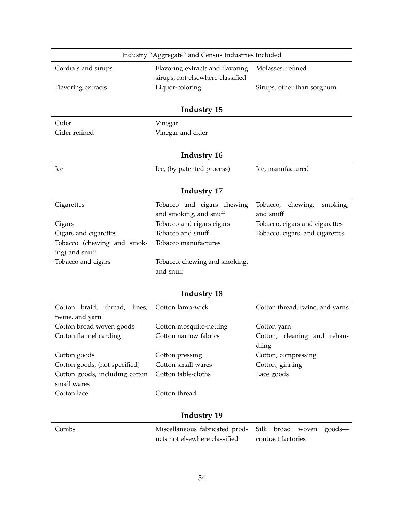|                                                       | Industry "Aggregate" and Census Industries Included             |                                                        |
|-------------------------------------------------------|-----------------------------------------------------------------|--------------------------------------------------------|
| Cordials and sirups                                   | Flavoring extracts and flavoring                                | Molasses, refined                                      |
|                                                       | sirups, not elsewhere classified                                |                                                        |
| Flavoring extracts                                    | Liquor-coloring                                                 | Sirups, other than sorghum                             |
|                                                       | Industry 15                                                     |                                                        |
| Cider                                                 | Vinegar                                                         |                                                        |
| Cider refined                                         | Vinegar and cider                                               |                                                        |
|                                                       | Industry 16                                                     |                                                        |
| Ice                                                   | Ice, (by patented process)                                      | Ice, manufactured                                      |
|                                                       | <b>Industry 17</b>                                              |                                                        |
| Cigarettes                                            | Tobacco and cigars chewing                                      | Tobacco,<br>chewing,<br>smoking,                       |
|                                                       | and smoking, and snuff                                          | and snuff                                              |
| Cigars                                                | Tobacco and cigars cigars                                       | Tobacco, cigars and cigarettes                         |
| Cigars and cigarettes                                 | Tobacco and snuff                                               | Tobacco, cigars, and cigarettes                        |
| Tobacco (chewing and smok-                            | Tobacco manufactures                                            |                                                        |
| ing) and snuff                                        |                                                                 |                                                        |
| Tobacco and cigars                                    | Tobacco, chewing and smoking,                                   |                                                        |
|                                                       | and snuff                                                       |                                                        |
|                                                       | <b>Industry 18</b>                                              |                                                        |
| Cotton braid,<br>thread,<br>lines,<br>twine, and yarn | Cotton lamp-wick                                                | Cotton thread, twine, and yarns                        |
| Cotton broad woven goods                              | Cotton mosquito-netting                                         | Cotton yarn                                            |
| Cotton flannel carding                                | Cotton narrow fabrics                                           | Cotton, cleaning and rehan-<br>dling                   |
| Cotton goods                                          | Cotton pressing                                                 | Cotton, compressing                                    |
| Cotton goods, (not specified)                         | Cotton small wares                                              | Cotton, ginning                                        |
| Cotton goods, including cotton                        | Cotton table-cloths                                             | Lace goods                                             |
| small wares                                           |                                                                 |                                                        |
| Cotton lace                                           | Cotton thread                                                   |                                                        |
|                                                       | <b>Industry 19</b>                                              |                                                        |
| Combs                                                 | Miscellaneous fabricated prod-<br>ucts not elsewhere classified | Silk<br>broad<br>goods-<br>woven<br>contract factories |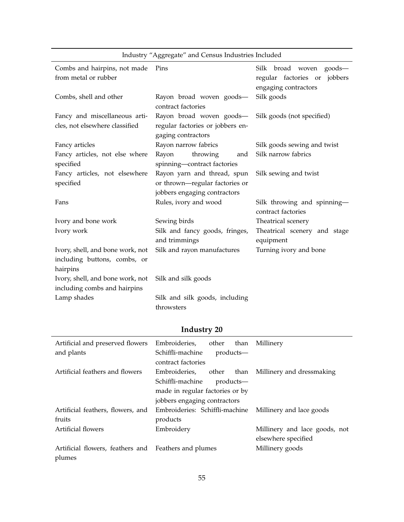|                                  | maustry Aggregate and Census maustries included |                                                   |
|----------------------------------|-------------------------------------------------|---------------------------------------------------|
| Combs and hairpins, not made     | Pins                                            | Silk broad woven<br>$goods$ —                     |
| from metal or rubber             |                                                 | jobbers<br>regular factories or                   |
|                                  |                                                 | engaging contractors                              |
| Combs, shell and other           | Rayon broad woven goods-<br>contract factories  | Silk goods                                        |
| Fancy and miscellaneous arti-    | Rayon broad woven goods-                        | Silk goods (not specified)                        |
| cles, not elsewhere classified   | regular factories or jobbers en-                |                                                   |
|                                  | gaging contractors                              |                                                   |
| Fancy articles                   | Rayon narrow fabrics                            | Silk goods sewing and twist                       |
| Fancy articles, not else where   | Rayon<br>throwing<br>and                        | Silk narrow fabrics                               |
| specified                        | spinning-contract factories                     |                                                   |
| Fancy articles, not elsewhere    | Rayon yarn and thread, spun                     | Silk sewing and twist                             |
| specified                        | or thrown-regular factories or                  |                                                   |
|                                  | jobbers engaging contractors                    |                                                   |
| Fans                             | Rules, ivory and wood                           | Silk throwing and spinning-<br>contract factories |
| Ivory and bone work              | Sewing birds                                    | Theatrical scenery                                |
| Ivory work                       | Silk and fancy goods, fringes,<br>and trimmings | Theatrical scenery and stage<br>equipment         |
| Ivory, shell, and bone work, not | Silk and rayon manufactures                     | Turning ivory and bone                            |
| including buttons, combs, or     |                                                 |                                                   |
| hairpins                         |                                                 |                                                   |
| Ivory, shell, and bone work, not | Silk and silk goods                             |                                                   |
| including combs and hairpins     |                                                 |                                                   |
| Lamp shades                      | Silk and silk goods, including                  |                                                   |
|                                  | throwsters                                      |                                                   |

### Industry "Aggregate" and Census Industries Included

| Artificial and preserved flowers                     | Embroideries,                   | other | than      | Millinery                                               |
|------------------------------------------------------|---------------------------------|-------|-----------|---------------------------------------------------------|
| and plants                                           | Schiffli-machine                |       | products— |                                                         |
|                                                      | contract factories              |       |           |                                                         |
| Artificial feathers and flowers                      | Embroideries, other             |       | than      | Millinery and dressmaking                               |
|                                                      | Schiffli-machine                |       | products— |                                                         |
|                                                      | made in regular factories or by |       |           |                                                         |
|                                                      | jobbers engaging contractors    |       |           |                                                         |
| Artificial feathers, flowers, and                    |                                 |       |           | Embroideries: Schiffli-machine Millinery and lace goods |
| fruits                                               | products                        |       |           |                                                         |
| Artificial flowers                                   | Embroidery                      |       |           | Millinery and lace goods, not                           |
|                                                      |                                 |       |           | elsewhere specified                                     |
| Artificial flowers, feathers and Feathers and plumes |                                 |       |           | Millinery goods                                         |
| plumes                                               |                                 |       |           |                                                         |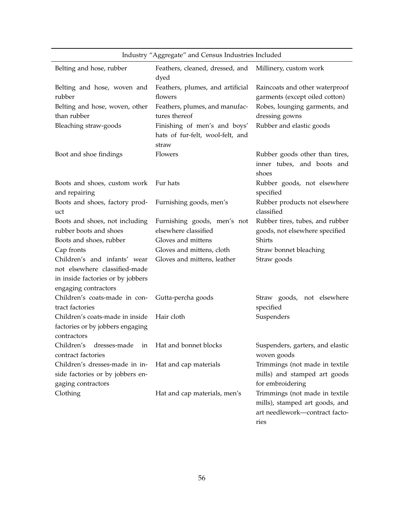| Industry "Aggregate" and Census Industries Included                                                                        |                                                                           |                                                                                                            |
|----------------------------------------------------------------------------------------------------------------------------|---------------------------------------------------------------------------|------------------------------------------------------------------------------------------------------------|
| Belting and hose, rubber                                                                                                   | Feathers, cleaned, dressed, and<br>dyed                                   | Millinery, custom work                                                                                     |
| Belting and hose, woven and<br>rubber                                                                                      | Feathers, plumes, and artificial<br>flowers                               | Raincoats and other waterproof<br>garments (except oiled cotton)                                           |
| Belting and hose, woven, other<br>than rubber                                                                              | Feathers, plumes, and manufac-<br>tures thereof                           | Robes, lounging garments, and<br>dressing gowns                                                            |
| Bleaching straw-goods                                                                                                      | Finishing of men's and boys'<br>hats of fur-felt, wool-felt, and<br>straw | Rubber and elastic goods                                                                                   |
| Boot and shoe findings                                                                                                     | Flowers                                                                   | Rubber goods other than tires,<br>inner tubes, and boots and<br>shoes                                      |
| Boots and shoes, custom work<br>and repairing                                                                              | Fur hats                                                                  | Rubber goods, not elsewhere<br>specified                                                                   |
| Boots and shoes, factory prod-<br>uct                                                                                      | Furnishing goods, men's                                                   | Rubber products not elsewhere<br>classified                                                                |
| Boots and shoes, not including<br>rubber boots and shoes<br>Boots and shoes, rubber                                        | Furnishing goods, men's not<br>elsewhere classified<br>Gloves and mittens | Rubber tires, tubes, and rubber<br>goods, not elsewhere specified<br>Shirts                                |
| Cap fronts                                                                                                                 | Gloves and mittens, cloth                                                 | Straw bonnet bleaching                                                                                     |
| Children's and infants' wear<br>not elsewhere classified-made<br>in inside factories or by jobbers<br>engaging contractors | Gloves and mittens, leather                                               | Straw goods                                                                                                |
| Children's coats-made in con-<br>tract factories                                                                           | Gutta-percha goods                                                        | Straw goods, not elsewhere<br>specified                                                                    |
| Children's coats-made in inside<br>factories or by jobbers engaging<br>contractors                                         | Hair cloth                                                                | Suspenders                                                                                                 |
| Children's<br>dresses-made<br>in<br>contract factories                                                                     | Hat and bonnet blocks                                                     | Suspenders, garters, and elastic<br>woven goods                                                            |
| Children's dresses-made in in-<br>side factories or by jobbers en-<br>gaging contractors                                   | Hat and cap materials                                                     | Trimmings (not made in textile<br>mills) and stamped art goods<br>for embroidering                         |
| Clothing                                                                                                                   | Hat and cap materials, men's                                              | Trimmings (not made in textile<br>mills), stamped art goods, and<br>art needlework-contract facto-<br>ries |

56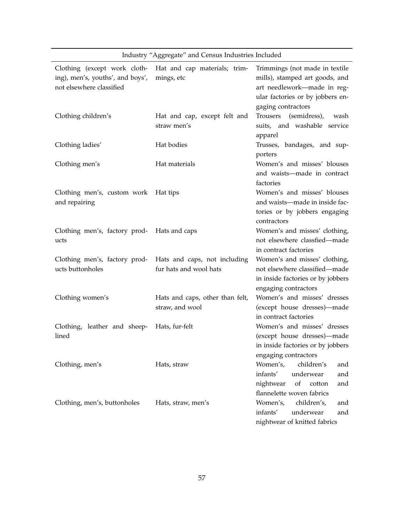|                                                                                              | maustry Aggregate and Census maustries included        |                                                                                                                                                           |
|----------------------------------------------------------------------------------------------|--------------------------------------------------------|-----------------------------------------------------------------------------------------------------------------------------------------------------------|
| Clothing (except work cloth-<br>ing), men's, youths', and boys',<br>not elsewhere classified | Hat and cap materials; trim-<br>mings, etc             | Trimmings (not made in textile<br>mills), stamped art goods, and<br>art needlework-made in reg-<br>ular factories or by jobbers en-<br>gaging contractors |
| Clothing children's                                                                          | Hat and cap, except felt and<br>straw men's            | Trousers<br>(semidress),<br>wash<br>suits, and washable service<br>apparel                                                                                |
| Clothing ladies'                                                                             | Hat bodies                                             | Trusses, bandages, and sup-<br>porters                                                                                                                    |
| Clothing men's                                                                               | Hat materials                                          | Women's and misses' blouses<br>and waists-made in contract<br>factories                                                                                   |
| Clothing men's, custom work Hat tips<br>and repairing                                        |                                                        | Women's and misses' blouses<br>and waists-made in inside fac-<br>tories or by jobbers engaging<br>contractors                                             |
| Clothing men's, factory prod-<br>ucts                                                        | Hats and caps                                          | Women's and misses' clothing,<br>not elsewhere classfied-made<br>in contract factories                                                                    |
| Clothing men's, factory prod-<br>ucts buttonholes                                            | Hats and caps, not including<br>fur hats and wool hats | Women's and misses' clothing,<br>not elsewhere classified-made<br>in inside factories or by jobbers<br>engaging contractors                               |
| Clothing women's                                                                             | Hats and caps, other than felt,<br>straw, and wool     | Women's and misses' dresses<br>(except house dresses)-made<br>in contract factories                                                                       |
| Clothing, leather and sheep-<br>lined                                                        | Hats, fur-felt                                         | Women's and misses' dresses<br>(except house dresses)-made<br>in inside factories or by jobbers<br>engaging contractors                                   |
| Clothing, men's                                                                              | Hats, straw                                            | Women's,<br>children's<br>and<br>infants'<br>underwear<br>and<br>nightwear<br>of<br>cotton<br>and<br>flannelette woven fabrics                            |
| Clothing, men's, buttonholes                                                                 | Hats, straw, men's                                     | children's,<br>Women's,<br>and<br>infants'<br>underwear<br>and<br>nightwear of knitted fabrics                                                            |

Industry "Aggregate" and Census Industries Included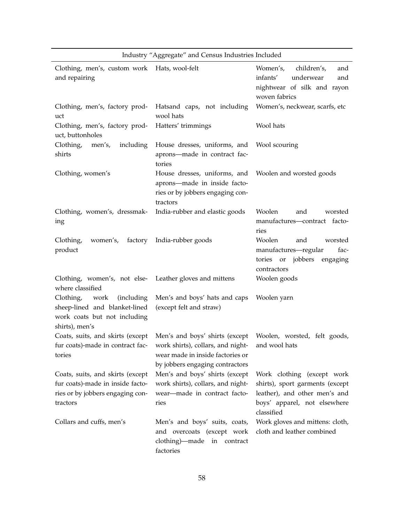|                                                                                                                      | ີີວີີວີ                                                                                                                                    |                                                                                                                                              |
|----------------------------------------------------------------------------------------------------------------------|--------------------------------------------------------------------------------------------------------------------------------------------|----------------------------------------------------------------------------------------------------------------------------------------------|
| Clothing, men's, custom work Hats, wool-felt<br>and repairing                                                        |                                                                                                                                            | Women's, children's,<br>and<br>infants'<br>underwear<br>and<br>nightwear of silk and rayon<br>woven fabrics                                  |
| Clothing, men's, factory prod-<br>uct                                                                                | Hatsand caps, not including<br>wool hats                                                                                                   | Women's, neckwear, scarfs, etc                                                                                                               |
| Clothing, men's, factory prod-<br>uct, buttonholes                                                                   | Hatters' trimmings                                                                                                                         | Wool hats                                                                                                                                    |
| Clothing, men's,<br>including<br>shirts                                                                              | House dresses, uniforms, and<br>aprons-made in contract fac-<br>tories                                                                     | Wool scouring                                                                                                                                |
| Clothing, women's                                                                                                    | House dresses, uniforms, and<br>aprons-made in inside facto-<br>ries or by jobbers engaging con-<br>tractors                               | Woolen and worsted goods                                                                                                                     |
| Clothing, women's, dressmak-<br>ing                                                                                  | India-rubber and elastic goods                                                                                                             | Woolen<br>and<br>worsted<br>manufactures-contract facto-<br>ries                                                                             |
| Clothing,<br>product                                                                                                 | women's, factory India-rubber goods                                                                                                        | Woolen<br>worsted<br>and<br>manufactures-regular<br>fac-<br>tories or jobbers engaging<br>contractors                                        |
| Clothing, women's, not else- Leather gloves and mittens<br>where classified                                          |                                                                                                                                            | Woolen goods                                                                                                                                 |
| Clothing, work<br>(including)<br>sheep-lined and blanket-lined<br>work coats but not including<br>shirts), men's     | Men's and boys' hats and caps<br>(except felt and straw)                                                                                   | Woolen yarn                                                                                                                                  |
| Coats, suits, and skirts (except<br>fur coats)-made in contract fac-<br>tories                                       | Men's and boys' shirts (except<br>work shirts), collars, and night-<br>wear made in inside factories or<br>by jobbers engaging contractors | Woolen, worsted, felt goods,<br>and wool hats                                                                                                |
| Coats, suits, and skirts (except<br>fur coats)-made in inside facto-<br>ries or by jobbers engaging con-<br>tractors | Men's and boys' shirts (except<br>work shirts), collars, and night-<br>wear-made in contract facto-<br>ries                                | Work clothing (except work<br>shirts), sport garments (except<br>leather), and other men's and<br>boys' apparel, not elsewhere<br>classified |
| Collars and cuffs, men's                                                                                             | Men's and boys' suits, coats,<br>and overcoats (except work<br>clothing)—made in contract<br>factories                                     | Work gloves and mittens: cloth,<br>cloth and leather combined                                                                                |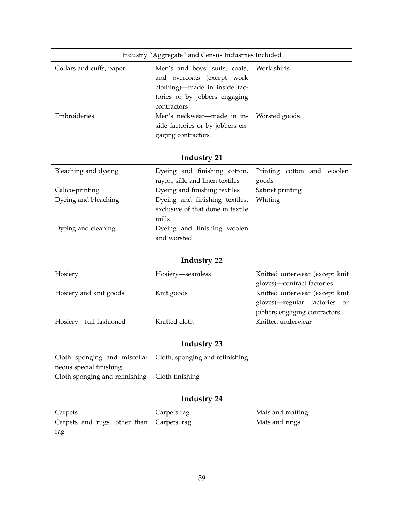| Industry "Aggregate" and Census Industries Included |                                                                                                    |  |
|-----------------------------------------------------|----------------------------------------------------------------------------------------------------|--|
| Collars and cuffs, paper                            | Men's and boys' suits, coats, Work shirts<br>and overcoats (except work                            |  |
|                                                     | clothing)—made in inside fac-<br>tories or by jobbers engaging<br>contractors                      |  |
| Embroideries                                        | Men's neckwear—made in in- Worsted goods<br>side factories or by jobbers en-<br>gaging contractors |  |

| Bleaching and dyeing | Dyeing and finishing cotton, Printing cotton and woolen |                  |
|----------------------|---------------------------------------------------------|------------------|
|                      | rayon, silk, and linen textiles                         | goods            |
| Calico-printing      | Dyeing and finishing textiles                           | Satinet printing |
| Dyeing and bleaching | Dyeing and finishing textiles,                          | Whiting          |
|                      | exclusive of that done in textile                       |                  |
|                      | mills                                                   |                  |
| Dyeing and cleaning  | Dyeing and finishing woolen                             |                  |
|                      | and worsted                                             |                  |

# **Industry 22**

| Hosiery                | Hosiery-seamless | Knitted outerwear (except knit |
|------------------------|------------------|--------------------------------|
|                        |                  | gloves)—contract factories     |
| Hosiery and knit goods | Knit goods       | Knitted outerwear (except knit |
|                        |                  | gloves)—regular factories or   |
|                        |                  | jobbers engaging contractors   |
| Hosiery-full-fashioned | Knitted cloth    | Knitted underwear              |
|                        |                  |                                |

### **Industry 23**

| Cloth sponging and miscella- Cloth, sponging and refinishing |  |
|--------------------------------------------------------------|--|
| neous special finishing                                      |  |
| Cloth sponging and refinishing Cloth-finishing               |  |

| Carpets                                   | Carpets rag | Mats and matting |
|-------------------------------------------|-------------|------------------|
| Carpets and rugs, other than Carpets, rag |             | Mats and rings   |
| rag                                       |             |                  |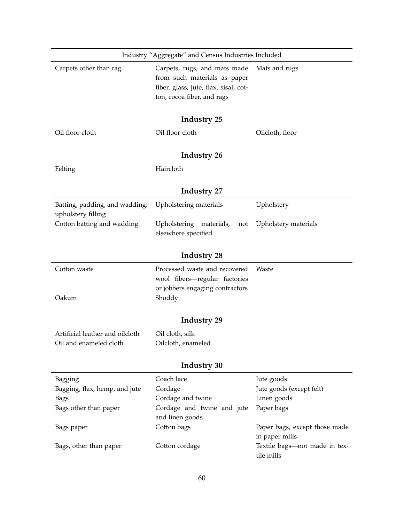|                                                      | Industry "Aggregate" and Census Industries Included                                                                                 |                                                 |  |  |
|------------------------------------------------------|-------------------------------------------------------------------------------------------------------------------------------------|-------------------------------------------------|--|--|
| Carpets other than rag                               | Carpets, rugs, and mats made<br>from such materials as paper<br>fiber, glass, jute, flax, sisal, cot-<br>ton, cocoa fiber, and rags | Mats and rugs                                   |  |  |
|                                                      | Industry 25                                                                                                                         |                                                 |  |  |
| Oil floor cloth                                      | Oil floor-cloth                                                                                                                     | Oilcloth, floor                                 |  |  |
|                                                      | Industry 26                                                                                                                         |                                                 |  |  |
| Felting                                              | Haircloth                                                                                                                           |                                                 |  |  |
|                                                      | <b>Industry 27</b>                                                                                                                  |                                                 |  |  |
| Batting, padding, and wadding:<br>upholstery filling | Upholstering materials                                                                                                              | Upholstery                                      |  |  |
| Cotton batting and wadding                           | Upholstering<br>materials,<br>not<br>elsewhere specified                                                                            | Upholstery materials                            |  |  |
|                                                      | <b>Industry 28</b>                                                                                                                  |                                                 |  |  |
| Cotton waste                                         | Processed waste and recovered<br>wool fibers-regular factories<br>or jobbers engaging contractors                                   | Waste                                           |  |  |
| Oakum                                                | Shoddy                                                                                                                              |                                                 |  |  |
|                                                      | Industry 29                                                                                                                         |                                                 |  |  |
| Artificial leather and oilcloth                      | Oil cloth, silk                                                                                                                     |                                                 |  |  |
| Oil and enameled cloth                               | Oilcloth, enameled                                                                                                                  |                                                 |  |  |
| <b>Industry 30</b>                                   |                                                                                                                                     |                                                 |  |  |
| Bagging                                              | Coach lace                                                                                                                          | Jute goods                                      |  |  |
| Bagging, flax, hemp, and jute                        | Cordage                                                                                                                             | Jute goods (except felt)                        |  |  |
| <b>Bags</b>                                          | Cordage and twine                                                                                                                   | Linen goods                                     |  |  |
| Bags other than paper                                | Cordage and twine and jute                                                                                                          | Paper bags                                      |  |  |
|                                                      | and linen goods                                                                                                                     |                                                 |  |  |
| Bags paper                                           | Cotton bags                                                                                                                         | Paper bags, except those made<br>in paper mills |  |  |
| Bags, other than paper                               | Cotton cordage                                                                                                                      | Textile bags-not made in tex-<br>tile mills     |  |  |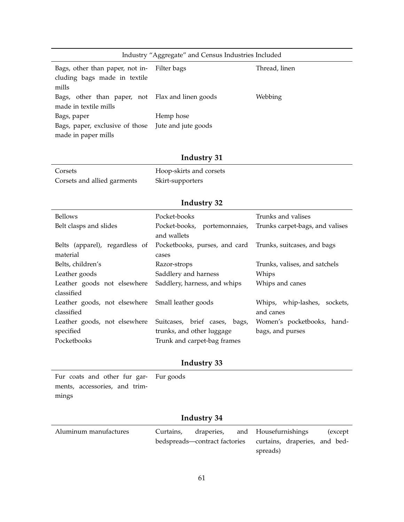| Industry "Aggregate" and Census Industries Included                                  |           |               |  |
|--------------------------------------------------------------------------------------|-----------|---------------|--|
| Bags, other than paper, not in- Filter bags<br>cluding bags made in textile<br>mills |           | Thread, linen |  |
| Bags, other than paper, not Flax and linen goods<br>made in textile mills            |           | Webbing       |  |
| Bags, paper                                                                          | Hemp hose |               |  |
| Bags, paper, exclusive of those Jute and jute goods                                  |           |               |  |
| made in paper mills                                                                  |           |               |  |

| Corsets                     | Hoop-skirts and corsets |
|-----------------------------|-------------------------|
| Corsets and allied garments | Skirt-supporters        |

# **Industry 32**

| Bellows                                          | Pocket-books                                              | Trunks and valises              |
|--------------------------------------------------|-----------------------------------------------------------|---------------------------------|
| Belt clasps and slides                           | Pocket-books, portemonnaies,                              | Trunks carpet-bags, and valises |
|                                                  | and wallets                                               |                                 |
| Belts (apparel), regardless of                   | Pocketbooks, purses, and card Trunks, suitcases, and bags |                                 |
| material                                         | cases                                                     |                                 |
| Belts, children's                                | Razor-strops                                              | Trunks, valises, and satchels   |
| Leather goods                                    | Saddlery and harness                                      | Whips                           |
| Leather goods not elsewhere                      | Saddlery, harness, and whips                              | Whips and canes                 |
| classified                                       |                                                           |                                 |
| Leather goods, not elsewhere Small leather goods |                                                           | Whips, whip-lashes, sockets,    |
| classified                                       |                                                           | and canes                       |
| Leather goods, not elsewhere                     | Suitcases, brief cases, bags,                             | Women's pocketbooks, hand-      |
| specified                                        | trunks, and other luggage                                 | bags, and purses                |
| Pocketbooks                                      | Trunk and carpet-bag frames                               |                                 |
|                                                  |                                                           |                                 |

### **Industry 33**

Fur coats and other fur gar-Fur goods ments, accessories, and trimmings

| Aluminum manufactures | Curtains, | draperies, and Housefurnishings                             |          |  | (except) |
|-----------------------|-----------|-------------------------------------------------------------|----------|--|----------|
|                       |           | bedspreads—contract factories curtains, draperies, and bed- |          |  |          |
|                       |           |                                                             | spreads) |  |          |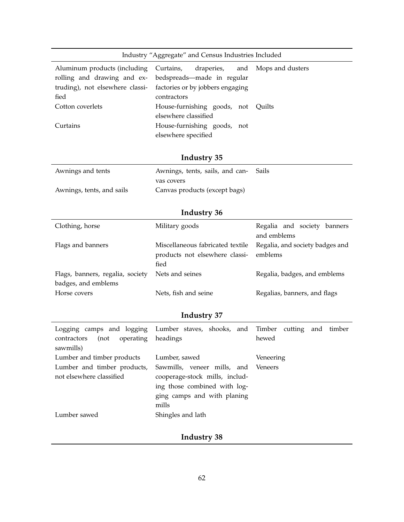| Industry "Aggregate" and Census Industries Included |  |  |  |  |
|-----------------------------------------------------|--|--|--|--|
|-----------------------------------------------------|--|--|--|--|

| Aluminum products (including Curtains, draperies, and Mops and dusters |
|------------------------------------------------------------------------|
| rolling and drawing and ex- bedspreads—made in regular                 |
| truding), not elsewhere classi- factories or by jobbers engaging       |
| contractors                                                            |
| House-furnishing goods, not Quilts                                     |
| elsewhere classified                                                   |
| House-furnishing goods, not                                            |
| elsewhere specified                                                    |
|                                                                        |

| Awnings and tents         | Awnings, tents, sails, and can- Sails |  |
|---------------------------|---------------------------------------|--|
|                           | vas covers                            |  |
| Awnings, tents, and sails | Canvas products (except bags)         |  |

# **Industry 36**

| Clothing, horse                                         | Military goods                                                             | Regalia and society banners<br>and emblems |
|---------------------------------------------------------|----------------------------------------------------------------------------|--------------------------------------------|
| Flags and banners                                       | Miscellaneous fabricated textile<br>products not elsewhere classi-<br>fied | Regalia, and society badges and<br>emblems |
| Flags, banners, regalia, society<br>badges, and emblems | Nets and seines                                                            | Regalia, badges, and emblems               |
| Horse covers                                            | Nets, fish and seine                                                       | Regalias, banners, and flags               |

# **Industry 37**

| operating headings<br>contractors<br>(not<br>sawmills) | Logging camps and logging Lumber staves, shooks, and Timber cutting and timber | hewed     |
|--------------------------------------------------------|--------------------------------------------------------------------------------|-----------|
| Lumber and timber products                             | Lumber, sawed                                                                  | Veneering |
| Lumber and timber products,                            | Sawmills, veneer mills, and Veneers                                            |           |
| not elsewhere classified                               | cooperage-stock mills, includ-                                                 |           |
|                                                        | ing those combined with log-                                                   |           |
|                                                        | ging camps and with planing                                                    |           |
|                                                        | mills                                                                          |           |
| Lumber sawed                                           | Shingles and lath                                                              |           |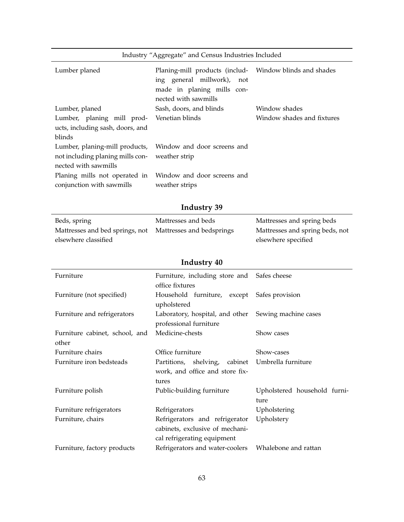| Industry "Aggregate" and Census Industries Included                                        |                                                                                                                                             |                            |  |
|--------------------------------------------------------------------------------------------|---------------------------------------------------------------------------------------------------------------------------------------------|----------------------------|--|
| Lumber planed                                                                              | Planing-mill products (includ- Window blinds and shades<br>ing general millwork), not<br>made in planing mills con-<br>nected with sawmills |                            |  |
| Lumber, planed                                                                             | Sash, doors, and blinds                                                                                                                     | Window shades              |  |
| Lumber, planing mill prod-<br>ucts, including sash, doors, and<br>blinds                   | Venetian blinds                                                                                                                             | Window shades and fixtures |  |
| Lumber, planing-mill products,<br>not including planing mills con-<br>nected with sawmills | Window and door screens and<br>weather strip                                                                                                |                            |  |
| Planing mills not operated in<br>conjunction with sawmills                                 | Window and door screens and<br>weather strips                                                                                               |                            |  |

| Beds, spring                                              | Mattresses and beds | Mattresses and spring beds      |
|-----------------------------------------------------------|---------------------|---------------------------------|
| Mattresses and bed springs, not Mattresses and bedsprings |                     | Mattresses and spring beds, not |
| elsewhere classified                                      |                     | elsewhere specified             |

| Furniture                               | Furniture, including store and Safes cheese<br>office fixtures                                   |                                      |
|-----------------------------------------|--------------------------------------------------------------------------------------------------|--------------------------------------|
| Furniture (not specified)               | Household furniture, except<br>upholstered                                                       | Safes provision                      |
| Furniture and refrigerators             | Laboratory, hospital, and other<br>professional furniture                                        | Sewing machine cases                 |
| Furniture cabinet, school, and<br>other | Medicine-chests                                                                                  | Show cases                           |
| Furniture chairs                        | Office furniture                                                                                 | Show-cases                           |
| Furniture iron bedsteads                | shelving,<br>cabinet<br>Partitions,<br>work, and office and store fix-<br>tures                  | Umbrella furniture                   |
| Furniture polish                        | Public-building furniture                                                                        | Upholstered household furni-<br>ture |
| Furniture refrigerators                 | Refrigerators                                                                                    | Upholstering                         |
| Furniture, chairs                       | Refrigerators and refrigerator<br>cabinets, exclusive of mechani-<br>cal refrigerating equipment | Upholstery                           |
| Furniture, factory products             | Refrigerators and water-coolers                                                                  | Whalebone and rattan                 |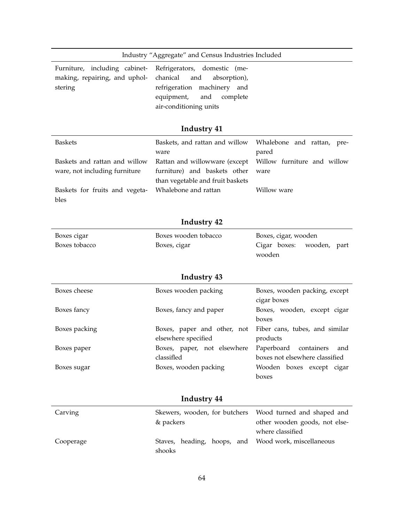|                                                                           | Industry "Aggregate" and Census Industries Included                                                                                                          |                                                                                 |
|---------------------------------------------------------------------------|--------------------------------------------------------------------------------------------------------------------------------------------------------------|---------------------------------------------------------------------------------|
| Furniture, including cabinet-<br>making, repairing, and uphol-<br>stering | Refrigerators, domestic (me-<br>chanical<br>and<br>absorption),<br>refrigeration<br>machinery and<br>equipment,<br>and<br>complete<br>air-conditioning units |                                                                                 |
|                                                                           | Industry 41                                                                                                                                                  |                                                                                 |
| <b>Baskets</b>                                                            | Baskets, and rattan and willow<br>ware                                                                                                                       | Whalebone and rattan, pre-<br>pared                                             |
| Baskets and rattan and willow<br>ware, not including furniture            | Rattan and willowware (except<br>furniture) and baskets other<br>than vegetable and fruit baskets                                                            | Willow furniture and willow<br>ware                                             |
| Baskets for fruits and vegeta-<br>bles                                    | Whalebone and rattan                                                                                                                                         | Willow ware                                                                     |
|                                                                           | Industry 42                                                                                                                                                  |                                                                                 |
| Boxes cigar                                                               | Boxes wooden tobacco                                                                                                                                         | Boxes, cigar, wooden                                                            |
| Boxes tobacco                                                             | Boxes, cigar                                                                                                                                                 | Cigar boxes:<br>wooden, part<br>wooden                                          |
|                                                                           | Industry 43                                                                                                                                                  |                                                                                 |
| Boxes cheese                                                              | Boxes wooden packing                                                                                                                                         | Boxes, wooden packing, except<br>cigar boxes                                    |
| Boxes fancy                                                               | Boxes, fancy and paper                                                                                                                                       | Boxes, wooden, except cigar<br>boxes                                            |
| Boxes packing                                                             | Boxes, paper and other, not<br>elsewhere specified                                                                                                           | Fiber cans, tubes, and similar<br>products                                      |
| Boxes paper                                                               | Boxes, paper, not elsewhere<br>classifled                                                                                                                    | Paperboard<br>containers<br>and<br>boxes not elsewhere classified               |
| Boxes sugar                                                               | Boxes, wooden packing                                                                                                                                        | Wooden boxes except cigar<br>boxes                                              |
|                                                                           | <b>Industry 44</b>                                                                                                                                           |                                                                                 |
| Carving                                                                   | Skewers, wooden, for butchers<br>& packers                                                                                                                   | Wood turned and shaped and<br>other wooden goods, not else-<br>where classified |
| Cooperage                                                                 | Staves, heading, hoops, and<br>shooks                                                                                                                        | Wood work, miscellaneous                                                        |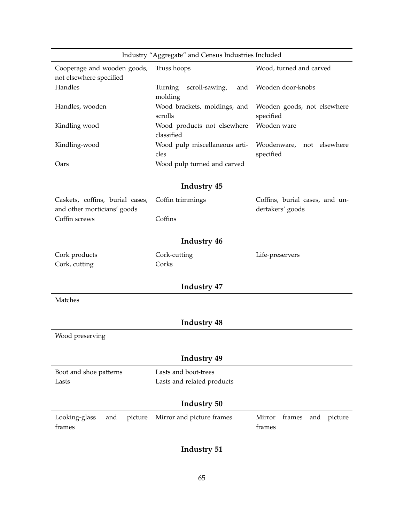| Industry "Aggregate" and Census Industries Included            |                                             |                                                    |
|----------------------------------------------------------------|---------------------------------------------|----------------------------------------------------|
| Cooperage and wooden goods,<br>not elsewhere specified         | Truss hoops                                 | Wood, turned and carved                            |
| Handles                                                        | Turning<br>scroll-sawing,<br>and<br>molding | Wooden door-knobs                                  |
| Handles, wooden                                                | Wood brackets, moldings, and<br>scrolls     | Wooden goods, not elsewhere<br>specified           |
| Kindling wood                                                  | Wood products not elsewhere<br>classified   | Wooden ware                                        |
| Kindling-wood                                                  | Wood pulp miscellaneous arti-<br>cles       | Woodenware,<br>not elsewhere<br>specified          |
| Oars                                                           | Wood pulp turned and carved                 |                                                    |
|                                                                | <b>Industry 45</b>                          |                                                    |
| Caskets, coffins, burial cases,<br>and other morticians' goods | Coffin trimmings                            | Coffins, burial cases, and un-<br>dertakers' goods |
| Coffin screws                                                  | Coffins                                     |                                                    |
|                                                                | Industry 46                                 |                                                    |
| Cork products<br>Cork, cutting                                 | Cork-cutting<br>Corks                       | Life-preservers                                    |
|                                                                | Industry 47                                 |                                                    |
| Matches                                                        |                                             |                                                    |
|                                                                | <b>Industry 48</b>                          |                                                    |
| Wood preserving                                                |                                             |                                                    |
|                                                                | Industry 49                                 |                                                    |
| Boot and shoe patterns<br>Lasts                                | Lasts and boot-trees                        |                                                    |
|                                                                | Lasts and related products                  |                                                    |
| <b>Industry 50</b>                                             |                                             |                                                    |
| Looking-glass<br>picture<br>and<br>frames                      | Mirror and picture frames                   | Mirror<br>frames<br>and<br>picture<br>frames       |
|                                                                | <b>Industry 51</b>                          |                                                    |

### 65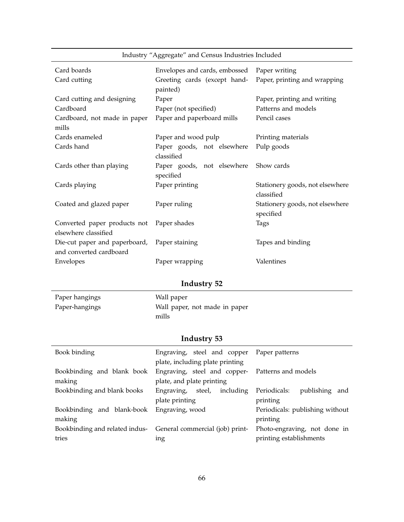|                               | oo o                          |                                 |
|-------------------------------|-------------------------------|---------------------------------|
| Card boards                   | Envelopes and cards, embossed | Paper writing                   |
| Card cutting                  | Greeting cards (except hand-  | Paper, printing and wrapping    |
|                               | painted)                      |                                 |
| Card cutting and designing    | Paper                         | Paper, printing and writing     |
| Cardboard                     | Paper (not specified)         | Patterns and models             |
| Cardboard, not made in paper  | Paper and paperboard mills    | Pencil cases                    |
| mills                         |                               |                                 |
| Cards enameled                | Paper and wood pulp           | Printing materials              |
| Cards hand                    | Paper goods, not elsewhere    | Pulp goods                      |
|                               | classified                    |                                 |
| Cards other than playing      | Paper goods, not elsewhere    | Show cards                      |
|                               | specified                     |                                 |
| Cards playing                 | Paper printing                | Stationery goods, not elsewhere |
|                               |                               | classified                      |
| Coated and glazed paper       | Paper ruling                  | Stationery goods, not elsewhere |
|                               |                               | specified                       |
| Converted paper products not  | Paper shades                  | Tags                            |
| elsewhere classified          |                               |                                 |
| Die-cut paper and paperboard, | Paper staining                | Tapes and binding               |
| and converted cardboard       |                               |                                 |
| Envelopes                     | Paper wrapping                | Valentines                      |

Industry "Aggregate" and Census Industries Included

# **Industry 52**

| Paper hangings | Wall paper                    |
|----------------|-------------------------------|
| Paper-hangings | Wall paper, not made in paper |
|                | mills                         |

| Book binding                                                               | Engraving, steel and copper Paper patterns<br>plate, including plate printing |                                                         |
|----------------------------------------------------------------------------|-------------------------------------------------------------------------------|---------------------------------------------------------|
| Bookbinding and blank book<br>making                                       | Engraving, steel and copper- Patterns and models<br>plate, and plate printing |                                                         |
| Bookbinding and blank books                                                | including<br>Engraving, steel,<br>plate printing                              | Periodicals:<br>publishing and<br>printing              |
| Bookbinding and blank-book<br>making                                       | Engraving, wood                                                               | Periodicals: publishing without<br>printing             |
| Bookbinding and related indus-<br>General commercial (job) print-<br>tries | ing                                                                           | Photo-engraving, not done in<br>printing establishments |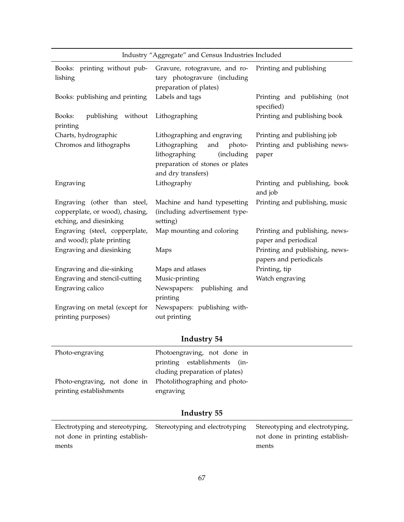| Industry "Aggregate" and Census Industries Included                                        |                                                                                                                        |                                                          |
|--------------------------------------------------------------------------------------------|------------------------------------------------------------------------------------------------------------------------|----------------------------------------------------------|
| Books: printing without pub-<br>lishing                                                    | Gravure, rotogravure, and ro-<br>tary photogravure (including<br>preparation of plates)                                | Printing and publishing                                  |
| Books: publishing and printing                                                             | Labels and tags                                                                                                        | Printing and publishing (not<br>specified)               |
| Books:<br>publishing without<br>printing                                                   | Lithographing                                                                                                          | Printing and publishing book                             |
| Charts, hydrographic                                                                       | Lithographing and engraving                                                                                            | Printing and publishing job                              |
| Chromos and lithographs                                                                    | Lithographing<br>and<br>photo-<br>lithographing<br>(including<br>preparation of stones or plates<br>and dry transfers) | Printing and publishing news-<br>paper                   |
| Engraving                                                                                  | Lithography                                                                                                            | Printing and publishing, book<br>and job                 |
| Engraving (other than steel,<br>copperplate, or wood), chasing,<br>etching, and diesinking | Machine and hand typesetting<br>(including advertisement type-<br>setting)                                             | Printing and publishing, music                           |
| Engraving (steel, copperplate,<br>and wood); plate printing                                | Map mounting and coloring                                                                                              | Printing and publishing, news-<br>paper and periodical   |
| Engraving and diesinking                                                                   | Maps                                                                                                                   | Printing and publishing, news-<br>papers and periodicals |
| Engraving and die-sinking                                                                  | Maps and atlases                                                                                                       | Printing, tip                                            |
| Engraving and stencil-cutting                                                              | Music-printing                                                                                                         | Watch engraving                                          |
| Engraving calico                                                                           | Newspapers: publishing and<br>printing                                                                                 |                                                          |
| Engraving on metal (except for                                                             | Newspapers: publishing with-                                                                                           |                                                          |
| printing purposes)                                                                         | out printing                                                                                                           |                                                          |

| Photo-engraving                                            | Photoengraving, not done in    |
|------------------------------------------------------------|--------------------------------|
|                                                            | printing establishments (in-   |
|                                                            | cluding preparation of plates) |
| Photo-engraving, not done in Photolithographing and photo- |                                |
| printing establishments                                    | engraving                      |

|                                 | Electrotyping and stereotyping, Stereotyping and electrotyping Stereotyping and electrotyping, |                                 |
|---------------------------------|------------------------------------------------------------------------------------------------|---------------------------------|
| not done in printing establish- |                                                                                                | not done in printing establish- |
| ments                           |                                                                                                | ments                           |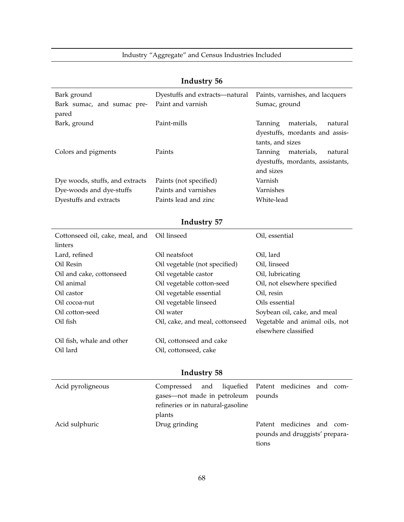|                                 | $\cdots$ where $\cdots$           |                                  |
|---------------------------------|-----------------------------------|----------------------------------|
| Bark ground                     | Dyestuffs and extracts-natural    | Paints, varnishes, and lacquers  |
| Bark sumac, and sumac pre-      | Paint and varnish                 | Sumac, ground                    |
| pared                           |                                   |                                  |
| Bark, ground                    | Paint-mills                       | Tanning<br>materials,<br>natural |
|                                 |                                   | dyestuffs, mordants and assis-   |
|                                 |                                   | tants, and sizes                 |
| Colors and pigments             | Paints                            | Tanning<br>materials,<br>natural |
|                                 |                                   | dyestuffs, mordants, assistants, |
|                                 |                                   | and sizes                        |
| Dye woods, stuffs, and extracts | Paints (not specified)            | Varnish                          |
| Dye-woods and dye-stuffs        | Paints and varnishes              | Varnishes                        |
| Dyestuffs and extracts          | Paints lead and zinc              | White-lead                       |
|                                 |                                   |                                  |
|                                 | Industry 57                       |                                  |
| Cottonseed oil, cake, meal, and | Oil linseed                       | Oil, essential                   |
| linters                         |                                   |                                  |
| Lard, refined                   | Oil neatsfoot                     | Oil, lard                        |
| Oil Resin                       | Oil vegetable (not specified)     | Oil, linseed                     |
| Oil and cake, cottonseed        | Oil vegetable castor              | Oil, lubricating                 |
| Oil animal                      | Oil vegetable cotton-seed         | Oil, not elsewhere specified     |
| Oil castor                      | Oil vegetable essential           | Oil, resin                       |
| Oil cocoa-nut                   | Oil vegetable linseed             | Oils essential                   |
| Oil cotton-seed                 | Oil water                         | Soybean oil, cake, and meal      |
| Oil fish                        | Oil, cake, and meal, cottonseed   | Vegetable and animal oils, not   |
|                                 |                                   | elsewhere classified             |
| Oil fish, whale and other       | Oil, cottonseed and cake          |                                  |
| Oil lard                        | Oil, cottonseed, cake             |                                  |
|                                 |                                   |                                  |
|                                 | <b>Industry 58</b>                |                                  |
| Acid pyroligneous               | Compressed<br>liquefied<br>and    | Patent medicines and com-        |
|                                 | gases-not made in petroleum       | pounds                           |
|                                 | refineries or in natural-gasoline |                                  |
|                                 | plants                            |                                  |
| Acid sulphuric                  | Drug grinding                     | Patent medicines and com-        |
|                                 |                                   | pounds and druggists' prepara-   |

tions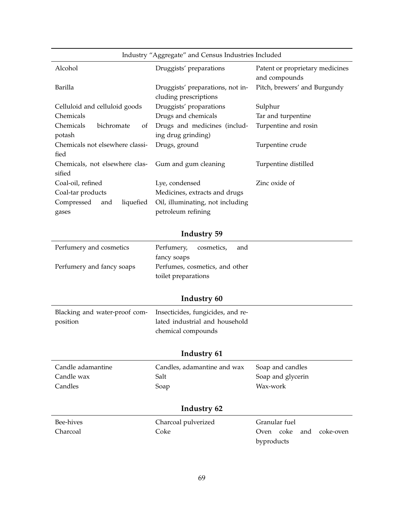| Industry "Aggregate" and Census Industries Included |                                                           |                                                  |
|-----------------------------------------------------|-----------------------------------------------------------|--------------------------------------------------|
| Alcohol                                             | Druggists' preparations                                   | Patent or proprietary medicines<br>and compounds |
| Barilla                                             | Druggists' preparations, not in-<br>cluding prescriptions | Pitch, brewers' and Burgundy                     |
| Celluloid and celluloid goods                       | Druggists' proparations                                   | Sulphur                                          |
| Chemicals                                           | Drugs and chemicals                                       | Tar and turpentine                               |
| Chemicals<br>bichromate<br>of                       | Drugs and medicines (includ-                              | Turpentine and rosin                             |
| potash                                              | ing drug grinding)                                        |                                                  |
| Chemicals not elsewhere classi-                     | Drugs, ground                                             | Turpentine crude                                 |
| fied                                                |                                                           |                                                  |
| Chemicals, not elsewhere clas-                      | Gum and gum cleaning                                      | Turpentine distilled                             |
| sified                                              |                                                           |                                                  |
| Coal-oil, refined                                   | Lye, condensed                                            | Zinc oxide of                                    |
| Coal-tar products                                   | Medicines, extracts and drugs                             |                                                  |
| Compressed<br>liquefied<br>and                      | Oil, illuminating, not including                          |                                                  |
| gases                                               | petroleum refining                                        |                                                  |

| Perfumery and cosmetics   | Perfumery, cosmetics,<br>and   |  |
|---------------------------|--------------------------------|--|
|                           | fancy soaps                    |  |
| Perfumery and fancy soaps | Perfumes, cosmetics, and other |  |
|                           | toilet preparations            |  |

# **Industry 60**

| Blacking and water-proof com- Insecticides, fungicides, and re- |                                |
|-----------------------------------------------------------------|--------------------------------|
| position                                                        | lated industrial and household |
|                                                                 | chemical compounds             |

| Candle adamantine | Candles, adamantine and wax | Soap and candles                 |  |  |
|-------------------|-----------------------------|----------------------------------|--|--|
| Candle wax        | Salt                        | Soap and glycerin                |  |  |
| Candles           | Soap                        | Wax-work                         |  |  |
|                   |                             |                                  |  |  |
| Industry 62       |                             |                                  |  |  |
| Bee-hives         | Charcoal pulverized         | Granular fuel                    |  |  |
| Charcoal          | Coke                        | coke<br>coke-oven<br>and<br>Oven |  |  |
|                   |                             | byproducts                       |  |  |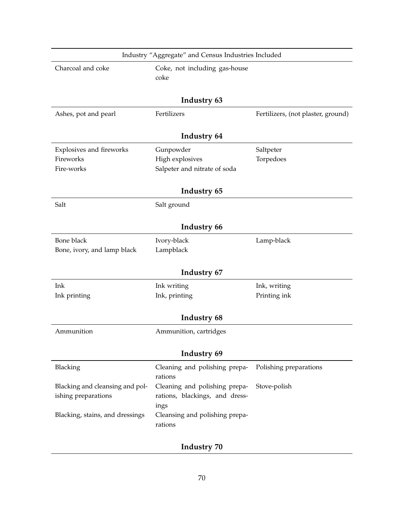| Industry "Aggregate" and Census Industries Included        |                                                                         |                                    |  |  |
|------------------------------------------------------------|-------------------------------------------------------------------------|------------------------------------|--|--|
| Charcoal and coke<br>Coke, not including gas-house<br>coke |                                                                         |                                    |  |  |
|                                                            | Industry 63                                                             |                                    |  |  |
| Ashes, pot and pearl                                       | Fertilizers                                                             | Fertilizers, (not plaster, ground) |  |  |
|                                                            | Industry 64                                                             |                                    |  |  |
| Explosives and fireworks                                   | Gunpowder                                                               | Saltpeter                          |  |  |
| Fireworks                                                  | High explosives                                                         | Torpedoes                          |  |  |
| Fire-works                                                 | Salpeter and nitrate of soda                                            |                                    |  |  |
|                                                            | Industry 65                                                             |                                    |  |  |
| Salt                                                       | Salt ground                                                             |                                    |  |  |
|                                                            |                                                                         |                                    |  |  |
|                                                            | Industry 66                                                             |                                    |  |  |
| Bone black                                                 | Ivory-black                                                             | Lamp-black                         |  |  |
| Bone, ivory, and lamp black                                | Lampblack                                                               |                                    |  |  |
|                                                            | Industry 67                                                             |                                    |  |  |
| Ink                                                        | Ink writing                                                             | Ink, writing                       |  |  |
| Ink printing                                               | Ink, printing                                                           | Printing ink                       |  |  |
|                                                            | Industry 68                                                             |                                    |  |  |
| Ammunition                                                 | Ammunition, cartridges                                                  |                                    |  |  |
|                                                            | Industry 69                                                             |                                    |  |  |
| Blacking                                                   | Cleaning and polishing prepa-<br>rations                                | Polishing preparations             |  |  |
| Blacking and cleansing and pol-<br>ishing preparations     | Cleaning and polishing prepa-<br>rations, blackings, and dress-<br>ings | Stove-polish                       |  |  |
| Blacking, stains, and dressings                            | Cleansing and polishing prepa-<br>rations                               |                                    |  |  |
|                                                            |                                                                         |                                    |  |  |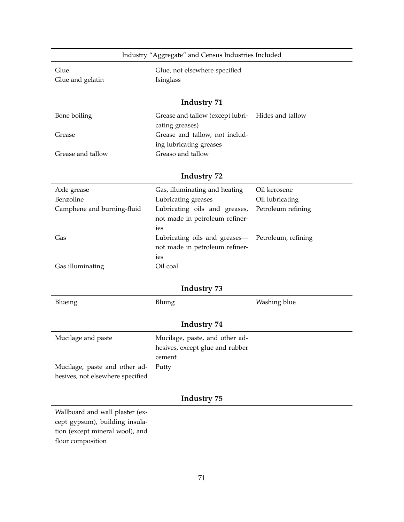| Glue                                                                                                                      | Glue, not elsewhere specified                                          |                     |
|---------------------------------------------------------------------------------------------------------------------------|------------------------------------------------------------------------|---------------------|
| Glue and gelatin                                                                                                          | Isinglass                                                              |                     |
|                                                                                                                           | <b>Industry 71</b>                                                     |                     |
| Bone boiling                                                                                                              | Grease and tallow (except lubri-<br>cating greases)                    | Hides and tallow    |
| Grease                                                                                                                    | Grease and tallow, not includ-<br>ing lubricating greases              |                     |
| Grease and tallow                                                                                                         | Greaso and tallow                                                      |                     |
|                                                                                                                           | Industry 72                                                            |                     |
| Axle grease                                                                                                               | Gas, illuminating and heating                                          | Oil kerosene        |
| Benzoline                                                                                                                 | Lubricating greases                                                    | Oil lubricating     |
| Camphene and burning-fluid                                                                                                | Lubricating oils and greases,<br>not made in petroleum refiner-<br>ies | Petroleum refining  |
| Gas                                                                                                                       | Lubricating oils and greases-<br>not made in petroleum refiner-        | Petroleum, refining |
| Gas illuminating                                                                                                          | ies<br>Oil coal                                                        |                     |
|                                                                                                                           | Industry 73                                                            |                     |
| Blueing                                                                                                                   | Bluing                                                                 | Washing blue        |
|                                                                                                                           | Industry 74                                                            |                     |
| Mucilage and paste                                                                                                        | Mucilage, paste, and other ad-<br>hesives, except glue and rubber      |                     |
| Mucilage, paste and other ad-<br>hesives, not elsewhere specified                                                         | cement<br>Putty                                                        |                     |
|                                                                                                                           | Industry 75                                                            |                     |
| Wallboard and wall plaster (ex-<br>cept gypsum), building insula-<br>tion (except mineral wool), and<br>floor composition |                                                                        |                     |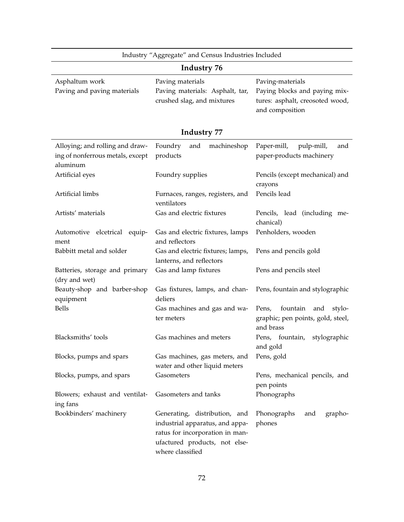|                                                                                 | Industry "Aggregate" and Census Industries Included                                                                                                      |                                                                                                         |  |  |
|---------------------------------------------------------------------------------|----------------------------------------------------------------------------------------------------------------------------------------------------------|---------------------------------------------------------------------------------------------------------|--|--|
|                                                                                 | Industry 76                                                                                                                                              |                                                                                                         |  |  |
| Asphaltum work<br>Paving and paving materials                                   | Paving materials<br>Paving materials: Asphalt, tar,<br>crushed slag, and mixtures                                                                        | Paving-materials<br>Paying blocks and paying mix-<br>tures: asphalt, creosoted wood,<br>and composition |  |  |
|                                                                                 | Industry 77                                                                                                                                              |                                                                                                         |  |  |
| Alloying; and rolling and draw-<br>ing of nonferrous metals, except<br>aluminum | Foundry<br>and<br>machineshop<br>products                                                                                                                | Paper-mill,<br>pulp-mill,<br>and<br>paper-products machinery                                            |  |  |
| Artificial eyes                                                                 | Foundry supplies                                                                                                                                         | Pencils (except mechanical) and<br>crayons                                                              |  |  |
| Artificial limbs                                                                | Pencils lead<br>Furnaces, ranges, registers, and<br>ventilators                                                                                          |                                                                                                         |  |  |
| Artists' materials                                                              | Gas and electric fixtures                                                                                                                                | Pencils, lead (including me-<br>chanical)                                                               |  |  |
| Automotive elcetrical equip-<br>ment                                            | Gas and electric fixtures, lamps<br>and reflectors                                                                                                       | Penholders, wooden                                                                                      |  |  |
| Babbitt metal and solder                                                        | Gas and electric fixtures; lamps,<br>lanterns, and reflectors                                                                                            | Pens and pencils gold                                                                                   |  |  |
| Batteries, storage and primary<br>(dry and wet)                                 | Gas and lamp fixtures                                                                                                                                    | Pens and pencils steel                                                                                  |  |  |
| Beauty-shop and barber-shop<br>equipment                                        | Gas fixtures, lamps, and chan-<br>deliers                                                                                                                | Pens, fountain and stylographic                                                                         |  |  |
| <b>Bells</b>                                                                    | Gas machines and gas and wa-<br>ter meters                                                                                                               | Pens,<br>fountain<br>stylo-<br>and<br>graphic; pen points, gold, steel,<br>and brass                    |  |  |
| Blacksmiths' tools                                                              | Gas machines and meters                                                                                                                                  | Pens, fountain,<br>stylographic<br>and gold                                                             |  |  |
| Blocks, pumps and spars                                                         | Gas machines, gas meters, and<br>water and other liquid meters                                                                                           | Pens, gold                                                                                              |  |  |
| Blocks, pumps, and spars                                                        | Gasometers                                                                                                                                               | Pens, mechanical pencils, and<br>pen points                                                             |  |  |
| Blowers; exhaust and ventilat-<br>ing fans                                      | Gasometers and tanks                                                                                                                                     | Phonographs                                                                                             |  |  |
| Bookbinders' machinery                                                          | Generating, distribution, and<br>industrial apparatus, and appa-<br>ratus for incorporation in man-<br>ufactured products, not else-<br>where classified | Phonographs<br>grapho-<br>and<br>phones                                                                 |  |  |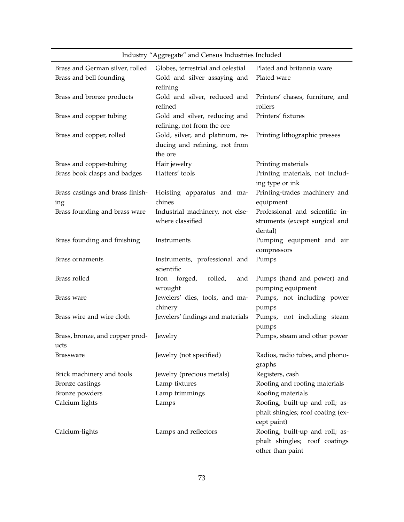| Industry "Aggregate" and Census Industries Included        |                                                                               |                                                                                      |  |  |
|------------------------------------------------------------|-------------------------------------------------------------------------------|--------------------------------------------------------------------------------------|--|--|
| Brass and German silver, rolled<br>Brass and bell founding | Globes, terrestrial and celestial<br>Gold and silver assaying and<br>refining | Plated and britannia ware<br>Plated ware                                             |  |  |
| Brass and bronze products                                  | Gold and silver, reduced and<br>refined                                       | Printers' chases, furniture, and<br>rollers                                          |  |  |
| Brass and copper tubing                                    | Gold and silver, reducing and<br>refining, not from the ore                   | Printers' fixtures                                                                   |  |  |
| Brass and copper, rolled                                   | Gold, silver, and platinum, re-<br>ducing and refining, not from<br>the ore   | Printing lithographic presses                                                        |  |  |
| Brass and copper-tubing                                    | Hair jewelry                                                                  | Printing materials                                                                   |  |  |
| Brass book clasps and badges                               | Hatters' tools                                                                | Printing materials, not includ-<br>ing type or ink                                   |  |  |
| Brass castings and brass finish-                           | Hoisting apparatus and ma-                                                    | Printing-trades machinery and                                                        |  |  |
| ing                                                        | chines                                                                        | equipment                                                                            |  |  |
| Brass founding and brass ware                              | Industrial machinery, not else-<br>where classified                           | Professional and scientific in-<br>struments (except surgical and                    |  |  |
|                                                            |                                                                               | dental)                                                                              |  |  |
| Brass founding and finishing                               | Instruments                                                                   | Pumping equipment and air<br>compressors                                             |  |  |
| Brass ornaments                                            | Instruments, professional and<br>scientific                                   | Pumps                                                                                |  |  |
| Brass rolled                                               | forged,<br>rolled,<br>Iron<br>and<br>wrought                                  | Pumps (hand and power) and<br>pumping equipment                                      |  |  |
| Brass ware                                                 | Jewelers' dies, tools, and ma-<br>chinery                                     | Pumps, not including power<br>pumps                                                  |  |  |
| Brass wire and wire cloth                                  | Jewelers' findings and materials                                              | Pumps, not including steam<br>pumps                                                  |  |  |
| Brass, bronze, and copper prod-                            | Jewelry                                                                       | Pumps, steam and other power                                                         |  |  |
| ucts                                                       |                                                                               |                                                                                      |  |  |
| <b>Brassware</b>                                           | Jewelry (not specified)                                                       | Radios, radio tubes, and phono-<br>graphs                                            |  |  |
| Brick machinery and tools                                  | Jewelry (precious metals)                                                     | Registers, cash                                                                      |  |  |
| Bronze castings                                            | Lamp tixtures                                                                 | Roofing and roofing materials                                                        |  |  |
| Bronze powders                                             | Lamp trimmings                                                                | Roofing materials                                                                    |  |  |
| Calcium lights                                             | Lamps                                                                         | Roofing, built-up and roll; as-                                                      |  |  |
|                                                            |                                                                               | phalt shingles; roof coating (ex-<br>cept paint)                                     |  |  |
| Calcium-lights                                             | Lamps and reflectors                                                          | Roofing, built-up and roll; as-<br>phalt shingles; roof coatings<br>other than paint |  |  |

#### 73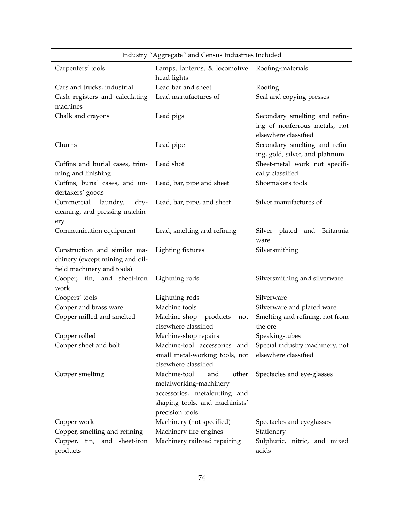| Industry "Aggregate" and Census Industries Included                                           |                                                                                                                                              |                                                                  |  |  |
|-----------------------------------------------------------------------------------------------|----------------------------------------------------------------------------------------------------------------------------------------------|------------------------------------------------------------------|--|--|
| Carpenters' tools                                                                             | Lamps, lanterns, & locomotive<br>Roofing-materials<br>head-lights                                                                            |                                                                  |  |  |
| Cars and trucks, industrial                                                                   | Lead bar and sheet                                                                                                                           | Rooting                                                          |  |  |
| Cash registers and calculating<br>machines                                                    | Lead manufactures of                                                                                                                         | Seal and copying presses                                         |  |  |
| Chalk and crayons                                                                             | Secondary smelting and refin-<br>Lead pigs<br>ing of nonferrous metals, not<br>elsewhere classified                                          |                                                                  |  |  |
| Churns                                                                                        | Lead pipe                                                                                                                                    | Secondary smelting and refin-<br>ing, gold, silver, and platinum |  |  |
| Coffins and burial cases, trim-<br>ming and finishing                                         | Lead shot                                                                                                                                    | Sheet-metal work not specifi-<br>cally classified                |  |  |
| Coffins, burial cases, and un-<br>dertakers' goods                                            | Lead, bar, pipe and sheet                                                                                                                    | Shoemakers tools                                                 |  |  |
| Commercial<br>laundry,<br>dry-<br>cleaning, and pressing machin-<br>ery                       | Lead, bar, pipe, and sheet                                                                                                                   | Silver manufactures of                                           |  |  |
| Communication equipment                                                                       | Lead, smelting and refining                                                                                                                  | Silver plated and Britannia<br>ware                              |  |  |
| Construction and similar ma-<br>chinery (except mining and oil-<br>field machinery and tools) | Lighting fixtures                                                                                                                            | Silversmithing                                                   |  |  |
| Cooper, tin, and sheet-iron<br>work                                                           | Lightning rods                                                                                                                               | Silversmithing and silverware                                    |  |  |
| Coopers' tools                                                                                | Lightning-rods                                                                                                                               | Silverware                                                       |  |  |
| Copper and brass ware                                                                         | Machine tools                                                                                                                                | Silverware and plated ware                                       |  |  |
| Copper milled and smelted                                                                     | Machine-shop<br>products<br>not<br>elsewhere classified                                                                                      | Smelting and refining, not from<br>the ore                       |  |  |
| Copper rolled                                                                                 | Machine-shop repairs                                                                                                                         | Speaking-tubes                                                   |  |  |
| Copper sheet and bolt                                                                         | small metal-working tools, not elsewhere classified<br>elsewhere classified                                                                  | Machine-tool accessories and Special industry machinery, not     |  |  |
| Copper smelting                                                                               | Machine-tool<br>other<br>and<br>metalworking-machinery<br>accessories, metalcutting and<br>shaping tools, and machinists'<br>precision tools | Spectacles and eye-glasses                                       |  |  |
| Copper work                                                                                   | Machinery (not specified)                                                                                                                    | Spectacles and eyeglasses                                        |  |  |
| Copper, smelting and refining                                                                 | Machinery fire-engines                                                                                                                       | Stationery                                                       |  |  |
| Copper, tin, and sheet-iron<br>products                                                       | Machinery railroad repairing                                                                                                                 | Sulphuric, nitric, and mixed<br>acids                            |  |  |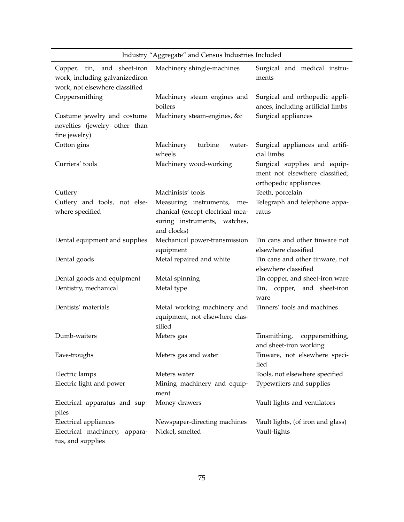|                                                               | maasiry riggiegate and eensus maasiries menaded                                 |                                                                                         |  |  |
|---------------------------------------------------------------|---------------------------------------------------------------------------------|-----------------------------------------------------------------------------------------|--|--|
| Copper, tin, and sheet-iron<br>work, including galvanizediron | Machinery shingle-machines                                                      | Surgical and medical instru-<br>ments                                                   |  |  |
| work, not elsewhere classified                                |                                                                                 |                                                                                         |  |  |
| Coppersmithing                                                | Machinery steam engines and<br>boilers                                          | Surgical and orthopedic appli-<br>ances, including artificial limbs                     |  |  |
| Costume jewelry and costume<br>novelties (jewelry other than  | Machinery steam-engines, &c                                                     | Surgical appliances                                                                     |  |  |
| fine jewelry)                                                 |                                                                                 |                                                                                         |  |  |
| Cotton gins                                                   | turbine<br>Machinery<br>water-<br>wheels                                        | Surgical appliances and artifi-<br>cial limbs                                           |  |  |
| Curriers' tools                                               | Machinery wood-working                                                          | Surgical supplies and equip-<br>ment not elsewhere classified;<br>orthopedic appliances |  |  |
| Cutlery                                                       | Machinists' tools                                                               | Teeth, porcelain                                                                        |  |  |
| Cutlery and tools, not else-                                  | Measuring instruments, me-                                                      | Telegraph and telephone appa-                                                           |  |  |
| where specified                                               | chanical (except electrical mea-<br>suring instruments, watches,<br>and clocks) | ratus                                                                                   |  |  |
| Dental equipment and supplies                                 | Mechanical power-transmission<br>equipment                                      | Tin cans and other tinware not<br>elsewhere classified                                  |  |  |
| Dental goods                                                  | Metal repaired and white                                                        | Tin cans and other tinware, not<br>elsewhere classified                                 |  |  |
| Dental goods and equipment                                    | Metal spinning                                                                  | Tin copper, and sheet-iron ware                                                         |  |  |
| Dentistry, mechanical                                         | Metal type                                                                      | Tin, copper, and sheet-iron<br>ware                                                     |  |  |
| Dentists' materials                                           | Metal working machinery and<br>equipment, not elsewhere clas-<br>sified         | Tinners' tools and machines                                                             |  |  |
| Dumb-waiters                                                  | Meters gas                                                                      | coppersmithing,<br>Tinsmithing,<br>and sheet-iron working                               |  |  |
| Eave-troughs                                                  | Meters gas and water                                                            | Tinware, not elsewhere speci-<br>fied                                                   |  |  |
| Electric lamps                                                | Meters water                                                                    | Tools, not elsewhere specified                                                          |  |  |
| Electric light and power                                      | Mining machinery and equip-<br>ment                                             | Typewriters and supplies                                                                |  |  |
| Electrical apparatus and sup-<br>plies                        | Money-drawers                                                                   | Vault lights and ventilators                                                            |  |  |
| Electrical appliances                                         | Newspaper-directing machines                                                    | Vault lights, (of iron and glass)                                                       |  |  |
| Electrical machinery, appara-<br>tus, and supplies            | Nickel, smelted                                                                 | Vault-lights                                                                            |  |  |

Industry "Aggregate" and Census Industries Included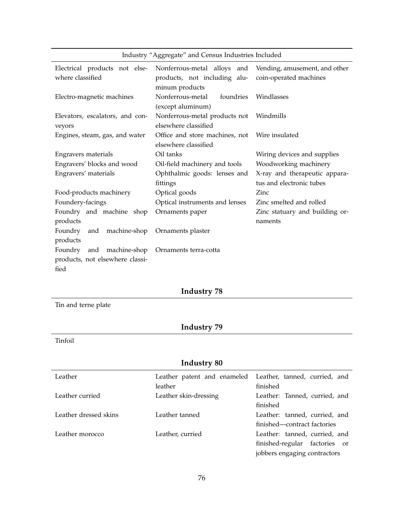| Industry "Aggregate" and Census Industries Included |  |  |  |  |
|-----------------------------------------------------|--|--|--|--|
|-----------------------------------------------------|--|--|--|--|

| Electrical products not else-<br>where classified  | Nonferrous-metal alloys and Vending, amusement, and other<br>products, not including alu-<br>minum products | coin-operated machines                                    |
|----------------------------------------------------|-------------------------------------------------------------------------------------------------------------|-----------------------------------------------------------|
| Electro-magnetic machines                          | Nonferrous-metal<br>foundries<br>(except aluminum)                                                          | Windlasses                                                |
| Elevators, escalators, and con-<br>veyors          | Nonferrous-metal products not Windmills<br>elsewhere classified                                             |                                                           |
| Engines, steam, gas, and water                     | Office and store machines, not Wire insulated<br>elsewhere classified                                       |                                                           |
| Engravers materials                                | Oil tanks                                                                                                   | Wiring devices and supplies                               |
| Engravers' blocks and wood                         | Oil-field machinery and tools                                                                               | Woodworking machinery                                     |
| Engravers' materials                               | Ophthalmic goods: lenses and<br>fittings                                                                    | X-ray and therapeutic appara-<br>tus and electronic tubes |
| Food-products machinery                            | Optical goods                                                                                               | Zinc                                                      |
| Foundery-facings                                   | Optical instruments and lenses                                                                              | Zinc smelted and rolled                                   |
| Foundry and machine shop<br>products               | Ornaments paper                                                                                             | Zinc statuary and building or-<br>naments                 |
| Foundry<br>and machine-shop<br>products            | Ornaments plaster                                                                                           |                                                           |
| Foundry<br>products, not elsewhere classi-<br>fied | and machine-shop Ornaments terra-cotta                                                                      |                                                           |

Tin and terne plate

### **Industry 79**

Tinfoil

| Leather               | Leather patent and enameled | Leather, tanned, curried, and |
|-----------------------|-----------------------------|-------------------------------|
|                       | leather                     | finished                      |
| Leather curried       | Leather skin-dressing       | Leather: Tanned, curried, and |
|                       |                             | finished                      |
| Leather dressed skins | Leather tanned              | Leather: tanned, curried, and |
|                       |                             | finished—contract factories   |
| Leather morocco       | Leather, curried            | Leather: tanned, curried, and |
|                       |                             | finished-regular factories or |
|                       |                             | jobbers engaging contractors  |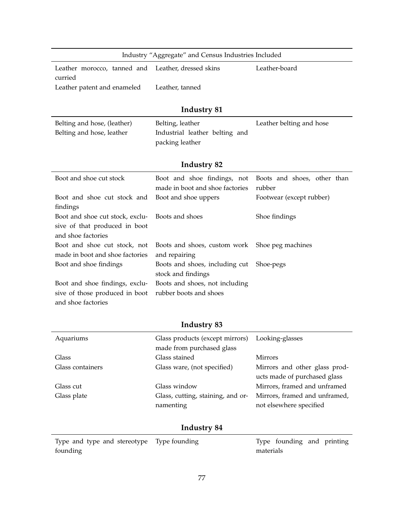| Industry "Aggregate" and Census Industries Included                                                |                                                                                        |                                                                   |  |  |
|----------------------------------------------------------------------------------------------------|----------------------------------------------------------------------------------------|-------------------------------------------------------------------|--|--|
| Leather morocco, tanned and<br>curried                                                             | Leather, dressed skins                                                                 | Leather-board                                                     |  |  |
| Leather patent and enameled                                                                        | Leather, tanned                                                                        |                                                                   |  |  |
|                                                                                                    | Industry 81                                                                            |                                                                   |  |  |
| Belting and hose, (leather)<br>Belting and hose, leather                                           | Belting, leather<br>Industrial leather belting and<br>packing leather                  | Leather belting and hose                                          |  |  |
|                                                                                                    | Industry 82                                                                            |                                                                   |  |  |
| Boot and shoe cut stock<br>Boot and shoe cut stock and                                             | Boot and shoe findings, not<br>made in boot and shoe factories<br>Boot and shoe uppers | Boots and shoes, other than<br>rubber<br>Footwear (except rubber) |  |  |
| findings<br>Boot and shoe cut stock, exclu-<br>sive of that produced in boot<br>and shoe factories | Boots and shoes                                                                        | Shoe findings                                                     |  |  |
| Boot and shoe cut stock, not<br>made in boot and shoe factories                                    | Boots and shoes, custom work<br>and repairing                                          | Shoe peg machines                                                 |  |  |
| Boot and shoe findings                                                                             | Boots and shoes, including cut<br>stock and findings                                   | Shoe-pegs                                                         |  |  |
| Boot and shoe findings, exclu-<br>sive of those produced in boot<br>and shoe factories             | Boots and shoes, not including<br>rubber boots and shoes                               |                                                                   |  |  |

| Aquariums        | Glass products (except mirrors) Looking-glasses<br>made from purchased glass |                               |
|------------------|------------------------------------------------------------------------------|-------------------------------|
| Glass            | Glass stained                                                                | <b>Mirrors</b>                |
| Glass containers | Glass ware, (not specified)                                                  | Mirrors and other glass prod- |
|                  |                                                                              | ucts made of purchased glass  |
| Glass cut        | Glass window                                                                 | Mirrors, framed and unframed  |
| Glass plate      | Glass, cutting, staining, and or-                                            | Mirrors, framed and unframed, |
|                  | namenting                                                                    | not elsewhere specified       |
|                  |                                                                              |                               |

| Type and type and stereotype Type founding |           | Type founding and printing |  |
|--------------------------------------------|-----------|----------------------------|--|
| founding                                   | materials |                            |  |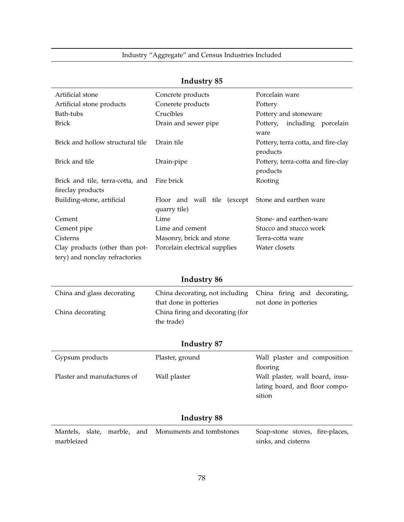| Artificial stone                                                 | Concrete products                           | Porcelain ware                                  |
|------------------------------------------------------------------|---------------------------------------------|-------------------------------------------------|
| Artificial stone products                                        | Conerete products                           | Pottery                                         |
| Bath-tubs                                                        | Crucibles                                   | Pottery and stoneware                           |
| <b>Brick</b>                                                     | Drain and sewer pipe                        | including porcelain<br>Pottery,<br>ware         |
| Brick and hollow structural tile                                 | Drain tile                                  | Pottery, terra cotta, and fire-clay<br>products |
| Brick and tile                                                   | Drain-pipe                                  | Pottery, terra-cotta and fire-clay<br>products  |
| Brick and tile, terra-cotta, and<br>fireclay products            | Fire brick                                  | Rooting                                         |
| Building-stone, artificial                                       | Floor and wall tile (except<br>quarry tile) | Stone and earthen ware                          |
| Cement                                                           | Lime                                        | Stone- and earthen-ware                         |
| Cement pipe                                                      | Lime and cement                             | Stucco and stucco work                          |
| Cisterns                                                         | Masonry, brick and stone                    | Terra-cotta ware                                |
| Clay products (other than pot-<br>tery) and nonclay refractories | Porcelain electrical supplies               | Water closets                                   |

### **Industry 86**

| China and glass decorating | China decorating, not including China firing and decorating, |                       |
|----------------------------|--------------------------------------------------------------|-----------------------|
|                            | that done in potteries                                       | not done in potteries |
| China decorating           | China firing and decorating (for                             |                       |
|                            | the trade)                                                   |                       |

#### **Industry 87**

| Gypsum products             | Plaster, ground | Wall plaster and composition    |
|-----------------------------|-----------------|---------------------------------|
|                             |                 | flooring                        |
| Plaster and manufactures of | Wall plaster    | Wall plaster, wall board, insu- |
|                             |                 | lating board, and floor compo-  |
|                             |                 | sition                          |
|                             |                 |                                 |

|            |  | Mantels, slate, marble, and Monuments and tombstones | Soap-stone stoves, fire-places, |  |
|------------|--|------------------------------------------------------|---------------------------------|--|
| marbleized |  |                                                      | sinks, and cisterns             |  |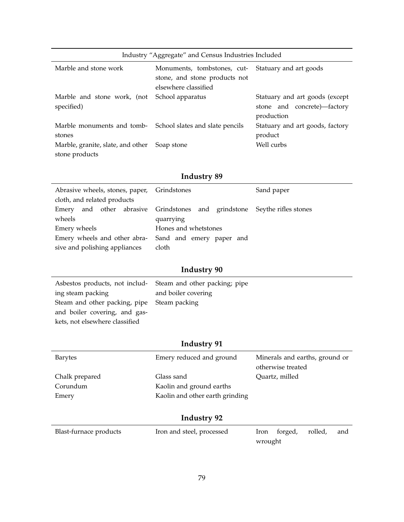| Industry "Aggregate" and Census Industries Included                     |                                                                                                             |                                                                             |  |
|-------------------------------------------------------------------------|-------------------------------------------------------------------------------------------------------------|-----------------------------------------------------------------------------|--|
| Marble and stone work                                                   | Monuments, tombstones, cut- Statuary and art goods<br>stone, and stone products not<br>elsewhere classified |                                                                             |  |
| Marble and stone work, (not<br>specified)                               | School apparatus                                                                                            | Statuary and art goods (except<br>stone and concrete)—factory<br>production |  |
| Marble monuments and tomb-<br>School slates and slate pencils<br>stones |                                                                                                             | Statuary and art goods, factory<br>product                                  |  |
| Marble, granite, slate, and other Soap stone<br>stone products          |                                                                                                             | Well curbs                                                                  |  |

|                                                          | Abrasive wheels, stones, paper, Grindstones                              |  |  |
|----------------------------------------------------------|--------------------------------------------------------------------------|--|--|
| cloth, and related products                              |                                                                          |  |  |
|                                                          | Emery and other abrasive Grindstones and grindstone Seythe rifles stones |  |  |
| wheels                                                   | quarrying                                                                |  |  |
| Emery wheels                                             | Hones and whetstones                                                     |  |  |
| Emery wheels and other abra-<br>Sand and emery paper and |                                                                          |  |  |
| sive and polishing appliances                            | cloth                                                                    |  |  |

| Asbestos products, not includ-<br>Steam and other packing; pipe |                     |
|-----------------------------------------------------------------|---------------------|
| ing steam packing                                               | and boiler covering |
| Steam and other packing, pipe Steam packing                     |                     |
| and boiler covering, and gas-                                   |                     |
| kets, not elsewhere classified                                  |                     |

# **Industry 91**

| Barytes        | Emery reduced and ground        | Minerals and earths, ground or |
|----------------|---------------------------------|--------------------------------|
|                |                                 | otherwise treated              |
| Chalk prepared | Glass sand                      | Quartz, milled                 |
| Corundum       | Kaolin and ground earths        |                                |
| Emery          | Kaolin and other earth grinding |                                |
|                |                                 |                                |

| Blast-furnace products | Iron and steel, processed |         | Iron forged, rolled, | and |
|------------------------|---------------------------|---------|----------------------|-----|
|                        |                           | wrought |                      |     |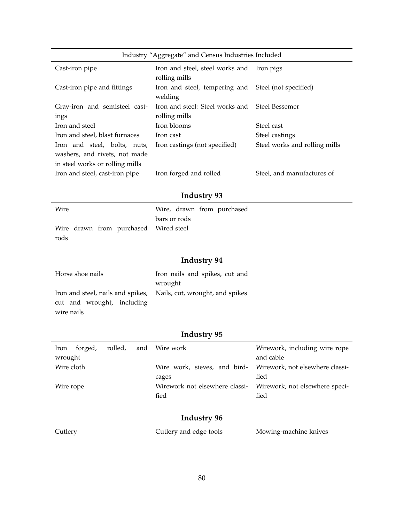| Industry "Aggregate" and Census Industries Included |                                                                 |                               |  |  |
|-----------------------------------------------------|-----------------------------------------------------------------|-------------------------------|--|--|
| Cast-iron pipe                                      | Iron and steel, steel works and Iron pigs<br>rolling mills      |                               |  |  |
| Cast-iron pipe and fittings                         | Iron and steel, tempering and Steel (not specified)<br>welding  |                               |  |  |
| Gray-iron and semisteel cast-<br>ings               | Iron and steel: Steel works and Steel Bessemer<br>rolling mills |                               |  |  |
| Iron and steel                                      | Iron blooms                                                     | Steel cast                    |  |  |
| Iron and steel, blast furnaces                      | Iron cast                                                       | Steel castings                |  |  |
| Iron and steel, bolts, nuts,                        | Iron castings (not specified)                                   | Steel works and rolling mills |  |  |
| washers, and rivets, not made                       |                                                                 |                               |  |  |
| in steel works or rolling mills                     |                                                                 |                               |  |  |
| Iron and steel, cast-iron pipe                      | Iron forged and rolled                                          | Steel, and manufactures of    |  |  |

| Wire |  |                                       | Wire, drawn from purchased |
|------|--|---------------------------------------|----------------------------|
|      |  |                                       | bars or rods               |
|      |  | Wire drawn from purchased Wired steel |                            |
| rods |  |                                       |                            |

### **Industry 94**

| Horse shoe nails                                                  | Iron nails and spikes, cut and |
|-------------------------------------------------------------------|--------------------------------|
|                                                                   | wrought                        |
| Iron and steel, nails and spikes, Nails, cut, wrought, and spikes |                                |
| cut and wrought, including                                        |                                |
| wire nails                                                        |                                |

# **Industry 95**

| Iron<br>wrought | forged, |  | rolled, and Wire work                                                    | Wirework, including wire rope<br>and cable |
|-----------------|---------|--|--------------------------------------------------------------------------|--------------------------------------------|
| Wire cloth      |         |  | Wire work, sieves, and bird- Wirework, not elsewhere classi-<br>cages    | fied                                       |
| Wire rope       |         |  | Wirework not elsewhere classi-<br>Wirework, not elsewhere speci-<br>fied | fied                                       |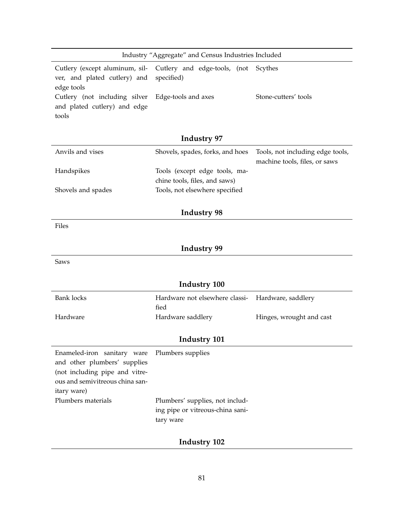| Industry "Aggregate" and Census Industries Included                 |  |                      |  |
|---------------------------------------------------------------------|--|----------------------|--|
| Cutlery (except aluminum, sil- Cutlery and edge-tools, (not Scythes |  |                      |  |
| ver, and plated cutlery) and specified)                             |  |                      |  |
| edge tools                                                          |  |                      |  |
| Cutlery (not including silver Edge-tools and axes                   |  | Stone-cutters' tools |  |
| and plated cutlery) and edge                                        |  |                      |  |
| tools                                                               |  |                      |  |

| Anvils and vises   | Shovels, spades, forks, and hoes Tools, not including edge tools, | machine tools, files, or saws |
|--------------------|-------------------------------------------------------------------|-------------------------------|
| Handspikes         | Tools (except edge tools, ma-                                     |                               |
|                    | chine tools, files, and saws)                                     |                               |
| Shovels and spades | Tools, not elsewhere specified                                    |                               |

#### **Industry 98**

Files

# **Industry 99**

Saws

| <b>Industry 100</b>                           |                                        |                          |
|-----------------------------------------------|----------------------------------------|--------------------------|
| <b>Bank locks</b>                             | Hardware not elsewhere classi-<br>fied | Hardware, saddlery       |
| Hardware                                      | Hardware saddlery                      | Hinges, wrought and cast |
|                                               |                                        |                          |
| <b>Industry 101</b>                           |                                        |                          |
| Enameled-iron sanitary ware Plumbers supplies |                                        |                          |
| and other plumbers' supplies                  |                                        |                          |
| (not including pipe and vitre-                |                                        |                          |
| ous and semivitreous china san-               |                                        |                          |
| itary ware)                                   |                                        |                          |
| Plumbers materials                            | Plumbers' supplies, not includ-        |                          |

# ing pipe or vitreous-china sani-

tary ware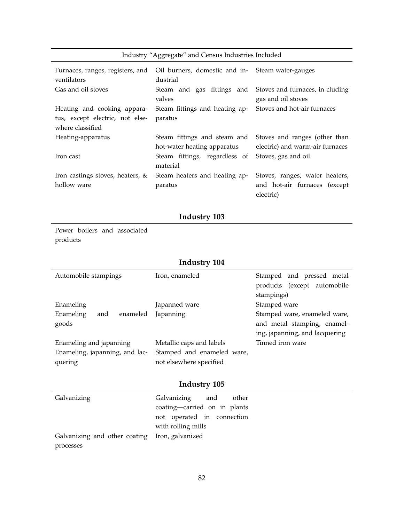| Industry "Aggregate" and Census Industries Included |                                                                 |                                                                                  |
|-----------------------------------------------------|-----------------------------------------------------------------|----------------------------------------------------------------------------------|
| Furnaces, ranges, registers, and<br>ventilators     | Oil burners, domestic and in-<br>Steam water-gauges<br>dustrial |                                                                                  |
| Gas and oil stoves                                  | valves                                                          | Steam and gas fittings and Stoves and furnaces, in cluding<br>gas and oil stoves |
| Heating and cooking appara-                         | Steam fittings and heating ap-                                  | Stoves and hot-air furnaces                                                      |
| tus, except electric, not else-<br>where classified | paratus                                                         |                                                                                  |
| Heating-apparatus                                   | Steam fittings and steam and                                    | Stoves and ranges (other than                                                    |
|                                                     | hot-water heating apparatus                                     | electric) and warm-air furnaces                                                  |
| Iron cast                                           | Steam fittings, regardless of<br>material                       | Stoves, gas and oil                                                              |
| Iron castings stoves, heaters, &                    | Steam heaters and heating ap-                                   | Stoves, ranges, water heaters,                                                   |
| hollow ware                                         | paratus                                                         | and hot-air furnaces (except                                                     |
|                                                     |                                                                 | electric)                                                                        |

Power boilers and associated products

# **Industry 104**

| Automobile stampings           | Iron, enameled             | Stamped and pressed metal      |
|--------------------------------|----------------------------|--------------------------------|
|                                |                            | products (except automobile    |
|                                |                            | stampings)                     |
| Enameling                      | Japanned ware              | Stamped ware                   |
| Enameling<br>enameled<br>and   | Japanning                  | Stamped ware, enameled ware,   |
| goods                          |                            | and metal stamping, enamel-    |
|                                |                            | ing, japanning, and lacquering |
| Enameling and japanning        | Metallic caps and labels   | Tinned iron ware               |
| Enameling, japanning, and lac- | Stamped and enameled ware, |                                |
| quering                        | not elsewhere specified    |                                |

| Galvanizing                                    | Galvanizing and<br>other     |
|------------------------------------------------|------------------------------|
|                                                | coating-carried on in plants |
|                                                | not operated in connection   |
|                                                | with rolling mills           |
| Galvanizing and other coating Iron, galvanized |                              |
| processes                                      |                              |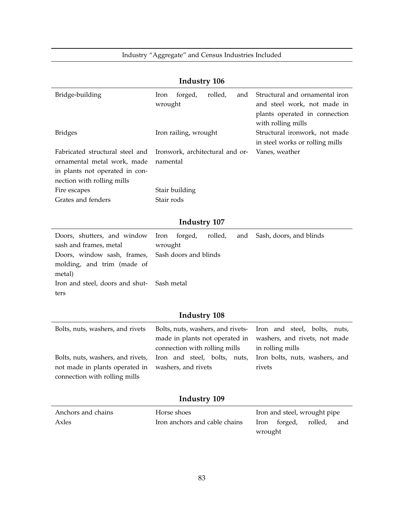Industry "Aggregate" and Census Industries Included

|                                                                                                                                | muusu y 100                                                                                          |                                                                                                                      |  |
|--------------------------------------------------------------------------------------------------------------------------------|------------------------------------------------------------------------------------------------------|----------------------------------------------------------------------------------------------------------------------|--|
| Bridge-building                                                                                                                | forged,<br>rolled,<br>Iron<br>and<br>wrought                                                         | Structural and ornamental iron<br>and steel work, not made in<br>plants operated in connection<br>with rolling mills |  |
| <b>Bridges</b>                                                                                                                 | Iron railing, wrought                                                                                | Structural ironwork, not made<br>in steel works or rolling mills                                                     |  |
| Fabricated structural steel and<br>ornamental metal work, made<br>in plants not operated in con-<br>nection with rolling mills | Ironwork, architectural and or-<br>namental                                                          | Vanes, weather                                                                                                       |  |
| Fire escapes                                                                                                                   | Stair building                                                                                       |                                                                                                                      |  |
| Grates and fenders                                                                                                             | Stair rods                                                                                           |                                                                                                                      |  |
|                                                                                                                                |                                                                                                      |                                                                                                                      |  |
|                                                                                                                                | <b>Industry 107</b>                                                                                  |                                                                                                                      |  |
| Doors, shutters, and window<br>sash and frames, metal<br>Doors, window sash, frames,<br>molding, and trim (made of<br>metal)   | forged,<br>rolled,<br>Iron<br>and<br>wrought<br>Sash doors and blinds                                | Sash, doors, and blinds                                                                                              |  |
| Iron and steel, doors and shut-<br>ters                                                                                        | Sash metal                                                                                           |                                                                                                                      |  |
| <b>Industry 108</b>                                                                                                            |                                                                                                      |                                                                                                                      |  |
| Bolts, nuts, washers, and rivets                                                                                               | Bolts, nuts, washers, and rivets-<br>made in plants not operated in<br>connection with rolling mills | Iron and steel, bolts, nuts,<br>washers, and rivets, not made<br>in rolling mills                                    |  |
| Bolts, nuts, washers, and rivets,<br>not made in plants operated in<br>connection with rolling mills                           | Iron and steel, bolts, nuts,<br>washers, and rivets                                                  | Iron bolts, nuts, washers, and<br>rivets                                                                             |  |
| <b>Industry 109</b>                                                                                                            |                                                                                                      |                                                                                                                      |  |
| Anchors and chains                                                                                                             | Horse shoes                                                                                          | Iron and steel, wrought pipe                                                                                         |  |
| Axles                                                                                                                          | Iron anchors and cable chains                                                                        | rolled,<br>Iron<br>forged,<br>and                                                                                    |  |

### **Industry 106**

wrought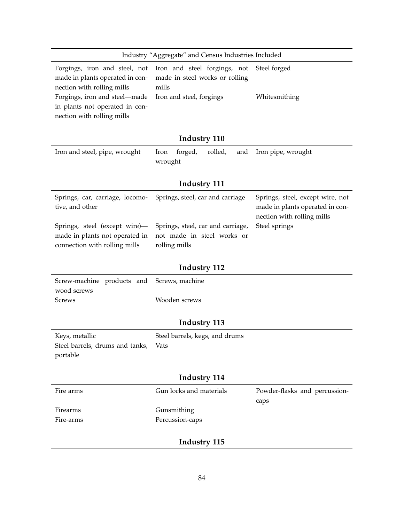| Industry "Aggregate" and Census Industries Included                                                                                                                                             |                                                                                                     |                                                                                                   |  |
|-------------------------------------------------------------------------------------------------------------------------------------------------------------------------------------------------|-----------------------------------------------------------------------------------------------------|---------------------------------------------------------------------------------------------------|--|
| Forgings, iron and steel, not<br>made in plants operated in con-<br>nection with rolling mills<br>Forgings, iron and steel-made<br>in plants not operated in con-<br>nection with rolling mills | Iron and steel forgings, not<br>made in steel works or rolling<br>mills<br>Iron and steel, forgings | Steel forged<br>Whitesmithing                                                                     |  |
|                                                                                                                                                                                                 | <b>Industry 110</b>                                                                                 |                                                                                                   |  |
| Iron and steel, pipe, wrought                                                                                                                                                                   | rolled,<br>forged,<br>Iron<br>and<br>wrought                                                        | Iron pipe, wrought                                                                                |  |
|                                                                                                                                                                                                 | <b>Industry 111</b>                                                                                 |                                                                                                   |  |
| Springs, car, carriage, locomo-<br>tive, and other                                                                                                                                              | Springs, steel, car and carriage                                                                    | Springs, steel, except wire, not<br>made in plants operated in con-<br>nection with rolling mills |  |
| Springs, steel (except wire)-<br>made in plants not operated in<br>connection with rolling mills                                                                                                | Springs, steel, car and carriage,<br>not made in steel works or<br>rolling mills                    | Steel springs                                                                                     |  |
|                                                                                                                                                                                                 | <b>Industry 112</b>                                                                                 |                                                                                                   |  |
| Screw-machine products and<br>wood screws                                                                                                                                                       | Screws, machine                                                                                     |                                                                                                   |  |
| <b>Screws</b>                                                                                                                                                                                   | Wooden screws                                                                                       |                                                                                                   |  |
|                                                                                                                                                                                                 | <b>Industry 113</b>                                                                                 |                                                                                                   |  |
| Keys, metallic<br>Steel barrels, drums and tanks,<br>portable                                                                                                                                   | Steel barrels, kegs, and drums<br>Vats                                                              |                                                                                                   |  |
| <b>Industry 114</b>                                                                                                                                                                             |                                                                                                     |                                                                                                   |  |
| Fire arms                                                                                                                                                                                       | Gun locks and materials                                                                             | Powder-flasks and percussion-<br>caps                                                             |  |
| Firearms                                                                                                                                                                                        | Gunsmithing                                                                                         |                                                                                                   |  |
| Fire-arms                                                                                                                                                                                       | Percussion-caps                                                                                     |                                                                                                   |  |
|                                                                                                                                                                                                 | Industry 115                                                                                        |                                                                                                   |  |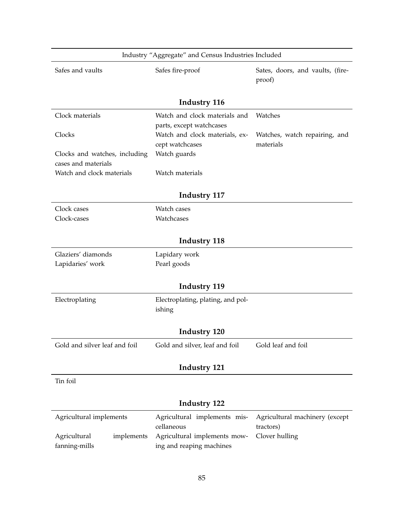| Industry "Aggregate" and Census Industries Included  |                                                           |                                  |
|------------------------------------------------------|-----------------------------------------------------------|----------------------------------|
| Safes and vaults                                     | Safes fire-proof                                          | Sates, doors, and vaults, (fire- |
|                                                      |                                                           | proof)                           |
|                                                      | <b>Industry 116</b>                                       |                                  |
|                                                      |                                                           |                                  |
| Clock materials                                      | Watch and clock materials and<br>parts, except watchcases | Watches                          |
| Clocks                                               | Watch and clock materials, ex-                            | Watches, watch repairing, and    |
|                                                      | cept watchcases                                           | materials                        |
| Clocks and watches, including<br>cases and materials | Watch guards                                              |                                  |
| Watch and clock materials                            | Watch materials                                           |                                  |
|                                                      |                                                           |                                  |
|                                                      | <b>Industry 117</b>                                       |                                  |
| Clock cases                                          | Watch cases                                               |                                  |
| Clock-cases                                          | Watchcases                                                |                                  |
|                                                      | <b>Industry 118</b>                                       |                                  |
| Glaziers' diamonds                                   | Lapidary work                                             |                                  |
| Lapidaries' work                                     | Pearl goods                                               |                                  |
|                                                      | <b>Industry 119</b>                                       |                                  |
|                                                      |                                                           |                                  |
| Electroplating                                       | Electroplating, plating, and pol-<br>ishing               |                                  |
|                                                      |                                                           |                                  |
|                                                      | <b>Industry 120</b>                                       |                                  |
| Gold and silver leaf and foil                        | Gold and silver, leaf and foil                            | Gold leaf and foil               |
|                                                      | <b>Industry 121</b>                                       |                                  |
|                                                      |                                                           |                                  |
| Tin foil                                             |                                                           |                                  |
| <b>Industry 122</b>                                  |                                                           |                                  |
| Agricultural implements                              | Agricultural implements mis-                              | Agricultural machinery (except   |
| Agricultural<br>implements                           | cellaneous<br>Agricultural implements mow-                | tractors)<br>Clover hulling      |
| fanning-mills                                        | ing and reaping machines                                  |                                  |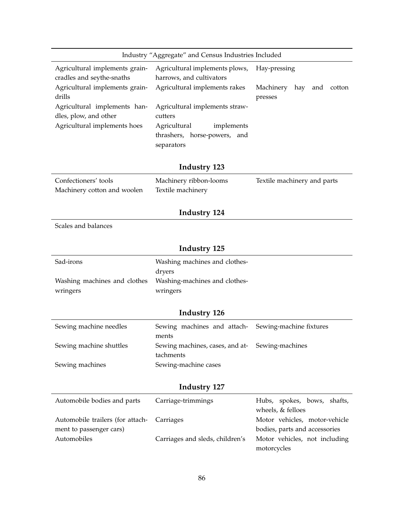|                                                             | Industry "Aggregate" and Census Industries Included                      |                                                                               |  |  |  |  |
|-------------------------------------------------------------|--------------------------------------------------------------------------|-------------------------------------------------------------------------------|--|--|--|--|
| Agricultural implements grain-<br>cradles and seythe-snaths | Agricultural implements plows,<br>harrows, and cultivators               | Hay-pressing                                                                  |  |  |  |  |
| Agricultural implements grain-<br>drills                    | Agricultural implements rakes                                            | Machinery<br>hay<br>and<br>cotton<br>presses                                  |  |  |  |  |
| Agricultural implements han-<br>dles, plow, and other       | Agricultural implements straw-<br>cutters                                |                                                                               |  |  |  |  |
| Agricultural implements hoes                                | Agricultural<br>implements<br>thrashers, horse-powers, and<br>separators |                                                                               |  |  |  |  |
|                                                             | Industry 123                                                             |                                                                               |  |  |  |  |
| Confectioners' tools<br>Machinery cotton and woolen         | Machinery ribbon-looms<br>Textile machinery                              |                                                                               |  |  |  |  |
|                                                             |                                                                          |                                                                               |  |  |  |  |
|                                                             | Industry 124                                                             |                                                                               |  |  |  |  |
| Scales and balances                                         |                                                                          |                                                                               |  |  |  |  |
|                                                             | Industry 125                                                             |                                                                               |  |  |  |  |
| Sad-irons                                                   | Washing machines and clothes-<br>dryers                                  |                                                                               |  |  |  |  |
| Washing machines and clothes<br>wringers                    | Washing-machines and clothes-<br>wringers                                |                                                                               |  |  |  |  |
|                                                             |                                                                          |                                                                               |  |  |  |  |
|                                                             | Industry 126                                                             |                                                                               |  |  |  |  |
| Sewing machine needles                                      | Sewing machines and attach-<br>ments                                     | Sewing-machine fixtures                                                       |  |  |  |  |
| Sewing machine shuttles                                     | Sewing machines, cases, and at-<br>tachments                             | Sewing-machines                                                               |  |  |  |  |
| Sewing machines                                             | Sewing-machine cases                                                     |                                                                               |  |  |  |  |
| <b>Industry 127</b>                                         |                                                                          |                                                                               |  |  |  |  |
| Automobile bodies and parts                                 | Carriage-trimmings                                                       | Hubs, spokes, bows, shafts,<br>wheels, & felloes                              |  |  |  |  |
| Automobile trailers (for attach-                            | Carriages                                                                | Motor vehicles, motor-vehicle                                                 |  |  |  |  |
| ment to passenger cars)<br>Automobiles                      | Carriages and sleds, children's                                          | bodies, parts and accessories<br>Motor vehicles, not including<br>motorcycles |  |  |  |  |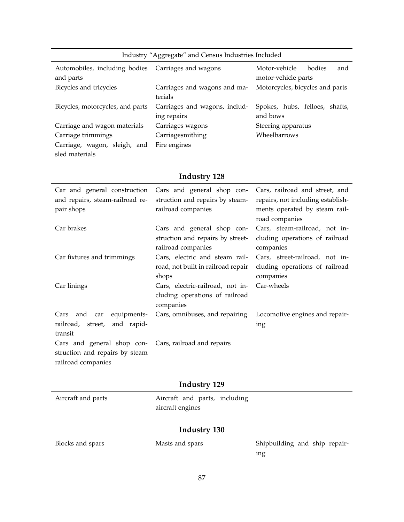| Industry "Aggregate" and Census Industries Included             |                                              |                                                       |  |  |  |  |
|-----------------------------------------------------------------|----------------------------------------------|-------------------------------------------------------|--|--|--|--|
| Automobiles, including bodies Carriages and wagons<br>and parts |                                              | Motor-vehicle<br>bodies<br>and<br>motor-vehicle parts |  |  |  |  |
| Bicycles and tricycles                                          | Carriages and wagons and ma-<br>terials      | Motorcycles, bicycles and parts                       |  |  |  |  |
| Bicycles, motorcycles, and parts                                | Carriages and wagons, includ-<br>ing repairs | Spokes, hubs, felloes, shafts,<br>and bows            |  |  |  |  |
| Carriage and wagon materials                                    | Carriages wagons                             | Steering apparatus                                    |  |  |  |  |
| Carriage trimmings                                              | Carriagesmithing                             | Wheelbarrows                                          |  |  |  |  |
| Carriage, wagon, sleigh, and                                    | Fire engines                                 |                                                       |  |  |  |  |
| sled materials                                                  |                                              |                                                       |  |  |  |  |

| Car and general construction<br>and repairs, steam-railroad re-<br>pair shops                                 | Cars and general shop con-<br>struction and repairs by steam-<br>railroad companies  | Cars, railroad and street, and<br>repairs, not including establish-<br>ments operated by steam rail-<br>road companies |
|---------------------------------------------------------------------------------------------------------------|--------------------------------------------------------------------------------------|------------------------------------------------------------------------------------------------------------------------|
| Car brakes                                                                                                    | Cars and general shop con-<br>struction and repairs by street-<br>railroad companies | Cars, steam-railroad, not in-<br>cluding operations of railroad<br>companies                                           |
| Car fixtures and trimmings                                                                                    | Cars, electric and steam rail-<br>road, not built in railroad repair<br>shops        | Cars, street-railroad, not in-<br>cluding operations of railroad<br>companies                                          |
| Car linings                                                                                                   | Cars, electric-railroad, not in-<br>cluding operations of railroad<br>companies      | Car-wheels                                                                                                             |
| equipments-<br>Cars and car<br>railroad, street, and rapid-<br>transit                                        | Cars, omnibuses, and repairing                                                       | Locomotive engines and repair-<br>ing                                                                                  |
| Cars and general shop con- Cars, railroad and repairs<br>struction and repairs by steam<br>railroad companies |                                                                                      |                                                                                                                        |

# **Industry 129**

| Aircraft and parts | Aircraft and parts, including |
|--------------------|-------------------------------|
|                    | aircraft engines              |

| Blocks and spars | Masts and spars | Shipbuilding and ship repair- |
|------------------|-----------------|-------------------------------|
|                  |                 | ıng                           |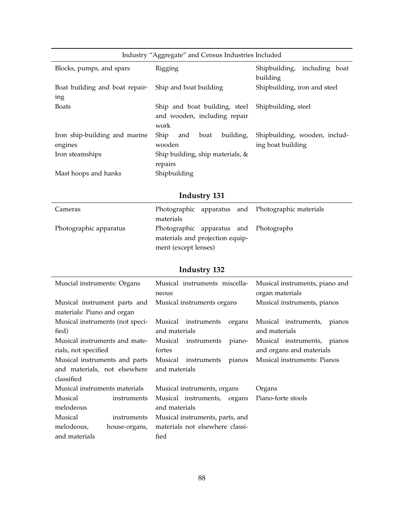| Industry "Aggregate" and Census Industries Included |                                                                       |                                                    |  |  |  |  |
|-----------------------------------------------------|-----------------------------------------------------------------------|----------------------------------------------------|--|--|--|--|
| Blocks, pumps, and spars                            | Rigging                                                               | Shipbuilding,<br>including boat<br>building        |  |  |  |  |
| Boat building and boat repair-<br>ing               | Ship and boat building                                                | Shipbuilding, iron and steel                       |  |  |  |  |
| <b>Boats</b>                                        | Ship and boat building, steel<br>and wooden, including repair<br>work | Shipbuilding, steel                                |  |  |  |  |
| Iron ship-building and marine<br>engines            | building,<br>Ship<br>boat<br>and<br>wooden                            | Shipbuilding, wooden, includ-<br>ing boat building |  |  |  |  |
| Iron steamships                                     | Ship building, ship materials, &<br>repairs                           |                                                    |  |  |  |  |
| Mast hoops and hanks                                | Shipbuilding                                                          |                                                    |  |  |  |  |

| Cameras                | materials                                                                                         |  | Photographic apparatus and Photographic materials |
|------------------------|---------------------------------------------------------------------------------------------------|--|---------------------------------------------------|
| Photographic apparatus | Photographic apparatus and Photographs<br>materials and projection equip-<br>ment (except lenses) |  |                                                   |

| Muscial instruments: Organs     |                                | Musical instruments miscella-<br>neous |                                 |        | Musical instruments, piano and<br>organ materials |                             |        |
|---------------------------------|--------------------------------|----------------------------------------|---------------------------------|--------|---------------------------------------------------|-----------------------------|--------|
| Musical instrument parts and    |                                |                                        | Musical instruments organs      |        | Musical instruments, pianos                       |                             |        |
| materials: Piano and organ      |                                |                                        |                                 |        |                                                   |                             |        |
| Musical instruments (not speci- |                                |                                        | Musical instruments             | organs |                                                   | Musical instruments,        | pianos |
| fied)                           |                                | and materials                          |                                 |        | and materials                                     |                             |        |
| Musical instruments and mate-   |                                |                                        | Musical instruments             | piano- |                                                   | Musical instruments, pianos |        |
|                                 | rials, not specified<br>fortes |                                        |                                 |        | and organs and materials                          |                             |        |
| Musical instruments and parts   |                                |                                        | Musical instruments             | pianos | Musical instruments: Pianos                       |                             |        |
| and materials, not elsewhere    |                                |                                        | and materials                   |        |                                                   |                             |        |
| classified                      |                                |                                        |                                 |        |                                                   |                             |        |
| Musical instruments materials   |                                |                                        | Musical instruments, organs     |        | Organs                                            |                             |        |
| Musical                         | instruments                    |                                        | Musical instruments, organs     |        | Piano-forte stools                                |                             |        |
| melodeous                       |                                | and materials                          |                                 |        |                                                   |                             |        |
| Musical                         | instruments                    | Musical instruments, parts, and        |                                 |        |                                                   |                             |        |
| melodeous,                      | house-organs,                  |                                        | materials not elsewhere classi- |        |                                                   |                             |        |
| and materials                   |                                | fied                                   |                                 |        |                                                   |                             |        |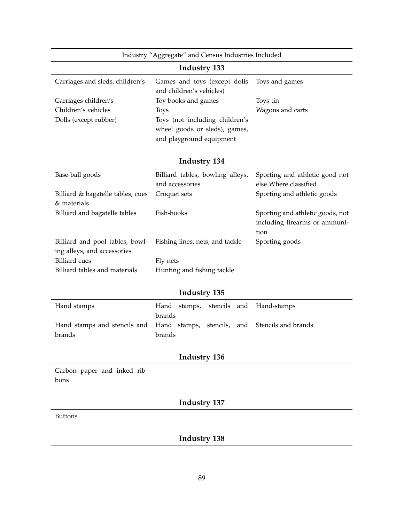|                                                                | Industry "Aggregate" and Census Industries Included                                         |                                                                           |  |  |  |  |
|----------------------------------------------------------------|---------------------------------------------------------------------------------------------|---------------------------------------------------------------------------|--|--|--|--|
|                                                                | <b>Industry 133</b>                                                                         |                                                                           |  |  |  |  |
| Carriages and sleds, children's                                | Games and toys (except dolls<br>and children's vehicles)                                    | Toys and games                                                            |  |  |  |  |
| Carriages children's                                           | Toy books and games                                                                         | Toys tin                                                                  |  |  |  |  |
| Children's vehicles                                            | Toys                                                                                        | Wagons and carts                                                          |  |  |  |  |
| Dolls (except rubber)                                          | Toys (not including children's<br>wheel goods or sleds), games,<br>and playground equipment |                                                                           |  |  |  |  |
|                                                                | <b>Industry 134</b>                                                                         |                                                                           |  |  |  |  |
| Base-ball goods                                                | Billiard tables, bowling alleys,<br>and accessories                                         | Sporting and athletic good not<br>else Where classified                   |  |  |  |  |
| Billiard & bagatelle tables, cues<br>& materials               | Croquet sets                                                                                | Sporting and athletic goods                                               |  |  |  |  |
| Billiard and bagatelle tables                                  | Fish-hooks                                                                                  | Sporting and athletic goods, not<br>including firearms or ammuni-<br>tion |  |  |  |  |
| Billiard and pool tables, bowl-<br>ing alleys, and accessories | Fishing lines, nets, and tackle                                                             | Sporting goods                                                            |  |  |  |  |
| <b>Billiard</b> cues                                           | Fly-nets                                                                                    |                                                                           |  |  |  |  |
| Billiard tables and materials                                  | Hunting and fishing tackle                                                                  |                                                                           |  |  |  |  |
|                                                                | Industry 135                                                                                |                                                                           |  |  |  |  |
| Hand stamps                                                    | Hand<br>stencils<br>and<br>stamps,<br>brands                                                | Hand-stamps                                                               |  |  |  |  |
| Hand stamps and stencils and<br>brands                         | Hand stamps,<br>stencils,<br>and<br>brands                                                  | Stencils and brands                                                       |  |  |  |  |
|                                                                | <b>Industry 136</b>                                                                         |                                                                           |  |  |  |  |
| Carbon paper and inked rib-<br>bons                            |                                                                                             |                                                                           |  |  |  |  |
| <b>Industry 137</b>                                            |                                                                                             |                                                                           |  |  |  |  |
| <b>Buttons</b>                                                 |                                                                                             |                                                                           |  |  |  |  |
|                                                                | <b>Industry 138</b>                                                                         |                                                                           |  |  |  |  |
|                                                                |                                                                                             |                                                                           |  |  |  |  |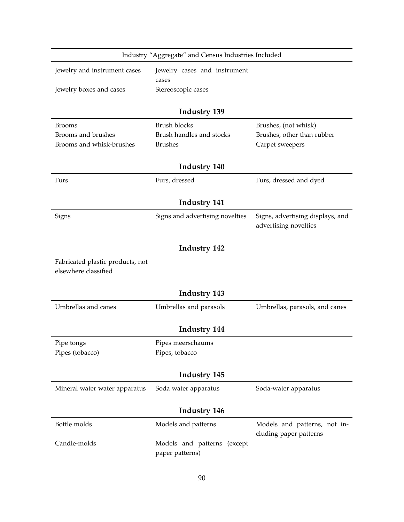|                                  | Industry "Aggregate" and Census Industries Included |                                  |  |  |  |  |
|----------------------------------|-----------------------------------------------------|----------------------------------|--|--|--|--|
| Jewelry and instrument cases     | Jewelry cases and instrument                        |                                  |  |  |  |  |
|                                  | cases                                               |                                  |  |  |  |  |
| Jewelry boxes and cases          | Stereoscopic cases                                  |                                  |  |  |  |  |
|                                  |                                                     |                                  |  |  |  |  |
|                                  | <b>Industry 139</b>                                 |                                  |  |  |  |  |
| <b>Brooms</b>                    | <b>Brush blocks</b>                                 | Brushes, (not whisk)             |  |  |  |  |
| Brooms and brushes               | Brush handles and stocks                            | Brushes, other than rubber       |  |  |  |  |
| Brooms and whisk-brushes         | <b>Brushes</b>                                      | Carpet sweepers                  |  |  |  |  |
|                                  | <b>Industry 140</b>                                 |                                  |  |  |  |  |
|                                  |                                                     |                                  |  |  |  |  |
| Furs                             | Furs, dressed                                       | Furs, dressed and dyed           |  |  |  |  |
|                                  | <b>Industry 141</b>                                 |                                  |  |  |  |  |
|                                  |                                                     | Signs, advertising displays, and |  |  |  |  |
| Signs                            | Signs and advertising novelties                     | advertising novelties            |  |  |  |  |
|                                  |                                                     |                                  |  |  |  |  |
|                                  | <b>Industry 142</b>                                 |                                  |  |  |  |  |
| Fabricated plastic products, not |                                                     |                                  |  |  |  |  |
| elsewhere classified             |                                                     |                                  |  |  |  |  |
|                                  |                                                     |                                  |  |  |  |  |
|                                  | <b>Industry 143</b>                                 |                                  |  |  |  |  |
| Umbrellas and canes              | Umbrellas and parasols                              | Umbrellas, parasols, and canes   |  |  |  |  |
|                                  |                                                     |                                  |  |  |  |  |
|                                  | Industry 144                                        |                                  |  |  |  |  |
| Pipe tongs                       | Pipes meerschaums                                   |                                  |  |  |  |  |
| Pipes (tobacco)                  | Pipes, tobacco                                      |                                  |  |  |  |  |
|                                  |                                                     |                                  |  |  |  |  |
|                                  | <b>Industry 145</b>                                 |                                  |  |  |  |  |
| Mineral water water apparatus    | Soda water apparatus                                | Soda-water apparatus             |  |  |  |  |
|                                  |                                                     |                                  |  |  |  |  |
|                                  | <b>Industry 146</b>                                 |                                  |  |  |  |  |
| Bottle molds                     | Models and patterns                                 | Models and patterns, not in-     |  |  |  |  |
|                                  |                                                     | cluding paper patterns           |  |  |  |  |
| Candle-molds                     | Models and patterns (except                         |                                  |  |  |  |  |
|                                  | paper patterns)                                     |                                  |  |  |  |  |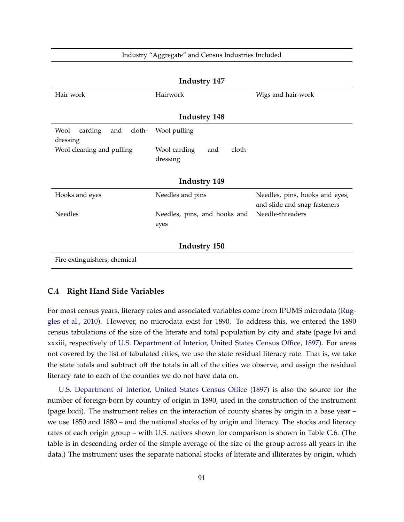| <b>Industry 147</b>                          |                               |                                                                |  |  |  |  |  |
|----------------------------------------------|-------------------------------|----------------------------------------------------------------|--|--|--|--|--|
| Hair work                                    | Hairwork                      | Wigs and hair-work                                             |  |  |  |  |  |
|                                              |                               |                                                                |  |  |  |  |  |
|                                              | <b>Industry 148</b>           |                                                                |  |  |  |  |  |
| Wool<br>carding<br>cloth-<br>and<br>dressing | Wool pulling                  |                                                                |  |  |  |  |  |
| Wool cleaning and pulling                    | cloth-<br>Wool-carding<br>and |                                                                |  |  |  |  |  |
|                                              | dressing                      |                                                                |  |  |  |  |  |
|                                              |                               |                                                                |  |  |  |  |  |
|                                              | <b>Industry 149</b>           |                                                                |  |  |  |  |  |
| Hooks and eyes                               | Needles and pins              | Needles, pins, hooks and eyes,<br>and slide and snap fasteners |  |  |  |  |  |
| <b>Needles</b>                               | Needles, pins, and hooks and  | Needle-threaders                                               |  |  |  |  |  |
|                                              | eyes                          |                                                                |  |  |  |  |  |
|                                              |                               |                                                                |  |  |  |  |  |
|                                              | <b>Industry 150</b>           |                                                                |  |  |  |  |  |
| Fire extinguishers, chemical                 |                               |                                                                |  |  |  |  |  |

#### Industry "Aggregate" and Census Industries Included

#### **C.4 Right Hand Side Variables**

For most census years, literacy rates and associated variables come from IPUMS microdata [\(Rug](#page-32-0)[gles et al.,](#page-32-0) [2010\)](#page-32-0). However, no microdata exist for 1890. To address this, we entered the 1890 census tabulations of the size of the literate and total population by city and state (page lvi and xxxiii, respectively of [U.S. Department of Interior, United States Census Office,](#page-32-1) [1897\)](#page-32-1). For areas not covered by the list of tabulated cities, we use the state residual literacy rate. That is, we take the state totals and subtract off the totals in all of the cities we observe, and assign the residual literacy rate to each of the counties we do not have data on.

[U.S. Department of Interior, United States Census Office](#page-32-1) [\(1897\)](#page-32-1) is also the source for the number of foreign-born by country of origin in 1890, used in the construction of the instrument (page lxxii). The instrument relies on the interaction of county shares by origin in a base year – we use 1850 and 1880 – and the national stocks of by origin and literacy. The stocks and literacy rates of each origin group – with U.S. natives shown for comparison is shown in Table [C.6.](#page-95-0) (The table is in descending order of the simple average of the size of the group across all years in the data.) The instrument uses the separate national stocks of literate and illiterates by origin, which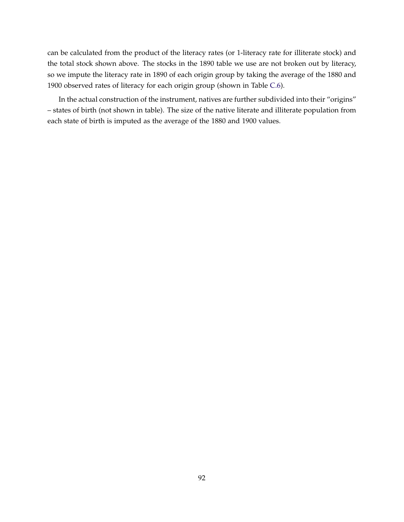can be calculated from the product of the literacy rates (or 1-literacy rate for illiterate stock) and the total stock shown above. The stocks in the 1890 table we use are not broken out by literacy, so we impute the literacy rate in 1890 of each origin group by taking the average of the 1880 and 1900 observed rates of literacy for each origin group (shown in Table [C.6\)](#page-95-0).

In the actual construction of the instrument, natives are further subdivided into their "origins" – states of birth (not shown in table). The size of the native literate and illiterate population from each state of birth is imputed as the average of the 1880 and 1900 values.